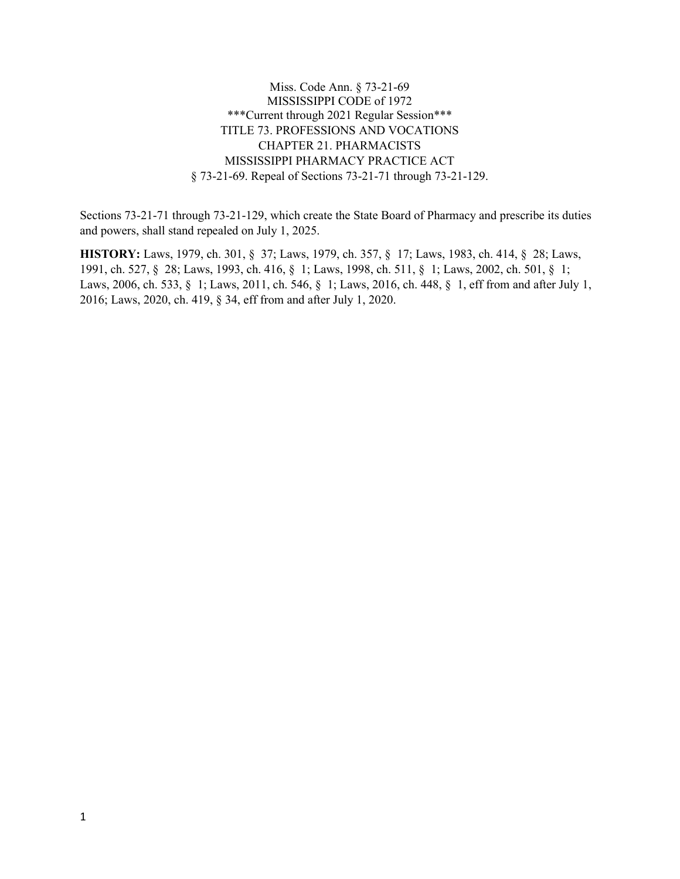Miss. Code Ann. § 73-21-69 MISSISSIPPI CODE of 1972 \*\*\*Current through 2021 Regular Session\*\*\* TITLE 73. PROFESSIONS AND VOCATIONS CHAPTER 21. PHARMACISTS MISSISSIPPI PHARMACY PRACTICE ACT § 73-21-69. Repeal of Sections 73-21-71 through 73-21-129.

Sections 73-21-71 through 73-21-129, which create the State Board of Pharmacy and prescribe its duties and powers, shall stand repealed on July 1, 2025.

**HISTORY:** Laws, 1979, ch. 301, § 37; Laws, 1979, ch. 357, § 17; Laws, 1983, ch. 414, § 28; Laws, 1991, ch. 527, § 28; Laws, 1993, ch. 416, § 1; Laws, 1998, ch. 511, § 1; Laws, 2002, ch. 501, § 1; Laws, 2006, ch. 533, § 1; Laws, 2011, ch. 546, § 1; Laws, 2016, ch. 448, § 1, eff from and after July 1, 2016; Laws, 2020, ch. 419, § 34, eff from and after July 1, 2020.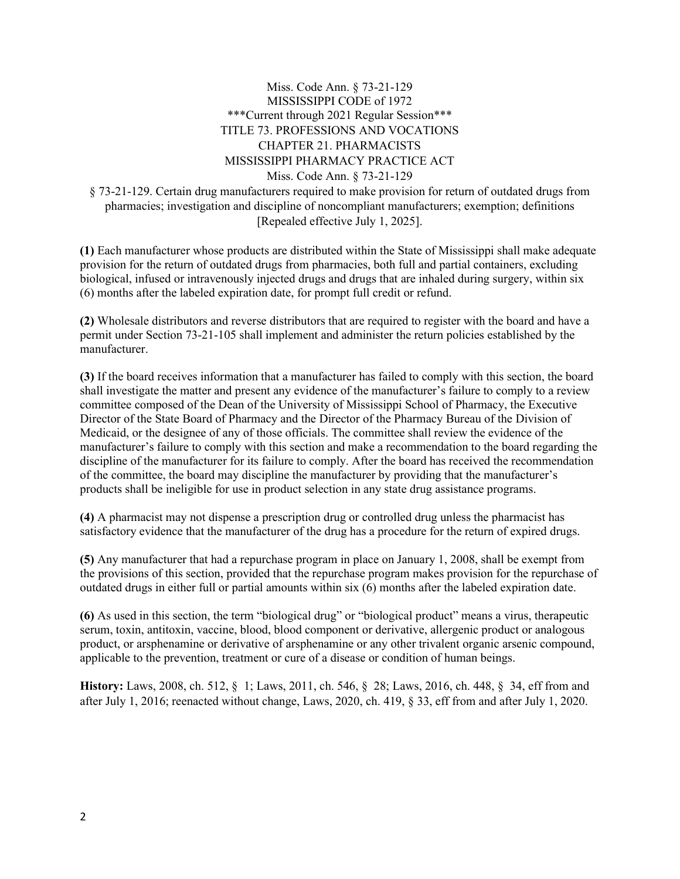## Miss. Code Ann. § 73-21-129 MISSISSIPPI CODE of 1972 \*\*\*Current through 2021 Regular Session\*\*\* TITLE 73. PROFESSIONS AND VOCATIONS CHAPTER 21. PHARMACISTS MISSISSIPPI PHARMACY PRACTICE ACT Miss. Code Ann. § 73-21-129

§ 73-21-129. Certain drug manufacturers required to make provision for return of outdated drugs from pharmacies; investigation and discipline of noncompliant manufacturers; exemption; definitions [Repealed effective July 1, 2025].

**(1)** Each manufacturer whose products are distributed within the State of Mississippi shall make adequate provision for the return of outdated drugs from pharmacies, both full and partial containers, excluding biological, infused or intravenously injected drugs and drugs that are inhaled during surgery, within six (6) months after the labeled expiration date, for prompt full credit or refund.

**(2)** Wholesale distributors and reverse distributors that are required to register with the board and have a permit under Section 73-21-105 shall implement and administer the return policies established by the manufacturer.

**(3)** If the board receives information that a manufacturer has failed to comply with this section, the board shall investigate the matter and present any evidence of the manufacturer's failure to comply to a review committee composed of the Dean of the University of Mississippi School of Pharmacy, the Executive Director of the State Board of Pharmacy and the Director of the Pharmacy Bureau of the Division of Medicaid, or the designee of any of those officials. The committee shall review the evidence of the manufacturer's failure to comply with this section and make a recommendation to the board regarding the discipline of the manufacturer for its failure to comply. After the board has received the recommendation of the committee, the board may discipline the manufacturer by providing that the manufacturer's products shall be ineligible for use in product selection in any state drug assistance programs.

**(4)** A pharmacist may not dispense a prescription drug or controlled drug unless the pharmacist has satisfactory evidence that the manufacturer of the drug has a procedure for the return of expired drugs.

**(5)** Any manufacturer that had a repurchase program in place on January 1, 2008, shall be exempt from the provisions of this section, provided that the repurchase program makes provision for the repurchase of outdated drugs in either full or partial amounts within six (6) months after the labeled expiration date.

**(6)** As used in this section, the term "biological drug" or "biological product" means a virus, therapeutic serum, toxin, antitoxin, vaccine, blood, blood component or derivative, allergenic product or analogous product, or arsphenamine or derivative of arsphenamine or any other trivalent organic arsenic compound, applicable to the prevention, treatment or cure of a disease or condition of human beings.

**History:** Laws, 2008, ch. 512, § 1; Laws, 2011, ch. 546, § 28; Laws, 2016, ch. 448, § 34, eff from and after July 1, 2016; reenacted without change, Laws, 2020, ch. 419, § 33, eff from and after July 1, 2020.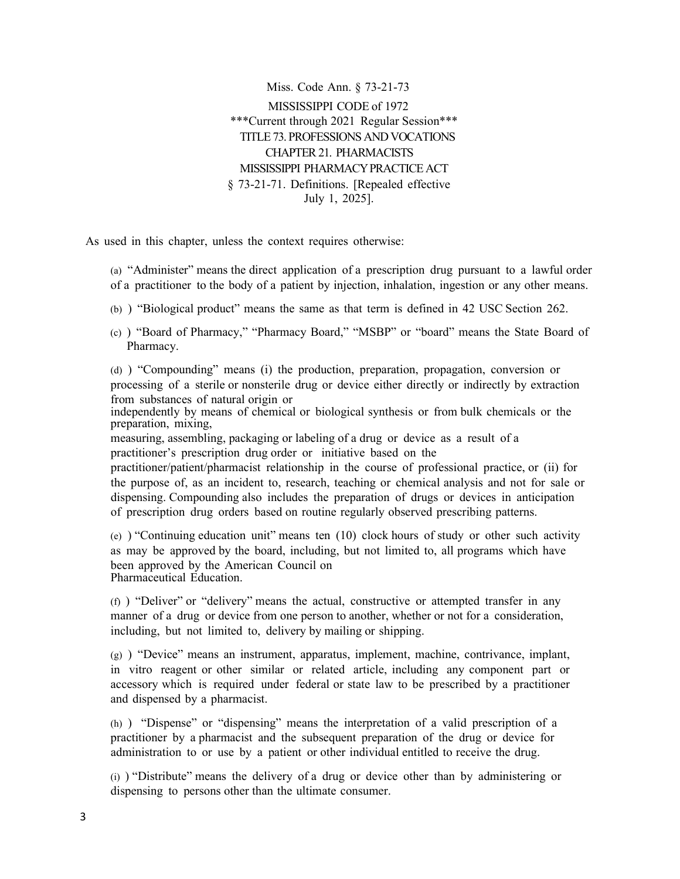Miss. Code Ann. § 73-21-73 MISSISSIPPI CODE of 1972 \*\*\*Current through 2021 Regular Session\*\*\* TITLE 73. PROFESSIONSAND VOCATIONS CHAPTER21. PHARMACISTS MISSISSIPPI PHARMACYPRACTICE ACT § 73-21-71. Definitions. [Repealed effective July 1, 2025].

As used in this chapter, unless the context requires otherwise:

(a) "Administer" means the direct application of a prescription drug pursuant to a lawful order of a practitioner to the body of a patient by injection, inhalation, ingestion or any other means.

(b) ) "Biological product" means the same as that term is defined in 42 USC Section 262.

(c) ) "Board of Pharmacy," "Pharmacy Board," "MSBP" or "board" means the State Board of Pharmacy.

(d) ) "Compounding" means (i) the production, preparation, propagation, conversion or processing of a sterile or nonsterile drug or device either directly or indirectly by extraction from substances of natural origin or

independently by means of chemical or biological synthesis or from bulk chemicals or the preparation, mixing,

measuring, assembling, packaging or labeling of a drug or device as a result of a practitioner's prescription drug order or initiative based on the

practitioner/patient/pharmacist relationship in the course of professional practice, or (ii) for the purpose of, as an incident to, research, teaching or chemical analysis and not for sale or dispensing. Compounding also includes the preparation of drugs or devices in anticipation of prescription drug orders based on routine regularly observed prescribing patterns.

(e) ) "Continuing education unit" means ten  $(10)$  clock hours of study or other such activity as may be approved by the board, including, but not limited to, all programs which have been approved by the American Council on Pharmaceutical Education.

(f) ) "Deliver" or "delivery" means the actual, constructive or attempted transfer in any manner of a drug or device from one person to another, whether or not for a consideration, including, but not limited to, delivery by mailing or shipping.

 $(g)$  ) "Device" means an instrument, apparatus, implement, machine, contrivance, implant, in vitro reagent or other similar or related article, including any component part or accessory which is required under federal or state law to be prescribed by a practitioner and dispensed by a pharmacist.

(h) ) "Dispense" or "dispensing" means the interpretation of a valid prescription of a practitioner by a pharmacist and the subsequent preparation of the drug or device for administration to or use by a patient or other individual entitled to receive the drug.

(i) ) "Distribute" means the delivery of a drug or device other than by administering or dispensing to persons other than the ultimate consumer.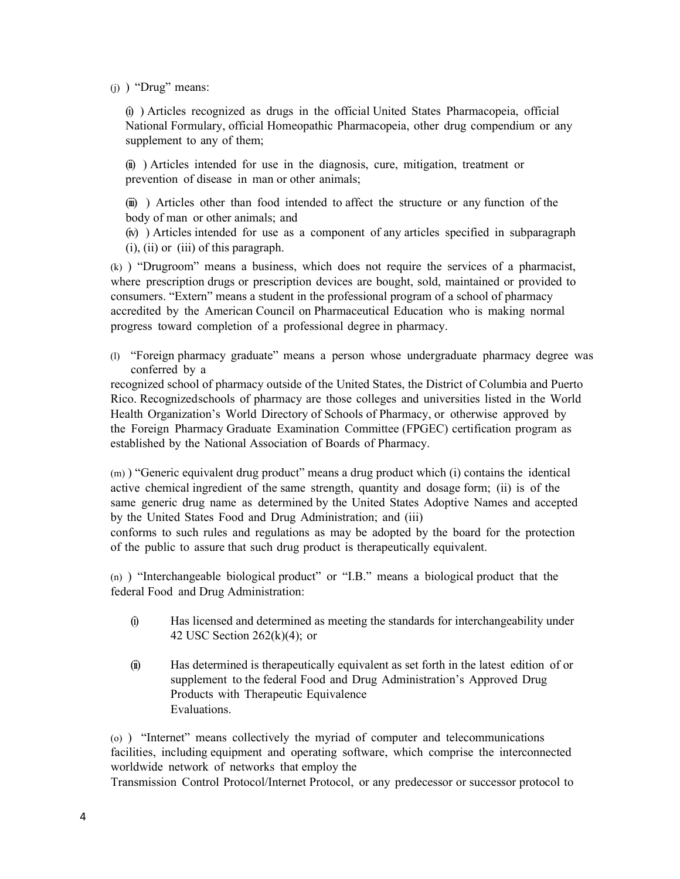$(i)$  ) "Drug" means:

(i) ) Articles recognized as drugs in the official United States Pharmacopeia, official National Formulary, official Homeopathic Pharmacopeia, other drug compendium or any supplement to any of them;

(ii) ) Articles intended for use in the diagnosis, cure, mitigation, treatment or prevention of disease in man or other animals;

(iii) ) Articles other than food intended to affect the structure or any function of the body of man or other animals; and

(iv) ) Articles intended for use as a component of any articles specified in subparagraph (i), (ii) or (iii) of this paragraph.

(k) ) "Drugroom" means a business, which does not require the services of a pharmacist, where prescription drugs or prescription devices are bought, sold, maintained or provided to consumers. "Extern" means a student in the professional program of a school of pharmacy accredited by the American Council on Pharmaceutical Education who is making normal progress toward completion of a professional degree in pharmacy.

(l) "Foreign pharmacy graduate" means a person whose undergraduate pharmacy degree was conferred by a

recognized school of pharmacy outside of the United States, the District of Columbia and Puerto Rico. Recognizedschools of pharmacy are those colleges and universities listed in the World Health Organization's World Directory of Schools of Pharmacy, or otherwise approved by the Foreign Pharmacy Graduate Examination Committee (FPGEC) certification program as established by the National Association of Boards of Pharmacy.

(m) ) "Generic equivalent drug product" means a drug product which (i) contains the identical active chemical ingredient of the same strength, quantity and dosage form; (ii) is of the same generic drug name as determined by the United States Adoptive Names and accepted by the United States Food and Drug Administration; and (iii) conforms to such rules and regulations as may be adopted by the board for the protection

(n) ) "Interchangeable biological product" or "I.B." means a biological product that the

of the public to assure that such drug product is therapeutically equivalent.

- federal Food and Drug Administration: (i) Has licensed and determined as meeting the standards for interchangeability under
	- 42 USC Section  $262(k)(4)$ ; or
	- (ii) Has determined is therapeutically equivalent as set forth in the latest edition of or supplement to the federal Food and Drug Administration's Approved Drug Products with Therapeutic Equivalence Evaluations.

(o) ) "Internet" means collectively the myriad of computer and telecommunications facilities, including equipment and operating software, which comprise the interconnected worldwide network of networks that employ the

Transmission Control Protocol/Internet Protocol, or any predecessor or successor protocol to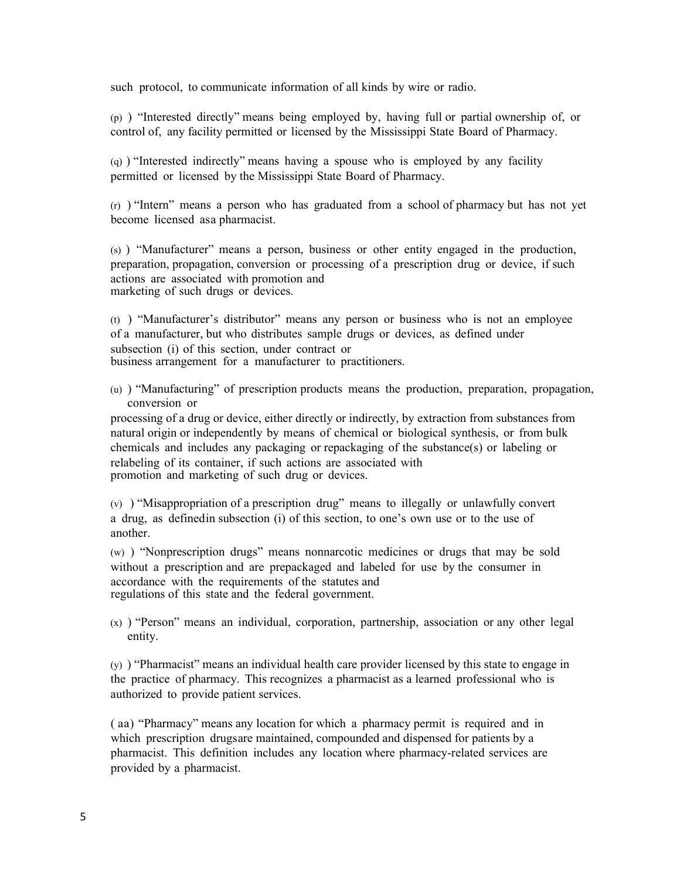such protocol, to communicate information of all kinds by wire or radio.

(p) ) "Interested directly" means being employed by, having full or partial ownership of, or control of, any facility permitted or licensed by the Mississippi State Board of Pharmacy.

(q) ) "Interested indirectly" means having a spouse who is employed by any facility permitted or licensed by the Mississippi State Board of Pharmacy.

(r) ) "Intern" means a person who has graduated from a school of pharmacy but has not yet become licensed asa pharmacist.

(s) ) "Manufacturer" means a person, business or other entity engaged in the production, preparation, propagation, conversion or processing of a prescription drug or device, if such actions are associated with promotion and marketing of such drugs or devices.

(t) ) "Manufacturer's distributor" means any person or business who is not an employee of a manufacturer, but who distributes sample drugs or devices, as defined under subsection (i) of this section, under contract or business arrangement for a manufacturer to practitioners.

(u) ) "Manufacturing" of prescription products means the production, preparation, propagation, conversion or

processing of a drug or device, either directly or indirectly, by extraction from substances from natural origin or independently by means of chemical or biological synthesis, or from bulk chemicals and includes any packaging or repackaging of the substance(s) or labeling or relabeling of its container, if such actions are associated with promotion and marketing of such drug or devices.

(v) ) "Misappropriation of a prescription drug" means to illegally or unlawfully convert a drug, as definedin subsection (i) of this section, to one's own use or to the use of another.

(w) ) "Nonprescription drugs" means nonnarcotic medicines or drugs that may be sold without a prescription and are prepackaged and labeled for use by the consumer in accordance with the requirements of the statutes and regulations of this state and the federal government.

(x) ) "Person" means an individual, corporation, partnership, association or any other legal entity.

(y) ) "Pharmacist" means an individual health care provider licensed by this state to engage in the practice of pharmacy. This recognizes a pharmacist as a learned professional who is authorized to provide patient services.

( aa) "Pharmacy" means any location for which a pharmacy permit is required and in which prescription drugsare maintained, compounded and dispensed for patients by a pharmacist. This definition includes any location where pharmacy-related services are provided by a pharmacist.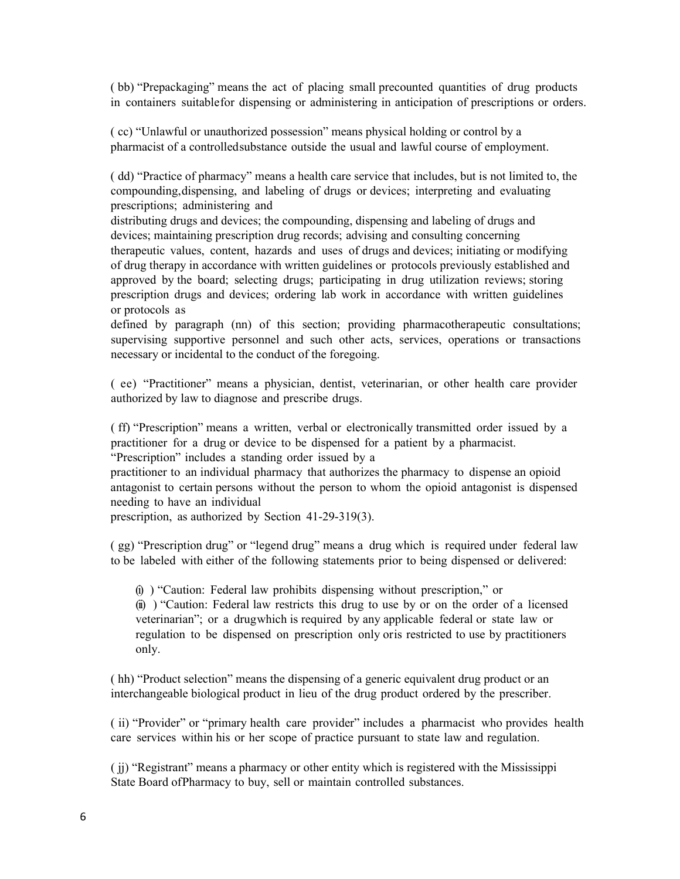( bb) "Prepackaging" means the act of placing small precounted quantities of drug products in containers suitablefor dispensing or administering in anticipation of prescriptions or orders.

( cc) "Unlawful or unauthorized possession" means physical holding or control by a pharmacist of a controlledsubstance outside the usual and lawful course of employment.

( dd) "Practice of pharmacy" means a health care service that includes, but is not limited to, the compounding,dispensing, and labeling of drugs or devices; interpreting and evaluating prescriptions; administering and

distributing drugs and devices; the compounding, dispensing and labeling of drugs and devices; maintaining prescription drug records; advising and consulting concerning therapeutic values, content, hazards and uses of drugs and devices; initiating or modifying of drug therapy in accordance with written guidelines or protocols previously established and approved by the board; selecting drugs; participating in drug utilization reviews; storing prescription drugs and devices; ordering lab work in accordance with written guidelines or protocols as

defined by paragraph (nn) of this section; providing pharmacotherapeutic consultations; supervising supportive personnel and such other acts, services, operations or transactions necessary or incidental to the conduct of the foregoing.

( ee) "Practitioner" means a physician, dentist, veterinarian, or other health care provider authorized by law to diagnose and prescribe drugs.

( ff) "Prescription" means a written, verbal or electronically transmitted order issued by a practitioner for a drug or device to be dispensed for a patient by a pharmacist. "Prescription" includes a standing order issued by a

practitioner to an individual pharmacy that authorizes the pharmacy to dispense an opioid antagonist to certain persons without the person to whom the opioid antagonist is dispensed needing to have an individual

prescription, as authorized by Section 41-29-319(3).

( gg) "Prescription drug" or "legend drug" means a drug which is required under federal law to be labeled with either of the following statements prior to being dispensed or delivered:

(i) ) "Caution: Federal law prohibits dispensing without prescription," or (ii) ) "Caution: Federal law restricts this drug to use by or on the order of a licensed veterinarian"; or a drugwhich is required by any applicable federal or state law or regulation to be dispensed on prescription only oris restricted to use by practitioners only.

( hh) "Product selection" means the dispensing of a generic equivalent drug product or an interchangeable biological product in lieu of the drug product ordered by the prescriber.

( ii) "Provider" or "primary health care provider" includes a pharmacist who provides health care services within his or her scope of practice pursuant to state law and regulation.

( jj) "Registrant" means a pharmacy or other entity which is registered with the Mississippi State Board ofPharmacy to buy, sell or maintain controlled substances.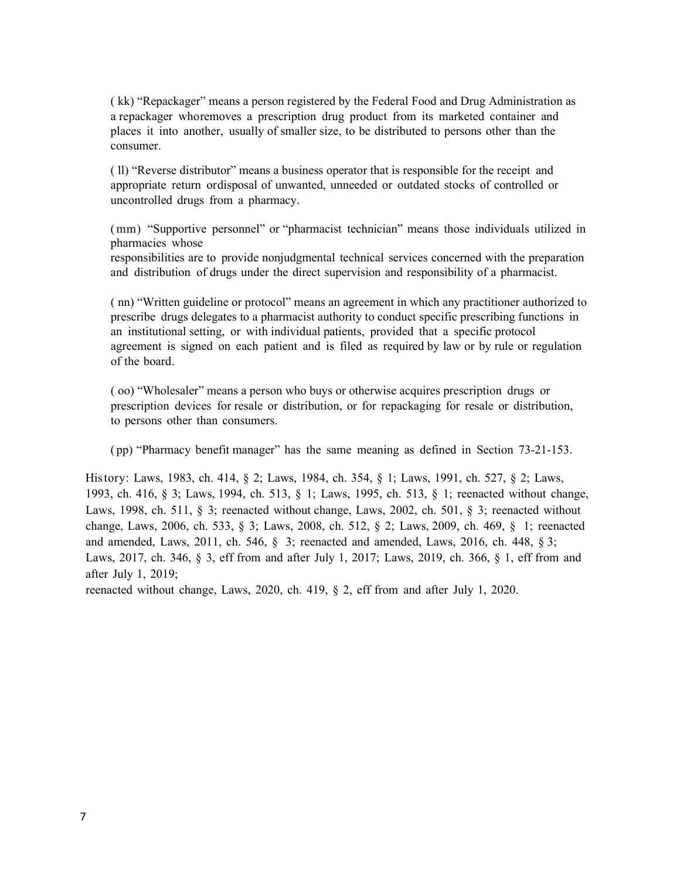( kk) "Repackager" means a person registered by the Federal Food and Drug Administration as a repackager whoremoves a prescription drug product from its marketed container and places it into another, usually of smaller size, to be distributed to persons other than the consumer.

( ll) "Reverse distributor" means a business operator that is responsible for the receipt and appropriate return ordisposal of unwanted, unneeded or outdated stocks of controlled or uncontrolled drugs from a pharmacy.

(mm) "Supportive personnel" or "pharmacist technician" means those individuals utilized in pharmacies whose

responsibilities are to provide nonjudgmental technical services concerned with the preparation and distribution of drugs under the direct supervision and responsibility of a pharmacist.

( nn) "Written guideline or protocol" means an agreement in which any practitioner authorized to prescribe drugs delegates to a pharmacist authority to conduct specific prescribing functions in an institutional setting, or with individual patients, provided that a specific protocol agreement is signed on each patient and is filed as required by law or by rule or regulation of the board.

( oo) "Wholesaler" means a person who buys or otherwise acquires prescription drugs or prescription devices for resale or distribution, or for repackaging for resale or distribution, to persons other than consumers.

( pp) "Pharmacy benefit manager" has the same meaning as defined in Section 73-21-153.

History: Laws, 1983, ch. 414, § 2; Laws, 1984, ch. 354, § 1; Laws, 1991, ch. 527, § 2; Laws, 1993, ch. 416, § 3; Laws, 1994, ch. 513, § 1; Laws, 1995, ch. 513, § 1; reenacted without change, Laws, 1998, ch. 511, § 3; reenacted without change, Laws, 2002, ch. 501, § 3; reenacted without change, Laws, 2006, ch. 533, § 3; Laws, 2008, ch. 512, § 2; Laws, 2009, ch. 469, § 1; reenacted and amended, Laws, 2011, ch. 546, § 3; reenacted and amended, Laws, 2016, ch. 448, § 3; Laws, 2017, ch. 346, § 3, eff from and after July 1, 2017; Laws, 2019, ch. 366, § 1, eff from and after July 1, 2019;

reenacted without change, Laws, 2020, ch. 419, § 2, eff from and after July 1, 2020.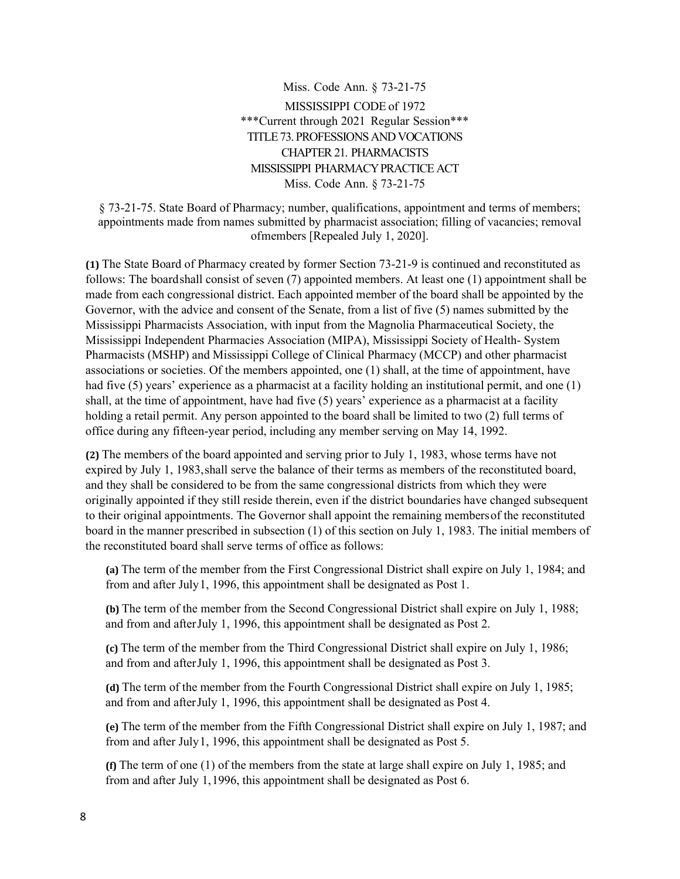Miss. Code Ann. § 73-21-75 MISSISSIPPI CODE of 1972 \*\*\*Current through 2021 Regular Session\*\*\* TITLE 73. PROFESSIONSAND VOCATIONS CHAPTER21. PHARMACISTS MISSISSIPPI PHARMACYPRACTICE ACT Miss. Code Ann. § 73-21-75

§ 73-21-75. State Board of Pharmacy; number, qualifications, appointment and terms of members; appointments made from names submitted by pharmacist association; filling of vacancies; removal ofmembers [Repealed July 1, 2020].

**(1)** The State Board of Pharmacy created by former Section 73-21-9 is continued and reconstituted as follows: The boardshall consist of seven (7) appointed members. At least one (1) appointment shall be made from each congressional district. Each appointed member of the board shall be appointed by the Governor, with the advice and consent of the Senate, from a list of five (5) names submitted by the Mississippi Pharmacists Association, with input from the Magnolia Pharmaceutical Society, the Mississippi Independent Pharmacies Association (MIPA), Mississippi Society of Health- System Pharmacists (MSHP) and Mississippi College of Clinical Pharmacy (MCCP) and other pharmacist associations or societies. Of the members appointed, one (1) shall, at the time of appointment, have had five (5) years' experience as a pharmacist at a facility holding an institutional permit, and one (1) shall, at the time of appointment, have had five (5) years' experience as a pharmacist at a facility holding a retail permit. Any person appointed to the board shall be limited to two (2) full terms of office during any fifteen-year period, including any member serving on May 14, 1992.

**(2)** The members of the board appointed and serving prior to July 1, 1983, whose terms have not expired by July 1, 1983,shall serve the balance of their terms as members of the reconstituted board, and they shall be considered to be from the same congressional districts from which they were originally appointed if they still reside therein, even if the district boundaries have changed subsequent to their original appointments. The Governor shall appoint the remaining membersof the reconstituted board in the manner prescribed in subsection (1) of this section on July 1, 1983. The initial members of the reconstituted board shall serve terms of office as follows:

**(a)** The term of the member from the First Congressional District shall expire on July 1, 1984; and from and after July1, 1996, this appointment shall be designated as Post 1.

**(b)** The term of the member from the Second Congressional District shall expire on July 1, 1988; and from and afterJuly 1, 1996, this appointment shall be designated as Post 2.

**(c)** The term of the member from the Third Congressional District shall expire on July 1, 1986; and from and afterJuly 1, 1996, this appointment shall be designated as Post 3.

**(d)** The term of the member from the Fourth Congressional District shall expire on July 1, 1985; and from and afterJuly 1, 1996, this appointment shall be designated as Post 4.

**(e)** The term of the member from the Fifth Congressional District shall expire on July 1, 1987; and from and after July1, 1996, this appointment shall be designated as Post 5.

**(f)** The term of one (1) of the members from the state at large shall expire on July 1, 1985; and from and after July 1,1996, this appointment shall be designated as Post 6.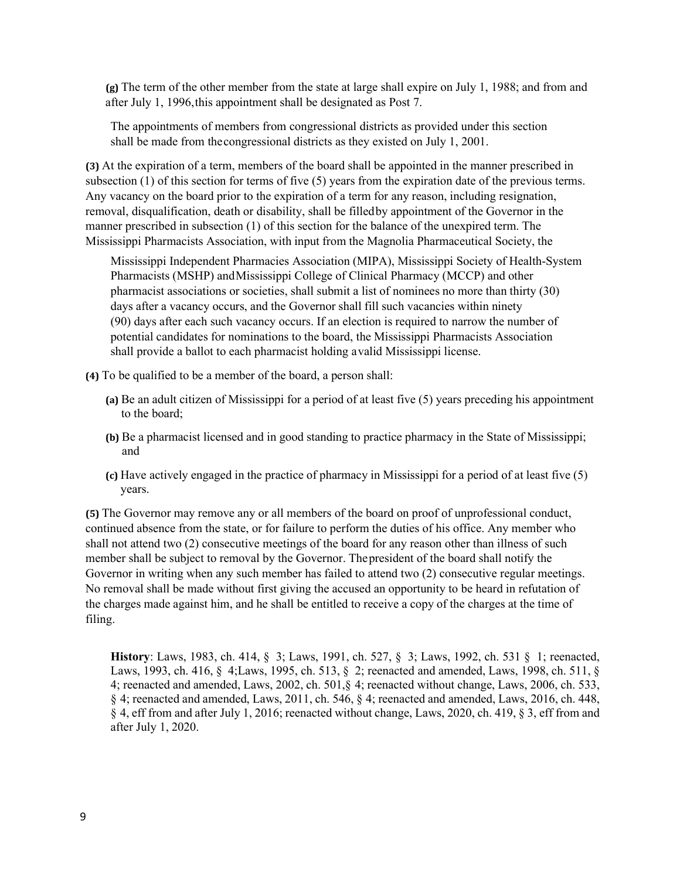**(g)** The term of the other member from the state at large shall expire on July 1, 1988; and from and after July 1, 1996,this appointment shall be designated as Post 7.

The appointments of members from congressional districts as provided under this section shall be made from thecongressional districts as they existed on July 1, 2001.

**(3)** At the expiration of a term, members of the board shall be appointed in the manner prescribed in subsection (1) of this section for terms of five (5) years from the expiration date of the previous terms. Any vacancy on the board prior to the expiration of a term for any reason, including resignation, removal, disqualification, death or disability, shall be filledby appointment of the Governor in the manner prescribed in subsection (1) of this section for the balance of the unexpired term. The Mississippi Pharmacists Association, with input from the Magnolia Pharmaceutical Society, the

Mississippi Independent Pharmacies Association (MIPA), Mississippi Society of Health-System Pharmacists (MSHP) andMississippi College of Clinical Pharmacy (MCCP) and other pharmacist associations or societies, shall submit a list of nominees no more than thirty (30) days after a vacancy occurs, and the Governor shall fill such vacancies within ninety (90) days after each such vacancy occurs. If an election is required to narrow the number of potential candidates for nominations to the board, the Mississippi Pharmacists Association shall provide a ballot to each pharmacist holding avalid Mississippi license.

**(4)** To be qualified to be a member of the board, a person shall:

- **(a)** Be an adult citizen of Mississippi for a period of at least five (5) years preceding his appointment to the board;
- **(b)** Be a pharmacist licensed and in good standing to practice pharmacy in the State of Mississippi; and
- **(c)** Have actively engaged in the practice of pharmacy in Mississippi for a period of at least five (5) years.

**(5)** The Governor may remove any or all members of the board on proof of unprofessional conduct, continued absence from the state, or for failure to perform the duties of his office. Any member who shall not attend two (2) consecutive meetings of the board for any reason other than illness of such member shall be subject to removal by the Governor. Thepresident of the board shall notify the Governor in writing when any such member has failed to attend two (2) consecutive regular meetings. No removal shall be made without first giving the accused an opportunity to be heard in refutation of the charges made against him, and he shall be entitled to receive a copy of the charges at the time of filing.

**History**: Laws, 1983, ch. 414, § 3; Laws, 1991, ch. 527, § 3; Laws, 1992, ch. 531 § 1; reenacted, Laws, 1993, ch. 416, § 4;Laws, 1995, ch. 513, § 2; reenacted and amended, Laws, 1998, ch. 511, § 4; reenacted and amended, Laws, 2002, ch. 501,§ 4; reenacted without change, Laws, 2006, ch. 533, § 4; reenacted and amended, Laws, 2011, ch. 546, § 4; reenacted and amended, Laws, 2016, ch. 448, § 4, eff from and after July 1, 2016; reenacted without change, Laws, 2020, ch. 419, § 3, eff from and after July 1, 2020.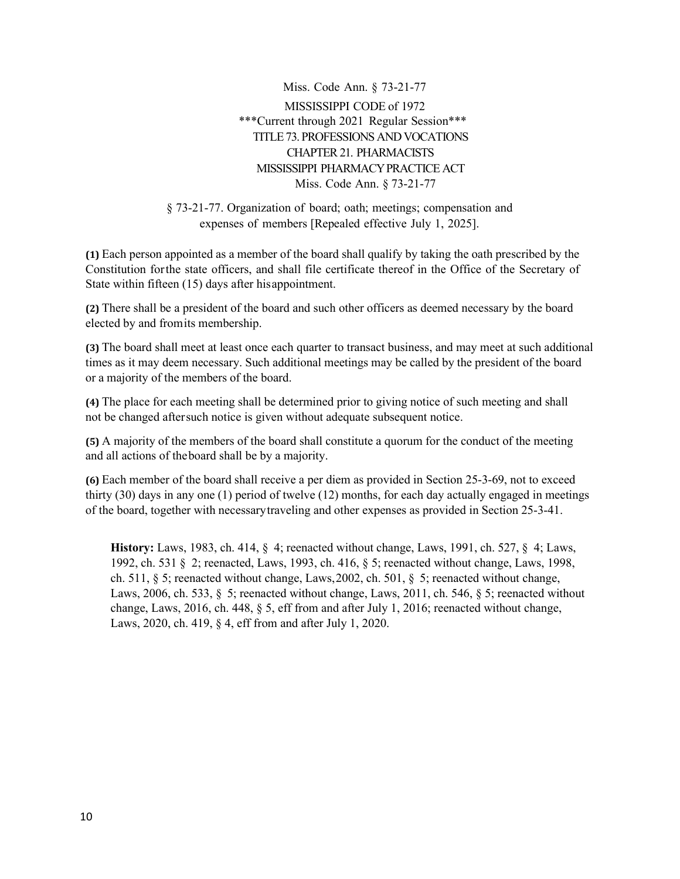Miss. Code Ann. § 73-21-77 MISSISSIPPI CODE of 1972 \*\*\*Current through 2021 Regular Session\*\*\* TITLE 73. PROFESSIONS AND VOCATIONS CHAPTER21. PHARMACISTS MISSISSIPPI PHARMACYPRACTICE ACT Miss. Code Ann. § 73-21-77

§ 73-21-77. Organization of board; oath; meetings; compensation and expenses of members [Repealed effective July 1, 2025].

**(1)** Each person appointed as a member of the board shall qualify by taking the oath prescribed by the Constitution forthe state officers, and shall file certificate thereof in the Office of the Secretary of State within fifteen (15) days after hisappointment.

**(2)** There shall be a president of the board and such other officers as deemed necessary by the board elected by and fromits membership.

**(3)** The board shall meet at least once each quarter to transact business, and may meet at such additional times as it may deem necessary. Such additional meetings may be called by the president of the board or a majority of the members of the board.

**(4)** The place for each meeting shall be determined prior to giving notice of such meeting and shall not be changed aftersuch notice is given without adequate subsequent notice.

**(5)** A majority of the members of the board shall constitute a quorum for the conduct of the meeting and all actions of theboard shall be by a majority.

**(6)** Each member of the board shall receive a per diem as provided in Section 25-3-69, not to exceed thirty (30) days in any one (1) period of twelve (12) months, for each day actually engaged in meetings of the board, together with necessarytraveling and other expenses as provided in Section 25-3-41.

**History:** Laws, 1983, ch. 414, § 4; reenacted without change, Laws, 1991, ch. 527, § 4; Laws, 1992, ch. 531 § 2; reenacted, Laws, 1993, ch. 416, § 5; reenacted without change, Laws, 1998, ch. 511, § 5; reenacted without change, Laws,2002, ch. 501, § 5; reenacted without change, Laws, 2006, ch. 533, § 5; reenacted without change, Laws, 2011, ch. 546, § 5; reenacted without change, Laws, 2016, ch. 448, § 5, eff from and after July 1, 2016; reenacted without change, Laws, 2020, ch. 419, § 4, eff from and after July 1, 2020.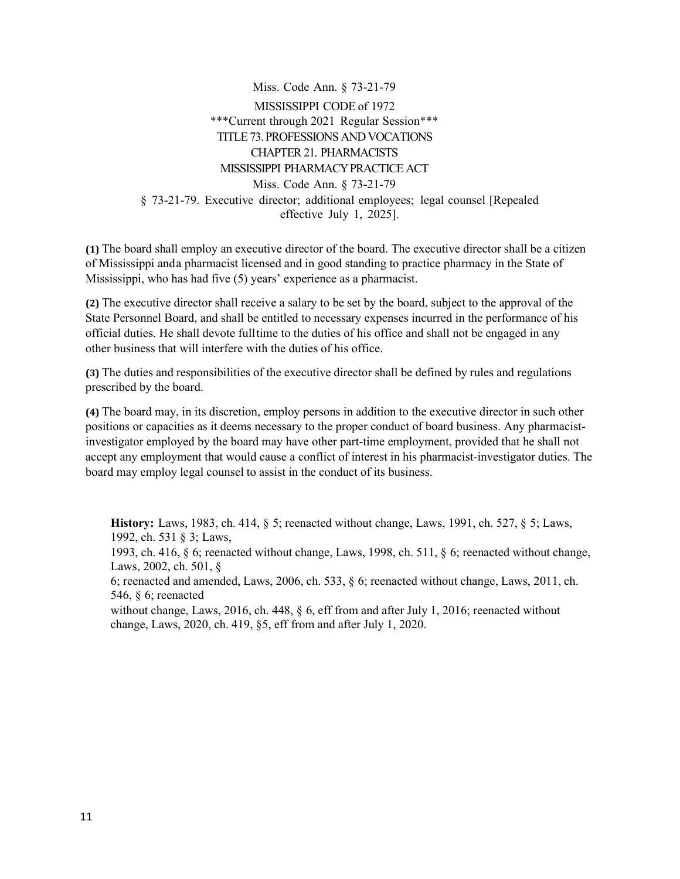Miss. Code Ann. § 73-21-79 MISSISSIPPI CODE of 1972 \*\*\*Current through 2021 Regular Session\*\*\* TITLE 73. PROFESSIONS AND VOCATIONS CHAPTER21. PHARMACISTS MISSISSIPPI PHARMACYPRACTICE ACT Miss. Code Ann. § 73-21-79 § 73-21-79. Executive director; additional employees; legal counsel [Repealed effective July 1, 2025].

**(1)** The board shall employ an executive director of the board. The executive director shall be a citizen of Mississippi anda pharmacist licensed and in good standing to practice pharmacy in the State of Mississippi, who has had five (5) years' experience as a pharmacist.

**(2)** The executive director shall receive a salary to be set by the board, subject to the approval of the State Personnel Board, and shall be entitled to necessary expenses incurred in the performance of his official duties. He shall devote fulltime to the duties of his office and shall not be engaged in any other business that will interfere with the duties of his office.

**(3)** The duties and responsibilities of the executive director shall be defined by rules and regulations prescribed by the board.

**(4)** The board may, in its discretion, employ persons in addition to the executive director in such other positions or capacities as it deems necessary to the proper conduct of board business. Any pharmacistinvestigator employed by the board may have other part-time employment, provided that he shall not accept any employment that would cause a conflict of interest in his pharmacist-investigator duties. The board may employ legal counsel to assist in the conduct of its business.

**History:** Laws, 1983, ch. 414, § 5; reenacted without change, Laws, 1991, ch. 527, § 5; Laws, 1992, ch. 531 § 3; Laws, 1993, ch. 416, § 6; reenacted without change, Laws, 1998, ch. 511, § 6; reenacted without change, Laws, 2002, ch. 501, § 6; reenacted and amended, Laws, 2006, ch. 533, § 6; reenacted without change, Laws, 2011, ch. 546, § 6; reenacted without change, Laws, 2016, ch. 448, § 6, eff from and after July 1, 2016; reenacted without change, Laws, 2020, ch. 419, §5, eff from and after July 1, 2020.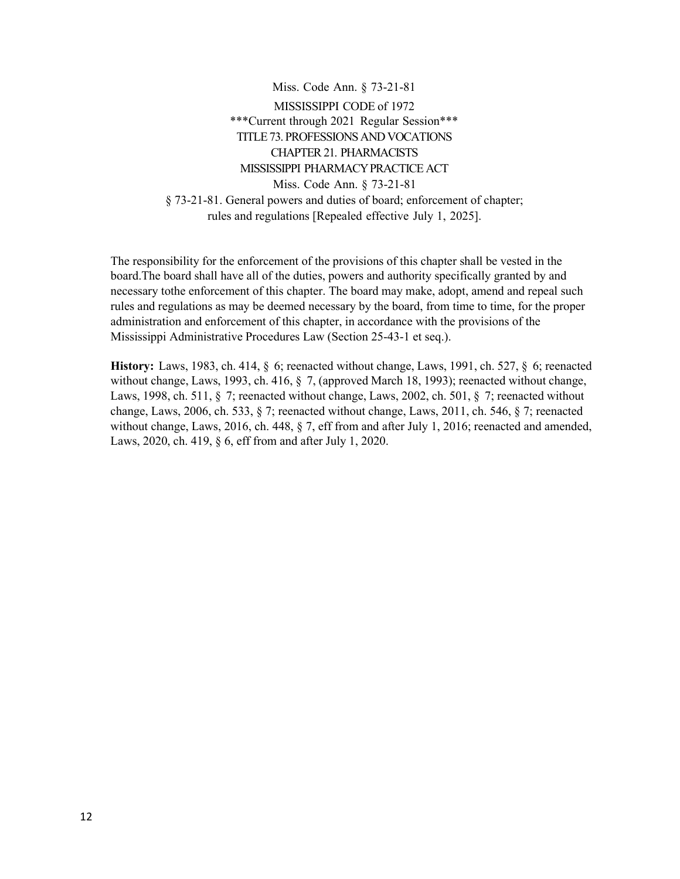Miss. Code Ann. § 73-21-81 MISSISSIPPI CODE of 1972 \*\*\*Current through 2021 Regular Session\*\*\* TITLE 73. PROFESSIONSAND VOCATIONS CHAPTER21. PHARMACISTS MISSISSIPPI PHARMACYPRACTICE ACT Miss. Code Ann. § 73-21-81 § 73-21-81. General powers and duties of board; enforcement of chapter; rules and regulations [Repealed effective July 1, 2025].

The responsibility for the enforcement of the provisions of this chapter shall be vested in the board.The board shall have all of the duties, powers and authority specifically granted by and necessary tothe enforcement of this chapter. The board may make, adopt, amend and repeal such rules and regulations as may be deemed necessary by the board, from time to time, for the proper administration and enforcement of this chapter, in accordance with the provisions of the Mississippi Administrative Procedures Law (Section 25-43-1 et seq.).

**History:** Laws, 1983, ch. 414, § 6; reenacted without change, Laws, 1991, ch. 527, § 6; reenacted without change, Laws, 1993, ch. 416, § 7, (approved March 18, 1993); reenacted without change, Laws, 1998, ch. 511, § 7; reenacted without change, Laws, 2002, ch. 501, § 7; reenacted without change, Laws, 2006, ch. 533, § 7; reenacted without change, Laws, 2011, ch. 546, § 7; reenacted without change, Laws, 2016, ch. 448, § 7, eff from and after July 1, 2016; reenacted and amended, Laws, 2020, ch. 419, § 6, eff from and after July 1, 2020.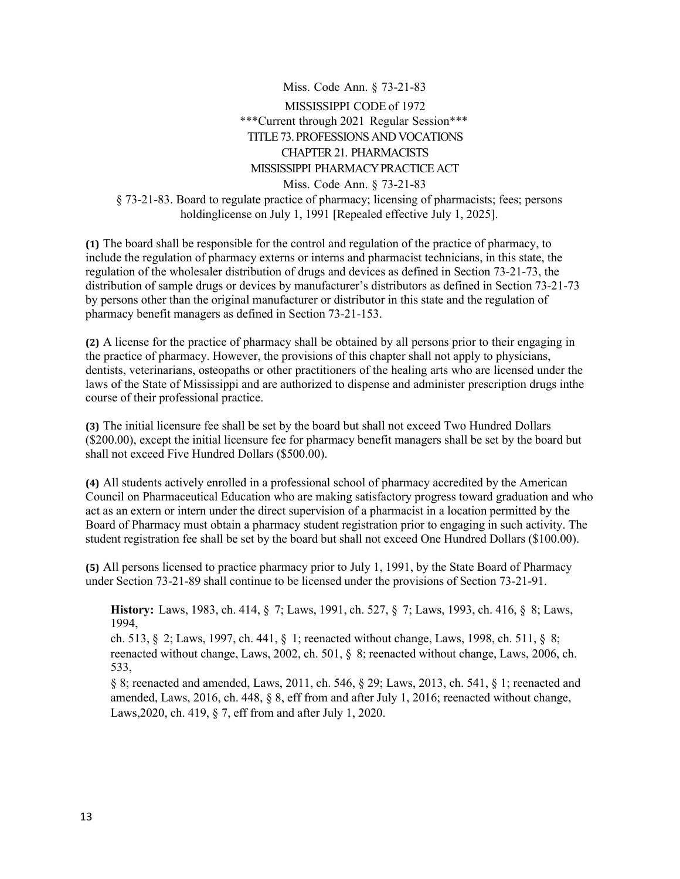Miss. Code Ann. § 73-21-83 MISSISSIPPI CODE of 1972 \*\*\*Current through 2021 Regular Session\*\*\* TITLE 73. PROFESSIONS AND VOCATIONS CHAPTER21. PHARMACISTS MISSISSIPPI PHARMACYPRACTICE ACT Miss. Code Ann. § 73-21-83 § 73-21-83. Board to regulate practice of pharmacy; licensing of pharmacists; fees; persons holdinglicense on July 1, 1991 [Repealed effective July 1, 2025].

**(1)** The board shall be responsible for the control and regulation of the practice of pharmacy, to include the regulation of pharmacy externs or interns and pharmacist technicians, in this state, the regulation of the wholesaler distribution of drugs and devices as defined in Section 73-21-73, the distribution of sample drugs or devices by manufacturer's distributors as defined in Section 73-21-73 by persons other than the original manufacturer or distributor in this state and the regulation of pharmacy benefit managers as defined in Section 73-21-153.

**(2)** A license for the practice of pharmacy shall be obtained by all persons prior to their engaging in the practice of pharmacy. However, the provisions of this chapter shall not apply to physicians, dentists, veterinarians, osteopaths or other practitioners of the healing arts who are licensed under the laws of the State of Mississippi and are authorized to dispense and administer prescription drugs inthe course of their professional practice.

**(3)** The initial licensure fee shall be set by the board but shall not exceed Two Hundred Dollars (\$200.00), except the initial licensure fee for pharmacy benefit managers shall be set by the board but shall not exceed Five Hundred Dollars (\$500.00).

**(4)** All students actively enrolled in a professional school of pharmacy accredited by the American Council on Pharmaceutical Education who are making satisfactory progress toward graduation and who act as an extern or intern under the direct supervision of a pharmacist in a location permitted by the Board of Pharmacy must obtain a pharmacy student registration prior to engaging in such activity. The student registration fee shall be set by the board but shall not exceed One Hundred Dollars (\$100.00).

**(5)** All persons licensed to practice pharmacy prior to July 1, 1991, by the State Board of Pharmacy under Section 73-21-89 shall continue to be licensed under the provisions of Section 73-21-91.

**History:** Laws, 1983, ch. 414, § 7; Laws, 1991, ch. 527, § 7; Laws, 1993, ch. 416, § 8; Laws, 1994,

ch. 513, § 2; Laws, 1997, ch. 441, § 1; reenacted without change, Laws, 1998, ch. 511, § 8; reenacted without change, Laws, 2002, ch. 501, § 8; reenacted without change, Laws, 2006, ch. 533,

§ 8; reenacted and amended, Laws, 2011, ch. 546, § 29; Laws, 2013, ch. 541, § 1; reenacted and amended, Laws, 2016, ch. 448, § 8, eff from and after July 1, 2016; reenacted without change, Laws,2020, ch. 419, § 7, eff from and after July 1, 2020.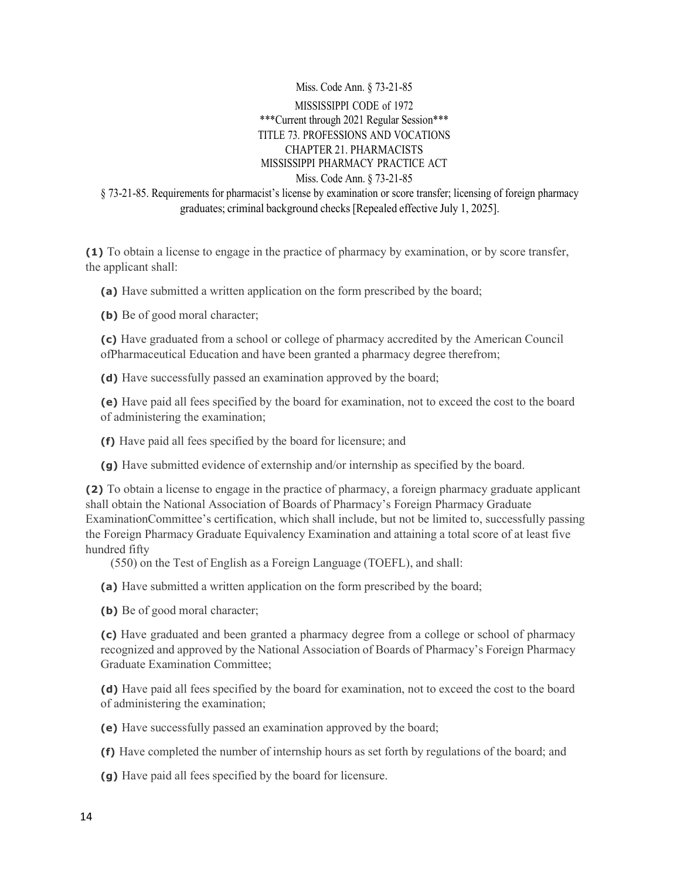Miss. Code Ann. § 73-21-85 MISSISSIPPI CODE of 1972 \*\*\*Current through 2021 Regular Session\*\*\* TITLE 73. PROFESSIONS AND VOCATIONS CHAPTER 21. PHARMACISTS MISSISSIPPI PHARMACY PRACTICE ACT Miss. Code Ann. § 73-21-85 § 73-21-85. Requirements for pharmacist's license by examination or score transfer; licensing of foreign pharmacy graduates; criminal background checks [Repealed effective July 1, 2025].

**(1)** To obtain a license to engage in the practice of pharmacy by examination, or by score transfer, the applicant shall:

**(a)** Have submitted a written application on the form prescribed by the board;

**(b)** Be of good moral character;

**(c)** Have graduated from a school or college of pharmacy accredited by the American Council ofPharmaceutical Education and have been granted a pharmacy degree therefrom;

**(d)** Have successfully passed an examination approved by the board;

**(e)** Have paid all fees specified by the board for examination, not to exceed the cost to the board of administering the examination;

**(f)** Have paid all fees specified by the board for licensure; and

**(g)** Have submitted evidence of externship and/or internship as specified by the board.

**(2)** To obtain a license to engage in the practice of pharmacy, a foreign pharmacy graduate applicant shall obtain the National Association of Boards of Pharmacy's Foreign Pharmacy Graduate ExaminationCommittee's certification, which shall include, but not be limited to, successfully passing the Foreign Pharmacy Graduate Equivalency Examination and attaining a total score of at least five hundred fifty

(550) on the Test of English as a Foreign Language (TOEFL), and shall:

**(a)** Have submitted a written application on the form prescribed by the board;

**(b)** Be of good moral character;

**(c)** Have graduated and been granted a pharmacy degree from a college or school of pharmacy recognized and approved by the National Association of Boards of Pharmacy's Foreign Pharmacy Graduate Examination Committee;

**(d)** Have paid all fees specified by the board for examination, not to exceed the cost to the board of administering the examination;

**(e)** Have successfully passed an examination approved by the board;

**(f)** Have completed the number of internship hours as set forth by regulations of the board; and

**(g)** Have paid all fees specified by the board for licensure.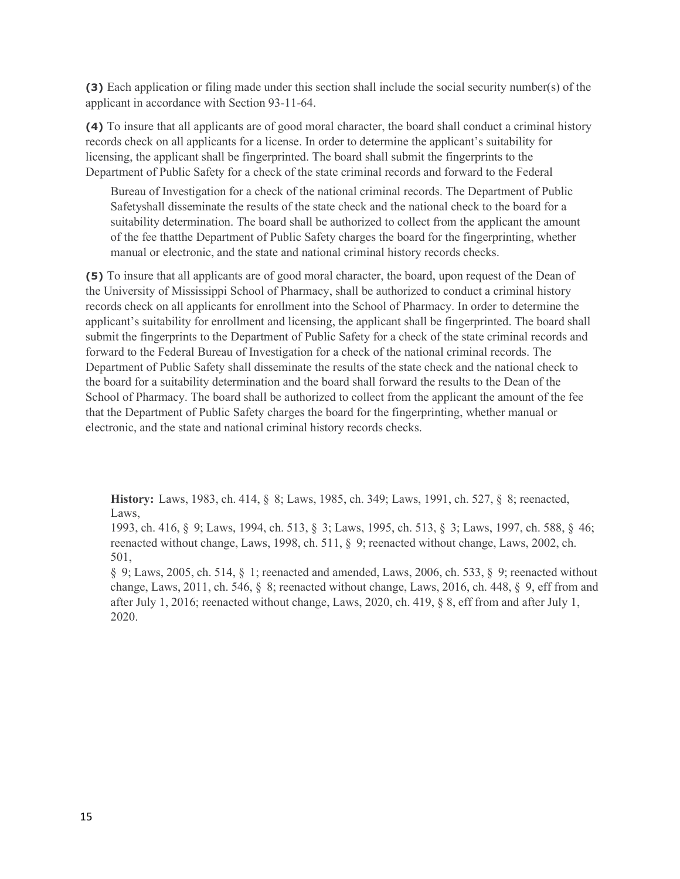**(3)** Each application or filing made under this section shall include the social security number(s) of the applicant in accordance with Section 93-11-64.

**(4)** To insure that all applicants are of good moral character, the board shall conduct a criminal history records check on all applicants for a license. In order to determine the applicant's suitability for licensing, the applicant shall be fingerprinted. The board shall submit the fingerprints to the Department of Public Safety for a check of the state criminal records and forward to the Federal

Bureau of Investigation for a check of the national criminal records. The Department of Public Safetyshall disseminate the results of the state check and the national check to the board for a suitability determination. The board shall be authorized to collect from the applicant the amount of the fee thatthe Department of Public Safety charges the board for the fingerprinting, whether manual or electronic, and the state and national criminal history records checks.

**(5)** To insure that all applicants are of good moral character, the board, upon request of the Dean of the University of Mississippi School of Pharmacy, shall be authorized to conduct a criminal history records check on all applicants for enrollment into the School of Pharmacy. In order to determine the applicant's suitability for enrollment and licensing, the applicant shall be fingerprinted. The board shall submit the fingerprints to the Department of Public Safety for a check of the state criminal records and forward to the Federal Bureau of Investigation for a check of the national criminal records. The Department of Public Safety shall disseminate the results of the state check and the national check to the board for a suitability determination and the board shall forward the results to the Dean of the School of Pharmacy. The board shall be authorized to collect from the applicant the amount of the fee that the Department of Public Safety charges the board for the fingerprinting, whether manual or electronic, and the state and national criminal history records checks.

**History:** Laws, 1983, ch. 414, § 8; Laws, 1985, ch. 349; Laws, 1991, ch. 527, § 8; reenacted, Laws,

1993, ch. 416, § 9; Laws, 1994, ch. 513, § 3; Laws, 1995, ch. 513, § 3; Laws, 1997, ch. 588, § 46; reenacted without change, Laws, 1998, ch. 511, § 9; reenacted without change, Laws, 2002, ch. 501,

§ 9; Laws, 2005, ch. 514, § 1; reenacted and amended, Laws, 2006, ch. 533, § 9; reenacted without change, Laws, 2011, ch. 546,  $\S$  8; reenacted without change, Laws, 2016, ch. 448,  $\S$  9, eff from and after July 1, 2016; reenacted without change, Laws, 2020, ch. 419, § 8, eff from and after July 1, 2020.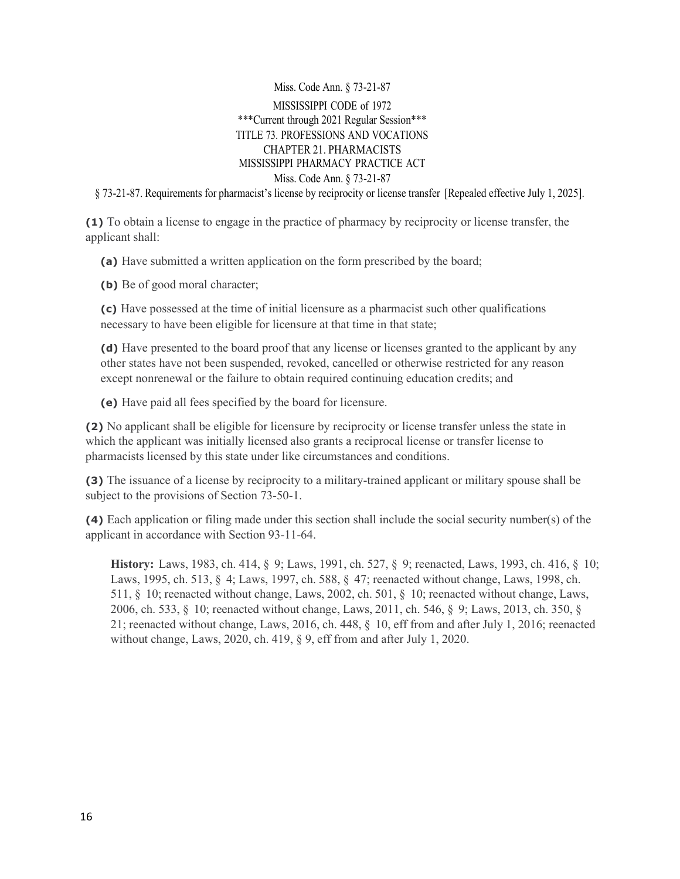Miss. Code Ann. § 73-21-87 MISSISSIPPI CODE of 1972 \*\*\*Current through 2021 Regular Session\*\*\* TITLE 73. PROFESSIONS AND VOCATIONS CHAPTER 21. PHARMACISTS MISSISSIPPI PHARMACY PRACTICE ACT Miss. Code Ann. § 73-21-87

§ 73-21-87. Requirements for pharmacist's license by reciprocity or license transfer [Repealed effective July 1, 2025].

**(1)** To obtain a license to engage in the practice of pharmacy by reciprocity or license transfer, the applicant shall:

**(a)** Have submitted a written application on the form prescribed by the board;

**(b)** Be of good moral character;

**(c)** Have possessed at the time of initial licensure as a pharmacist such other qualifications necessary to have been eligible for licensure at that time in that state;

**(d)** Have presented to the board proof that any license or licenses granted to the applicant by any other states have not been suspended, revoked, cancelled or otherwise restricted for any reason except nonrenewal or the failure to obtain required continuing education credits; and

**(e)** Have paid all fees specified by the board for licensure.

**(2)** No applicant shall be eligible for licensure by reciprocity or license transfer unless the state in which the applicant was initially licensed also grants a reciprocal license or transfer license to pharmacists licensed by this state under like circumstances and conditions.

**(3)** The issuance of a license by reciprocity to a military-trained applicant or military spouse shall be subject to the provisions of Section 73-50-1.

**(4)** Each application or filing made under this section shall include the social security number(s) of the applicant in accordance with Section 93-11-64.

**History:** Laws, 1983, ch. 414, § 9; Laws, 1991, ch. 527, § 9; reenacted, Laws, 1993, ch. 416, § 10; Laws, 1995, ch. 513, § 4; Laws, 1997, ch. 588, § 47; reenacted without change, Laws, 1998, ch. 511, § 10; reenacted without change, Laws, 2002, ch. 501, § 10; reenacted without change, Laws, 2006, ch. 533, § 10; reenacted without change, Laws, 2011, ch. 546, § 9; Laws, 2013, ch. 350, § 21; reenacted without change, Laws, 2016, ch. 448, § 10, eff from and after July 1, 2016; reenacted without change, Laws, 2020, ch. 419, § 9, eff from and after July 1, 2020.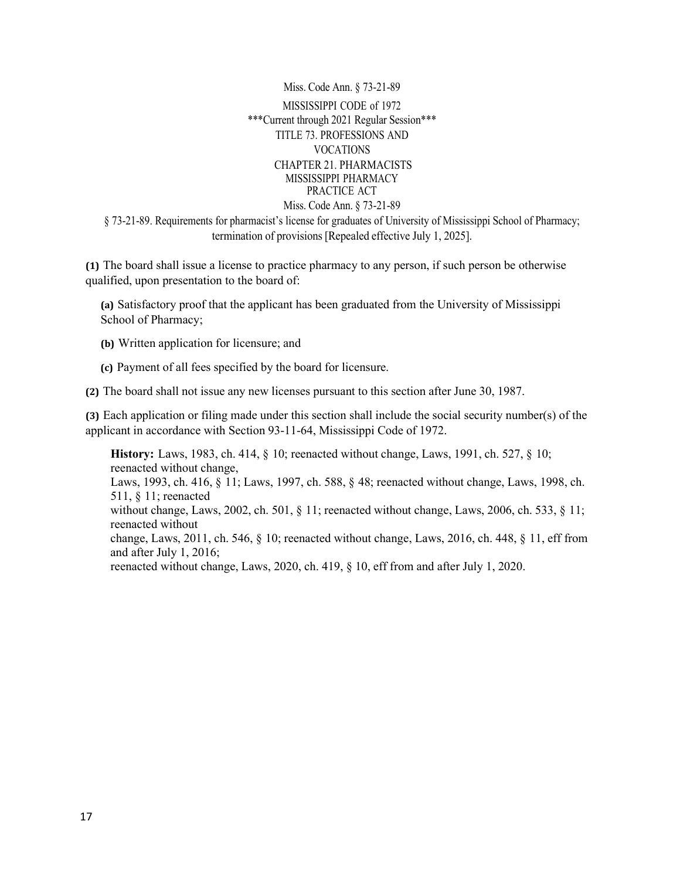Miss. Code Ann. § 73-21-89 MISSISSIPPI CODE of 1972 \*\*\*Current through 2021 Regular Session\*\*\* TITLE 73. PROFESSIONS AND VOCATIONS CHAPTER 21. PHARMACISTS MISSISSIPPI PHARMACY PRACTICE ACT Miss. Code Ann. § 73-21-89 § 73-21-89. Requirements for pharmacist's license for graduates of University of Mississippi School of Pharmacy; termination of provisions [Repealed effective July 1, 2025].

**(1)** The board shall issue a license to practice pharmacy to any person, if such person be otherwise qualified, upon presentation to the board of:

**(a)** Satisfactory proof that the applicant has been graduated from the University of Mississippi School of Pharmacy;

- **(b)** Written application for licensure; and
- **(c)** Payment of all fees specified by the board for licensure.

**(2)** The board shall not issue any new licenses pursuant to this section after June 30, 1987.

**(3)** Each application or filing made under this section shall include the social security number(s) of the applicant in accordance with Section 93-11-64, Mississippi Code of 1972.

**History:** Laws, 1983, ch. 414, § 10; reenacted without change, Laws, 1991, ch. 527, § 10; reenacted without change, Laws, 1993, ch. 416, § 11; Laws, 1997, ch. 588, § 48; reenacted without change, Laws, 1998, ch. 511, § 11; reenacted without change, Laws, 2002, ch. 501, § 11; reenacted without change, Laws, 2006, ch. 533, § 11; reenacted without change, Laws, 2011, ch. 546, § 10; reenacted without change, Laws, 2016, ch. 448, § 11, eff from and after July 1, 2016; reenacted without change, Laws, 2020, ch. 419, § 10, eff from and after July 1, 2020.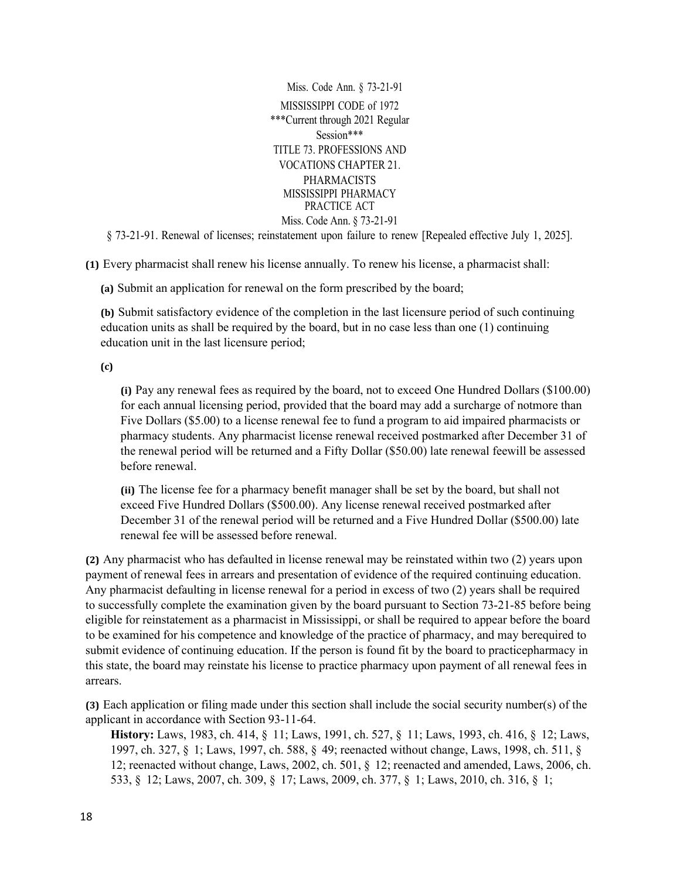Miss. Code Ann. § 73-21-91 MISSISSIPPI CODE of 1972 \*\*\*Current through 2021 Regular Session\*\*\* TITLE 73. PROFESSIONS AND VOCATIONS CHAPTER 21. PHARMACISTS MISSISSIPPI PHARMACY PRACTICE ACT Miss. Code Ann. § 73-21-91

§ 73-21-91. Renewal of licenses; reinstatement upon failure to renew [Repealed effective July 1, 2025].

**(1)** Every pharmacist shall renew his license annually. To renew his license, a pharmacist shall:

**(a)** Submit an application for renewal on the form prescribed by the board;

**(b)** Submit satisfactory evidence of the completion in the last licensure period of such continuing education units as shall be required by the board, but in no case less than one (1) continuing education unit in the last licensure period;

**(c)**

**(i)** Pay any renewal fees as required by the board, not to exceed One Hundred Dollars (\$100.00) for each annual licensing period, provided that the board may add a surcharge of notmore than Five Dollars (\$5.00) to a license renewal fee to fund a program to aid impaired pharmacists or pharmacy students. Any pharmacist license renewal received postmarked after December 31 of the renewal period will be returned and a Fifty Dollar (\$50.00) late renewal feewill be assessed before renewal.

**(ii)** The license fee for a pharmacy benefit manager shall be set by the board, but shall not exceed Five Hundred Dollars (\$500.00). Any license renewal received postmarked after December 31 of the renewal period will be returned and a Five Hundred Dollar (\$500.00) late renewal fee will be assessed before renewal.

**(2)** Any pharmacist who has defaulted in license renewal may be reinstated within two (2) years upon payment of renewal fees in arrears and presentation of evidence of the required continuing education. Any pharmacist defaulting in license renewal for a period in excess of two (2) years shall be required to successfully complete the examination given by the board pursuant to Section 73-21-85 before being eligible for reinstatement as a pharmacist in Mississippi, or shall be required to appear before the board to be examined for his competence and knowledge of the practice of pharmacy, and may berequired to submit evidence of continuing education. If the person is found fit by the board to practicepharmacy in this state, the board may reinstate his license to practice pharmacy upon payment of all renewal fees in arrears.

**(3)** Each application or filing made under this section shall include the social security number(s) of the applicant in accordance with Section 93-11-64.

**History:** Laws, 1983, ch. 414, § 11; Laws, 1991, ch. 527, § 11; Laws, 1993, ch. 416, § 12; Laws, 1997, ch. 327, § 1; Laws, 1997, ch. 588, § 49; reenacted without change, Laws, 1998, ch. 511, § 12; reenacted without change, Laws, 2002, ch. 501, § 12; reenacted and amended, Laws, 2006, ch. 533, § 12; Laws, 2007, ch. 309, § 17; Laws, 2009, ch. 377, § 1; Laws, 2010, ch. 316, § 1;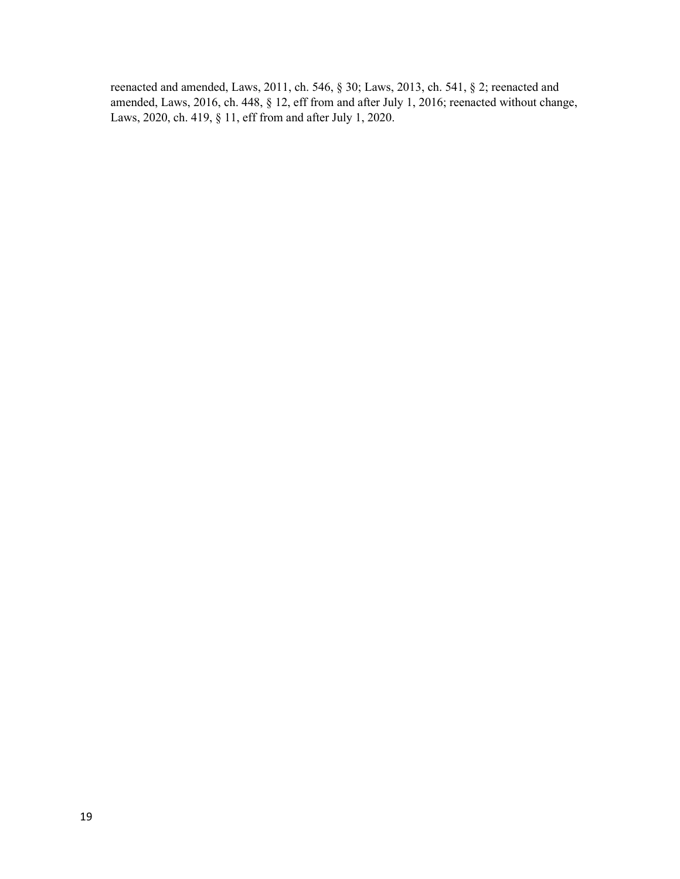reenacted and amended, Laws, 2011, ch. 546, § 30; Laws, 2013, ch. 541, § 2; reenacted and amended, Laws, 2016, ch. 448, § 12, eff from and after July 1, 2016; reenacted without change, Laws, 2020, ch. 419, § 11, eff from and after July 1, 2020.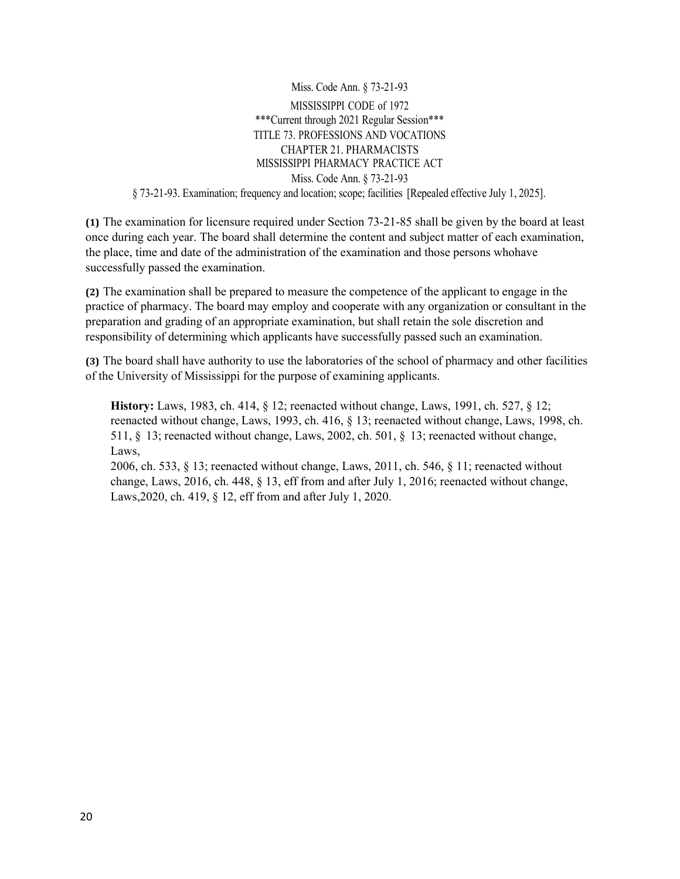Miss. Code Ann. § 73-21-93 MISSISSIPPI CODE of 1972 \*\*\*Current through 2021 Regular Session\*\*\* TITLE 73. PROFESSIONS AND VOCATIONS CHAPTER 21. PHARMACISTS MISSISSIPPI PHARMACY PRACTICE ACT Miss. Code Ann. § 73-21-93 § 73-21-93. Examination; frequency and location; scope; facilities [Repealed effective July 1, 2025].

**(1)** The examination for licensure required under Section 73-21-85 shall be given by the board at least once during each year. The board shall determine the content and subject matter of each examination, the place, time and date of the administration of the examination and those persons whohave successfully passed the examination.

**(2)** The examination shall be prepared to measure the competence of the applicant to engage in the practice of pharmacy. The board may employ and cooperate with any organization or consultant in the preparation and grading of an appropriate examination, but shall retain the sole discretion and responsibility of determining which applicants have successfully passed such an examination.

**(3)** The board shall have authority to use the laboratories of the school of pharmacy and other facilities of the University of Mississippi for the purpose of examining applicants.

**History:** Laws, 1983, ch. 414, § 12; reenacted without change, Laws, 1991, ch. 527, § 12; reenacted without change, Laws, 1993, ch. 416, § 13; reenacted without change, Laws, 1998, ch. 511, § 13; reenacted without change, Laws, 2002, ch. 501, § 13; reenacted without change, Laws,

2006, ch. 533, § 13; reenacted without change, Laws, 2011, ch. 546, § 11; reenacted without change, Laws, 2016, ch. 448, § 13, eff from and after July 1, 2016; reenacted without change, Laws,2020, ch. 419, § 12, eff from and after July 1, 2020.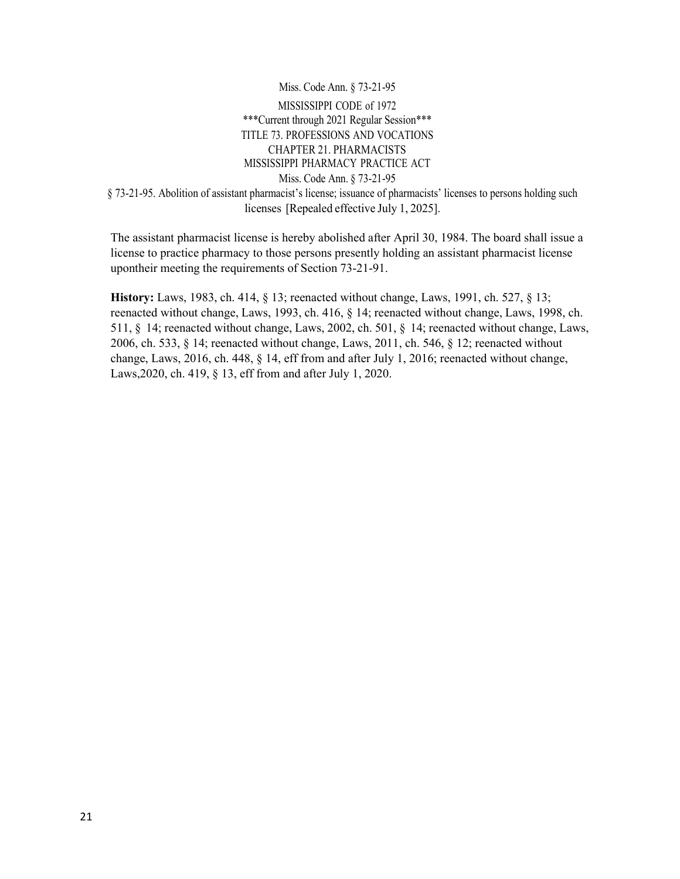Miss. Code Ann. § 73-21-95 MISSISSIPPI CODE of 1972 \*\*\*Current through 2021 Regular Session\*\*\* TITLE 73. PROFESSIONS AND VOCATIONS CHAPTER 21. PHARMACISTS MISSISSIPPI PHARMACY PRACTICE ACT Miss. Code Ann. § 73-21-95 § 73-21-95. Abolition of assistant pharmacist's license; issuance of pharmacists' licenses to persons holding such licenses [Repealed effective July 1, 2025].

The assistant pharmacist license is hereby abolished after April 30, 1984. The board shall issue a license to practice pharmacy to those persons presently holding an assistant pharmacist license upontheir meeting the requirements of Section 73-21-91.

**History:** Laws, 1983, ch. 414, § 13; reenacted without change, Laws, 1991, ch. 527, § 13; reenacted without change, Laws, 1993, ch. 416, § 14; reenacted without change, Laws, 1998, ch. 511, § 14; reenacted without change, Laws, 2002, ch. 501, § 14; reenacted without change, Laws, 2006, ch. 533, § 14; reenacted without change, Laws, 2011, ch. 546, § 12; reenacted without change, Laws, 2016, ch. 448, § 14, eff from and after July 1, 2016; reenacted without change, Laws,2020, ch. 419, § 13, eff from and after July 1, 2020.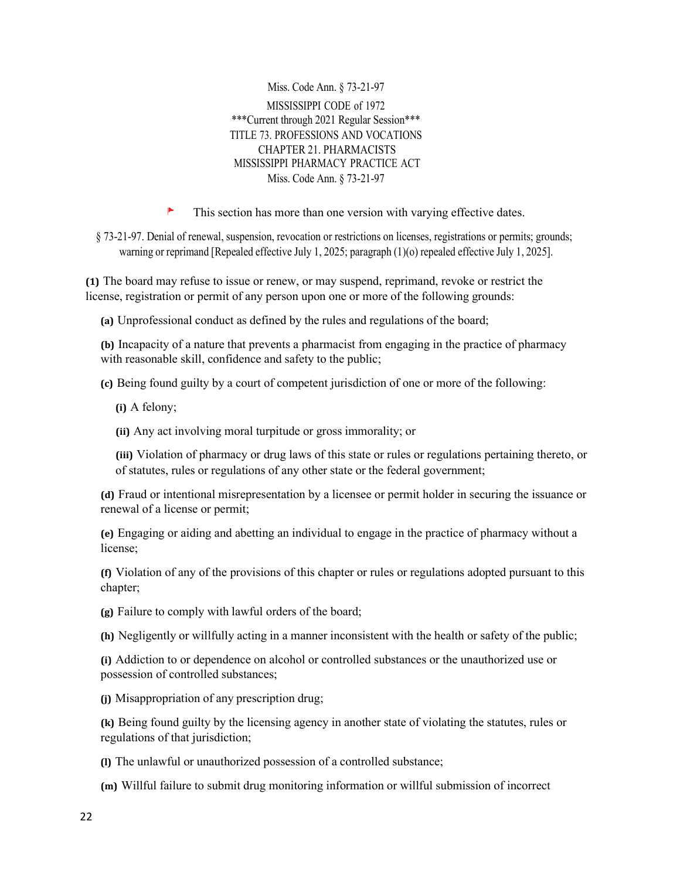Miss. Code Ann. § 73-21-97 MISSISSIPPI CODE of 1972 \*\*\*Current through 2021 Regular Session\*\*\* TITLE 73. PROFESSIONS AND VOCATIONS CHAPTER 21. PHARMACISTS MISSISSIPPI PHARMACY PRACTICE ACT Miss. Code Ann. § 73-21-97

P This section has more than one version with varying effective dates.

§ 73-21-97. Denial of renewal, suspension, revocation or restrictions on licenses, registrations or permits; grounds; warning or reprimand [Repealed effective July 1, 2025; paragraph (1)(o) repealed effective July 1, 2025].

**(1)** The board may refuse to issue or renew, or may suspend, reprimand, revoke or restrict the license, registration or permit of any person upon one or more of the following grounds:

**(a)** Unprofessional conduct as defined by the rules and regulations of the board;

**(b)** Incapacity of a nature that prevents a pharmacist from engaging in the practice of pharmacy with reasonable skill, confidence and safety to the public;

**(c)** Being found guilty by a court of competent jurisdiction of one or more of the following:

**(i)** A felony;

**(ii)** Any act involving moral turpitude or gross immorality; or

**(iii)** Violation of pharmacy or drug laws of this state or rules or regulations pertaining thereto, or of statutes, rules or regulations of any other state or the federal government;

**(d)** Fraud or intentional misrepresentation by a licensee or permit holder in securing the issuance or renewal of a license or permit;

**(e)** Engaging or aiding and abetting an individual to engage in the practice of pharmacy without a license;

**(f)** Violation of any of the provisions of this chapter or rules or regulations adopted pursuant to this chapter;

**(g)** Failure to comply with lawful orders of the board;

**(h)** Negligently or willfully acting in a manner inconsistent with the health or safety of the public;

**(i)** Addiction to or dependence on alcohol or controlled substances or the unauthorized use or possession of controlled substances;

**(j)** Misappropriation of any prescription drug;

**(k)** Being found guilty by the licensing agency in another state of violating the statutes, rules or regulations of that jurisdiction;

**(l)** The unlawful or unauthorized possession of a controlled substance;

**(m)** Willful failure to submit drug monitoring information or willful submission of incorrect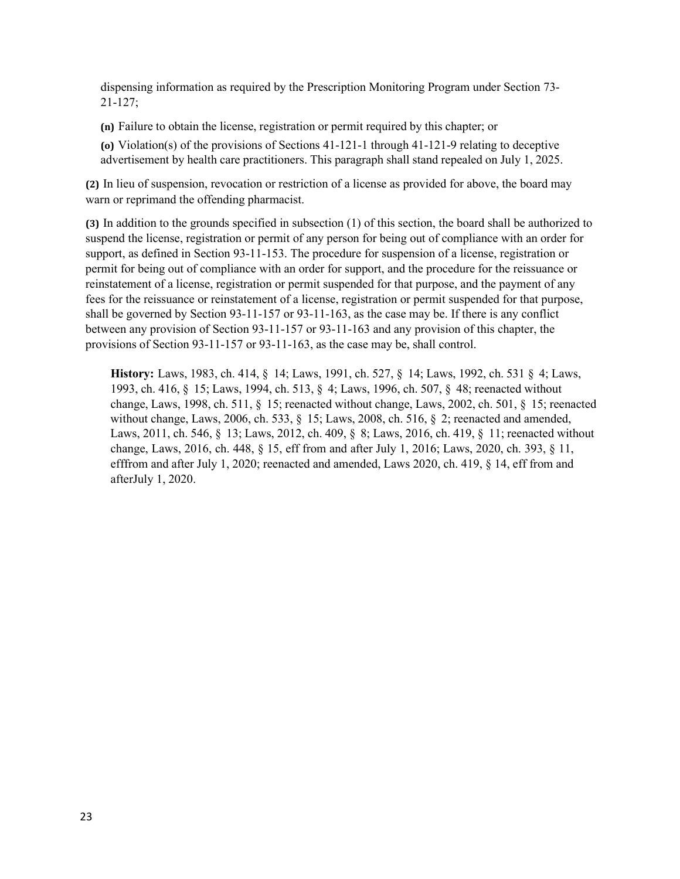dispensing information as required by the Prescription Monitoring Program under Section 73- 21-127;

**(n)** Failure to obtain the license, registration or permit required by this chapter; or

**(o)** Violation(s) of the provisions of Sections 41-121-1 through 41-121-9 relating to deceptive advertisement by health care practitioners. This paragraph shall stand repealed on July 1, 2025.

**(2)** In lieu of suspension, revocation or restriction of a license as provided for above, the board may warn or reprimand the offending pharmacist.

**(3)** In addition to the grounds specified in subsection (1) of this section, the board shall be authorized to suspend the license, registration or permit of any person for being out of compliance with an order for support, as defined in Section 93-11-153. The procedure for suspension of a license, registration or permit for being out of compliance with an order for support, and the procedure for the reissuance or reinstatement of a license, registration or permit suspended for that purpose, and the payment of any fees for the reissuance or reinstatement of a license, registration or permit suspended for that purpose, shall be governed by Section 93-11-157 or 93-11-163, as the case may be. If there is any conflict between any provision of Section 93-11-157 or 93-11-163 and any provision of this chapter, the provisions of Section 93-11-157 or 93-11-163, as the case may be, shall control.

**History:** Laws, 1983, ch. 414, § 14; Laws, 1991, ch. 527, § 14; Laws, 1992, ch. 531 § 4; Laws, 1993, ch. 416, § 15; Laws, 1994, ch. 513, § 4; Laws, 1996, ch. 507, § 48; reenacted without change, Laws, 1998, ch. 511, § 15; reenacted without change, Laws, 2002, ch. 501, § 15; reenacted without change, Laws, 2006, ch. 533, § 15; Laws, 2008, ch. 516, § 2; reenacted and amended, Laws, 2011, ch. 546, § 13; Laws, 2012, ch. 409, § 8; Laws, 2016, ch. 419, § 11; reenacted without change, Laws, 2016, ch. 448, § 15, eff from and after July 1, 2016; Laws, 2020, ch. 393, § 11, efffrom and after July 1, 2020; reenacted and amended, Laws 2020, ch. 419, § 14, eff from and afterJuly 1, 2020.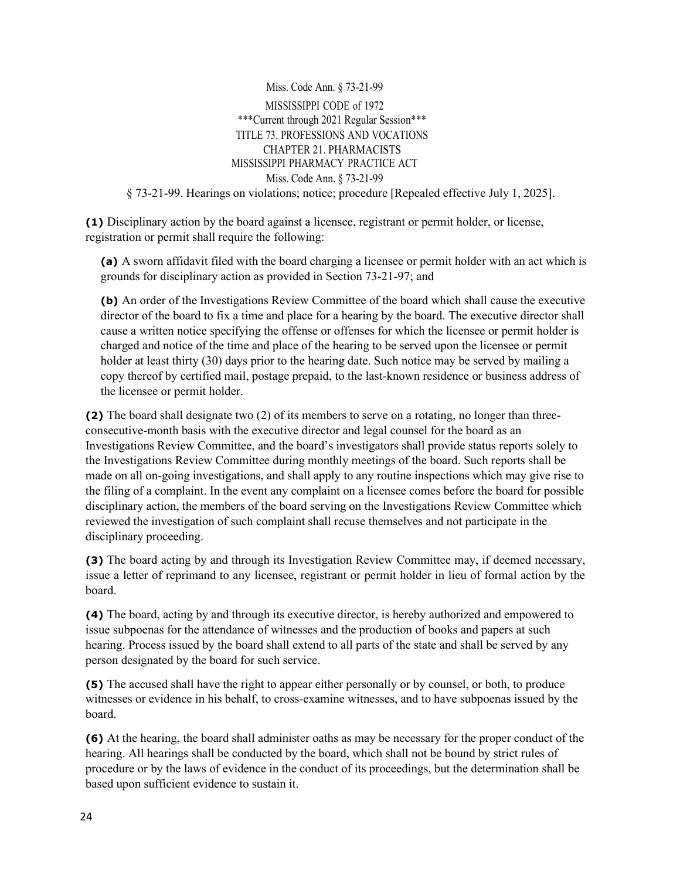Miss. Code Ann. § 73-21-99 MISSISSIPPI CODE of 1972 \*\*\*Current through 2021 Regular Session\*\*\* TITLE 73. PROFESSIONS AND VOCATIONS CHAPTER 21. PHARMACISTS MISSISSIPPI PHARMACY PRACTICE ACT Miss. Code Ann. § 73-21-99 § 73-21-99. Hearings on violations; notice; procedure [Repealed effective July 1, 2025].

**(1)** Disciplinary action by the board against a licensee, registrant or permit holder, or license, registration or permit shall require the following:

**(a)** A sworn affidavit filed with the board charging a licensee or permit holder with an act which is grounds for disciplinary action as provided in Section 73-21-97; and

**(b)** An order of the Investigations Review Committee of the board which shall cause the executive director of the board to fix a time and place for a hearing by the board. The executive director shall cause a written notice specifying the offense or offenses for which the licensee or permit holder is charged and notice of the time and place of the hearing to be served upon the licensee or permit holder at least thirty (30) days prior to the hearing date. Such notice may be served by mailing a copy thereof by certified mail, postage prepaid, to the last-known residence or business address of the licensee or permit holder.

**(2)** The board shall designate two (2) of its members to serve on a rotating, no longer than threeconsecutive-month basis with the executive director and legal counsel for the board as an Investigations Review Committee, and the board's investigators shall provide status reports solely to the Investigations Review Committee during monthly meetings of the board. Such reports shall be made on all on-going investigations, and shall apply to any routine inspections which may give rise to the filing of a complaint. In the event any complaint on a licensee comes before the board for possible disciplinary action, the members of the board serving on the Investigations Review Committee which reviewed the investigation of such complaint shall recuse themselves and not participate in the disciplinary proceeding.

**(3)** The board acting by and through its Investigation Review Committee may, if deemed necessary, issue a letter of reprimand to any licensee, registrant or permit holder in lieu of formal action by the board.

**(4)** The board, acting by and through its executive director, is hereby authorized and empowered to issue subpoenas for the attendance of witnesses and the production of books and papers at such hearing. Process issued by the board shall extend to all parts of the state and shall be served by any person designated by the board for such service.

**(5)** The accused shall have the right to appear either personally or by counsel, or both, to produce witnesses or evidence in his behalf, to cross-examine witnesses, and to have subpoenas issued by the board.

**(6)** At the hearing, the board shall administer oaths as may be necessary for the proper conduct of the hearing. All hearings shall be conducted by the board, which shall not be bound by strict rules of procedure or by the laws of evidence in the conduct of its proceedings, but the determination shall be based upon sufficient evidence to sustain it.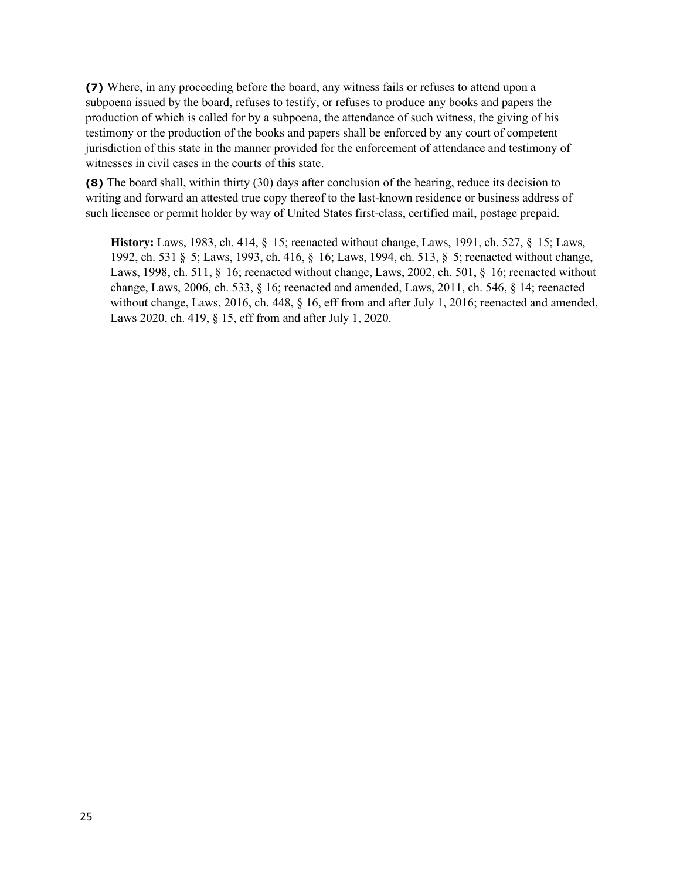**(7)** Where, in any proceeding before the board, any witness fails or refuses to attend upon a subpoena issued by the board, refuses to testify, or refuses to produce any books and papers the production of which is called for by a subpoena, the attendance of such witness, the giving of his testimony or the production of the books and papers shall be enforced by any court of competent jurisdiction of this state in the manner provided for the enforcement of attendance and testimony of witnesses in civil cases in the courts of this state.

**(8)** The board shall, within thirty (30) days after conclusion of the hearing, reduce its decision to writing and forward an attested true copy thereof to the last-known residence or business address of such licensee or permit holder by way of United States first-class, certified mail, postage prepaid.

**History:** Laws, 1983, ch. 414, § 15; reenacted without change, Laws, 1991, ch. 527, § 15; Laws, 1992, ch. 531 § 5; Laws, 1993, ch. 416, § 16; Laws, 1994, ch. 513, § 5; reenacted without change, Laws, 1998, ch. 511, § 16; reenacted without change, Laws, 2002, ch. 501, § 16; reenacted without change, Laws, 2006, ch. 533, § 16; reenacted and amended, Laws, 2011, ch. 546, § 14; reenacted without change, Laws, 2016, ch. 448,  $\S$  16, eff from and after July 1, 2016; reenacted and amended, Laws 2020, ch. 419, § 15, eff from and after July 1, 2020.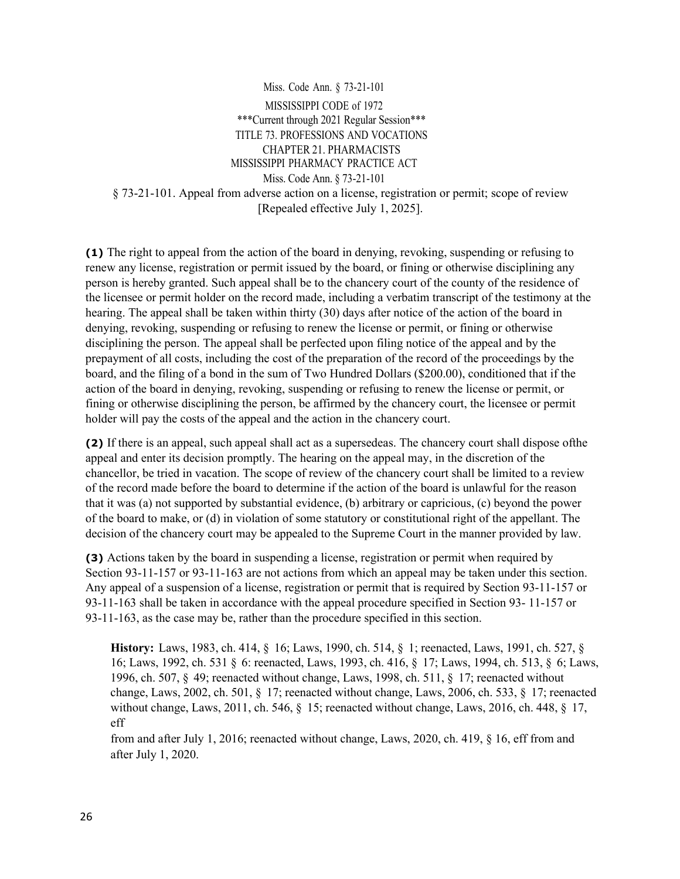Miss. Code Ann. § 73-21-101 MISSISSIPPI CODE of 1972 \*\*\*Current through 2021 Regular Session\*\*\* TITLE 73. PROFESSIONS AND VOCATIONS CHAPTER 21. PHARMACISTS MISSISSIPPI PHARMACY PRACTICE ACT Miss. Code Ann. § 73-21-101 § 73-21-101. Appeal from adverse action on a license, registration or permit; scope of review [Repealed effective July 1, 2025].

**(1)** The right to appeal from the action of the board in denying, revoking, suspending or refusing to renew any license, registration or permit issued by the board, or fining or otherwise disciplining any person is hereby granted. Such appeal shall be to the chancery court of the county of the residence of the licensee or permit holder on the record made, including a verbatim transcript of the testimony at the hearing. The appeal shall be taken within thirty (30) days after notice of the action of the board in denying, revoking, suspending or refusing to renew the license or permit, or fining or otherwise disciplining the person. The appeal shall be perfected upon filing notice of the appeal and by the prepayment of all costs, including the cost of the preparation of the record of the proceedings by the board, and the filing of a bond in the sum of Two Hundred Dollars (\$200.00), conditioned that if the action of the board in denying, revoking, suspending or refusing to renew the license or permit, or fining or otherwise disciplining the person, be affirmed by the chancery court, the licensee or permit holder will pay the costs of the appeal and the action in the chancery court.

**(2)** If there is an appeal, such appeal shall act as a supersedeas. The chancery court shall dispose ofthe appeal and enter its decision promptly. The hearing on the appeal may, in the discretion of the chancellor, be tried in vacation. The scope of review of the chancery court shall be limited to a review of the record made before the board to determine if the action of the board is unlawful for the reason that it was (a) not supported by substantial evidence, (b) arbitrary or capricious, (c) beyond the power of the board to make, or (d) in violation of some statutory or constitutional right of the appellant. The decision of the chancery court may be appealed to the Supreme Court in the manner provided by law.

**(3)** Actions taken by the board in suspending a license, registration or permit when required by Section 93-11-157 or 93-11-163 are not actions from which an appeal may be taken under this section. Any appeal of a suspension of a license, registration or permit that is required by Section 93-11-157 or 93-11-163 shall be taken in accordance with the appeal procedure specified in Section 93- 11-157 or 93-11-163, as the case may be, rather than the procedure specified in this section.

**History:** Laws, 1983, ch. 414, § 16; Laws, 1990, ch. 514, § 1; reenacted, Laws, 1991, ch. 527, § 16; Laws, 1992, ch. 531 § 6: reenacted, Laws, 1993, ch. 416, § 17; Laws, 1994, ch. 513, § 6; Laws, 1996, ch. 507, § 49; reenacted without change, Laws, 1998, ch. 511, § 17; reenacted without change, Laws, 2002, ch. 501, § 17; reenacted without change, Laws, 2006, ch. 533, § 17; reenacted without change, Laws, 2011, ch. 546, § 15; reenacted without change, Laws, 2016, ch. 448, § 17, eff

from and after July 1, 2016; reenacted without change, Laws, 2020, ch. 419, § 16, eff from and after July 1, 2020.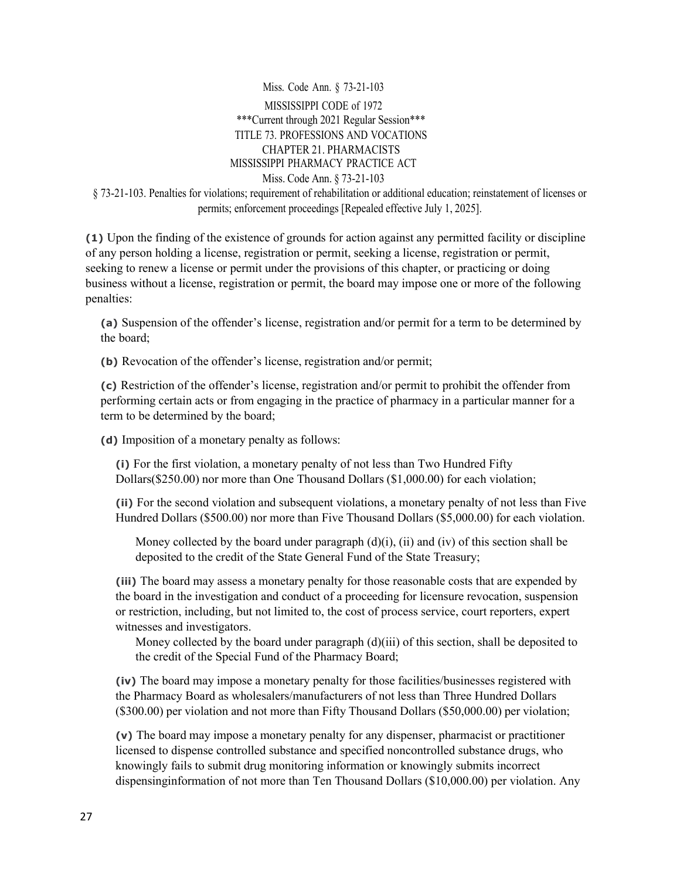Miss. Code Ann. § 73-21-103 MISSISSIPPI CODE of 1972 \*\*\*Current through 2021 Regular Session\*\*\* TITLE 73. PROFESSIONS AND VOCATIONS CHAPTER 21. PHARMACISTS MISSISSIPPI PHARMACY PRACTICE ACT Miss. Code Ann. § 73-21-103 § 73-21-103. Penalties for violations; requirement of rehabilitation or additional education; reinstatement of licenses or permits; enforcement proceedings [Repealed effective July 1, 2025].

**(1)** Upon the finding of the existence of grounds for action against any permitted facility or discipline of any person holding a license, registration or permit, seeking a license, registration or permit, seeking to renew a license or permit under the provisions of this chapter, or practicing or doing business without a license, registration or permit, the board may impose one or more of the following penalties:

**(a)** Suspension of the offender's license, registration and/or permit for a term to be determined by the board;

**(b)** Revocation of the offender's license, registration and/or permit;

**(c)** Restriction of the offender's license, registration and/or permit to prohibit the offender from performing certain acts or from engaging in the practice of pharmacy in a particular manner for a term to be determined by the board;

**(d)** Imposition of a monetary penalty as follows:

**(i)** For the first violation, a monetary penalty of not less than Two Hundred Fifty Dollars(\$250.00) nor more than One Thousand Dollars (\$1,000.00) for each violation;

**(ii)** For the second violation and subsequent violations, a monetary penalty of not less than Five Hundred Dollars (\$500.00) nor more than Five Thousand Dollars (\$5,000.00) for each violation.

Money collected by the board under paragraph  $(d)(i)$ ,  $(ii)$  and  $(iv)$  of this section shall be deposited to the credit of the State General Fund of the State Treasury;

**(iii)** The board may assess a monetary penalty for those reasonable costs that are expended by the board in the investigation and conduct of a proceeding for licensure revocation, suspension or restriction, including, but not limited to, the cost of process service, court reporters, expert witnesses and investigators.

Money collected by the board under paragraph  $(d)(iii)$  of this section, shall be deposited to the credit of the Special Fund of the Pharmacy Board;

**(iv)** The board may impose a monetary penalty for those facilities/businesses registered with the Pharmacy Board as wholesalers/manufacturers of not less than Three Hundred Dollars (\$300.00) per violation and not more than Fifty Thousand Dollars (\$50,000.00) per violation;

**(v)** The board may impose a monetary penalty for any dispenser, pharmacist or practitioner licensed to dispense controlled substance and specified noncontrolled substance drugs, who knowingly fails to submit drug monitoring information or knowingly submits incorrect dispensinginformation of not more than Ten Thousand Dollars (\$10,000.00) per violation. Any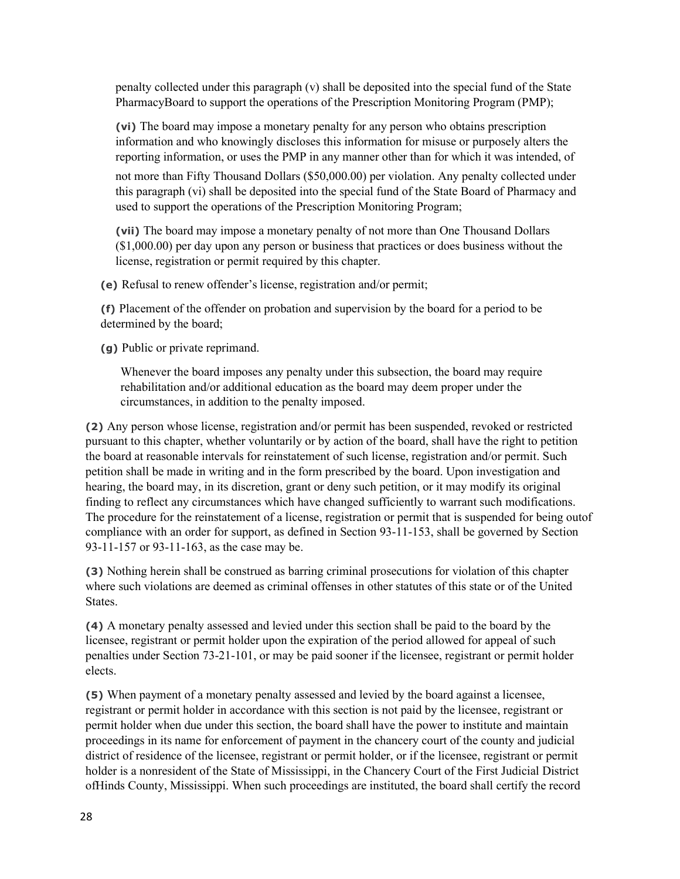penalty collected under this paragraph (v) shall be deposited into the special fund of the State PharmacyBoard to support the operations of the Prescription Monitoring Program (PMP);

**(vi)** The board may impose a monetary penalty for any person who obtains prescription information and who knowingly discloses this information for misuse or purposely alters the reporting information, or uses the PMP in any manner other than for which it was intended, of

not more than Fifty Thousand Dollars (\$50,000.00) per violation. Any penalty collected under this paragraph (vi) shall be deposited into the special fund of the State Board of Pharmacy and used to support the operations of the Prescription Monitoring Program;

**(vii)** The board may impose a monetary penalty of not more than One Thousand Dollars (\$1,000.00) per day upon any person or business that practices or does business without the license, registration or permit required by this chapter.

**(e)** Refusal to renew offender's license, registration and/or permit;

**(f)** Placement of the offender on probation and supervision by the board for a period to be determined by the board;

**(g)** Public or private reprimand.

Whenever the board imposes any penalty under this subsection, the board may require rehabilitation and/or additional education as the board may deem proper under the circumstances, in addition to the penalty imposed.

**(2)** Any person whose license, registration and/or permit has been suspended, revoked or restricted pursuant to this chapter, whether voluntarily or by action of the board, shall have the right to petition the board at reasonable intervals for reinstatement of such license, registration and/or permit. Such petition shall be made in writing and in the form prescribed by the board. Upon investigation and hearing, the board may, in its discretion, grant or deny such petition, or it may modify its original finding to reflect any circumstances which have changed sufficiently to warrant such modifications. The procedure for the reinstatement of a license, registration or permit that is suspended for being outof compliance with an order for support, as defined in Section 93-11-153, shall be governed by Section 93-11-157 or 93-11-163, as the case may be.

**(3)** Nothing herein shall be construed as barring criminal prosecutions for violation of this chapter where such violations are deemed as criminal offenses in other statutes of this state or of the United States.

**(4)** A monetary penalty assessed and levied under this section shall be paid to the board by the licensee, registrant or permit holder upon the expiration of the period allowed for appeal of such penalties under Section 73-21-101, or may be paid sooner if the licensee, registrant or permit holder elects.

**(5)** When payment of a monetary penalty assessed and levied by the board against a licensee, registrant or permit holder in accordance with this section is not paid by the licensee, registrant or permit holder when due under this section, the board shall have the power to institute and maintain proceedings in its name for enforcement of payment in the chancery court of the county and judicial district of residence of the licensee, registrant or permit holder, or if the licensee, registrant or permit holder is a nonresident of the State of Mississippi, in the Chancery Court of the First Judicial District ofHinds County, Mississippi. When such proceedings are instituted, the board shall certify the record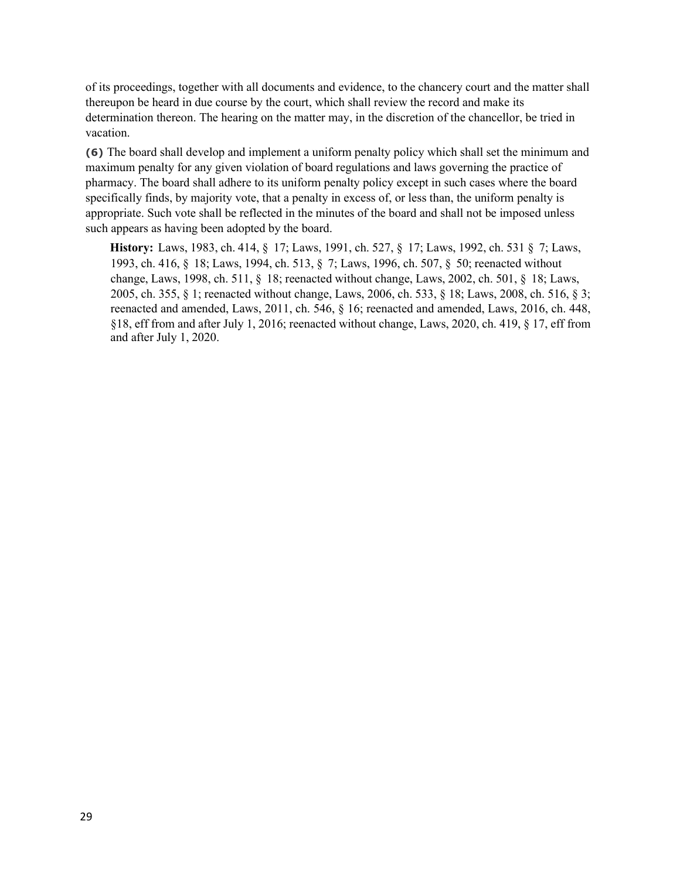of its proceedings, together with all documents and evidence, to the chancery court and the matter shall thereupon be heard in due course by the court, which shall review the record and make its determination thereon. The hearing on the matter may, in the discretion of the chancellor, be tried in vacation.

**(6)** The board shall develop and implement a uniform penalty policy which shall set the minimum and maximum penalty for any given violation of board regulations and laws governing the practice of pharmacy. The board shall adhere to its uniform penalty policy except in such cases where the board specifically finds, by majority vote, that a penalty in excess of, or less than, the uniform penalty is appropriate. Such vote shall be reflected in the minutes of the board and shall not be imposed unless such appears as having been adopted by the board.

**History:** Laws, 1983, ch. 414, § 17; Laws, 1991, ch. 527, § 17; Laws, 1992, ch. 531 § 7; Laws, 1993, ch. 416, § 18; Laws, 1994, ch. 513, § 7; Laws, 1996, ch. 507, § 50; reenacted without change, Laws, 1998, ch. 511, § 18; reenacted without change, Laws, 2002, ch. 501, § 18; Laws, 2005, ch. 355, § 1; reenacted without change, Laws, 2006, ch. 533, § 18; Laws, 2008, ch. 516, § 3; reenacted and amended, Laws, 2011, ch. 546, § 16; reenacted and amended, Laws, 2016, ch. 448, §18, eff from and after July 1, 2016; reenacted without change, Laws, 2020, ch. 419, § 17, eff from and after July 1, 2020.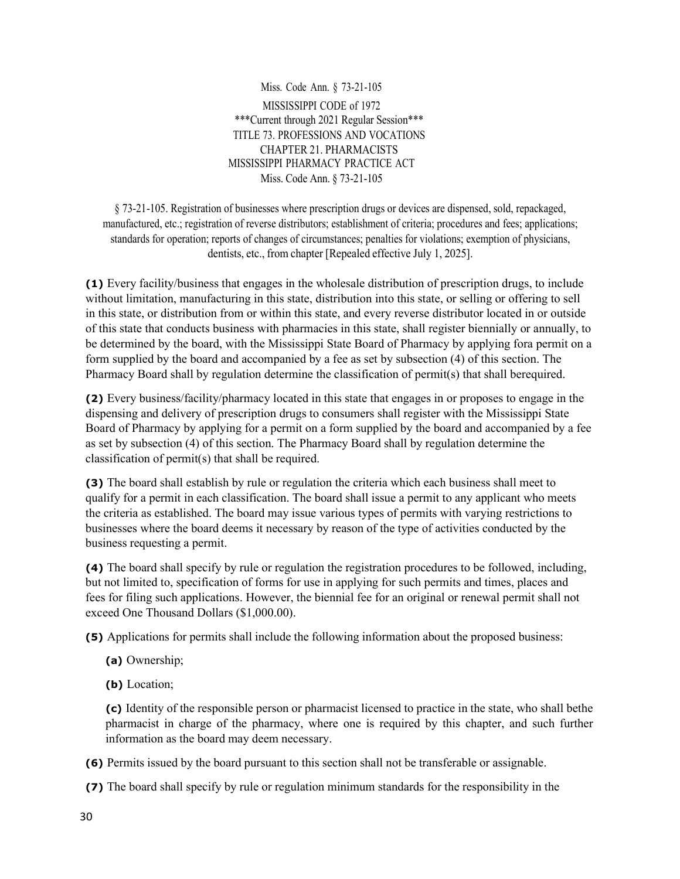Miss. Code Ann. § 73-21-105 MISSISSIPPI CODE of 1972 \*\*\*Current through 2021 Regular Session\*\*\* TITLE 73. PROFESSIONS AND VOCATIONS CHAPTER 21. PHARMACISTS MISSISSIPPI PHARMACY PRACTICE ACT Miss. Code Ann. § 73-21-105

§ 73-21-105. Registration of businesses where prescription drugs or devices are dispensed, sold, repackaged, manufactured, etc.; registration of reverse distributors; establishment of criteria; procedures and fees; applications; standards for operation; reports of changes of circumstances; penalties for violations; exemption of physicians, dentists, etc., from chapter [Repealed effective July 1, 2025].

**(1)** Every facility/business that engages in the wholesale distribution of prescription drugs, to include without limitation, manufacturing in this state, distribution into this state, or selling or offering to sell in this state, or distribution from or within this state, and every reverse distributor located in or outside of this state that conducts business with pharmacies in this state, shall register biennially or annually, to be determined by the board, with the Mississippi State Board of Pharmacy by applying fora permit on a form supplied by the board and accompanied by a fee as set by subsection (4) of this section. The Pharmacy Board shall by regulation determine the classification of permit(s) that shall berequired.

**(2)** Every business/facility/pharmacy located in this state that engages in or proposes to engage in the dispensing and delivery of prescription drugs to consumers shall register with the Mississippi State Board of Pharmacy by applying for a permit on a form supplied by the board and accompanied by a fee as set by subsection (4) of this section. The Pharmacy Board shall by regulation determine the classification of permit(s) that shall be required.

**(3)** The board shall establish by rule or regulation the criteria which each business shall meet to qualify for a permit in each classification. The board shall issue a permit to any applicant who meets the criteria as established. The board may issue various types of permits with varying restrictions to businesses where the board deems it necessary by reason of the type of activities conducted by the business requesting a permit.

**(4)** The board shall specify by rule or regulation the registration procedures to be followed, including, but not limited to, specification of forms for use in applying for such permits and times, places and fees for filing such applications. However, the biennial fee for an original or renewal permit shall not exceed One Thousand Dollars (\$1,000.00).

**(5)** Applications for permits shall include the following information about the proposed business:

- **(a)** Ownership;
- **(b)** Location;

**(c)** Identity of the responsible person or pharmacist licensed to practice in the state, who shall bethe pharmacist in charge of the pharmacy, where one is required by this chapter, and such further information as the board may deem necessary.

**(6)** Permits issued by the board pursuant to this section shall not be transferable or assignable.

**(7)** The board shall specify by rule or regulation minimum standards for the responsibility in the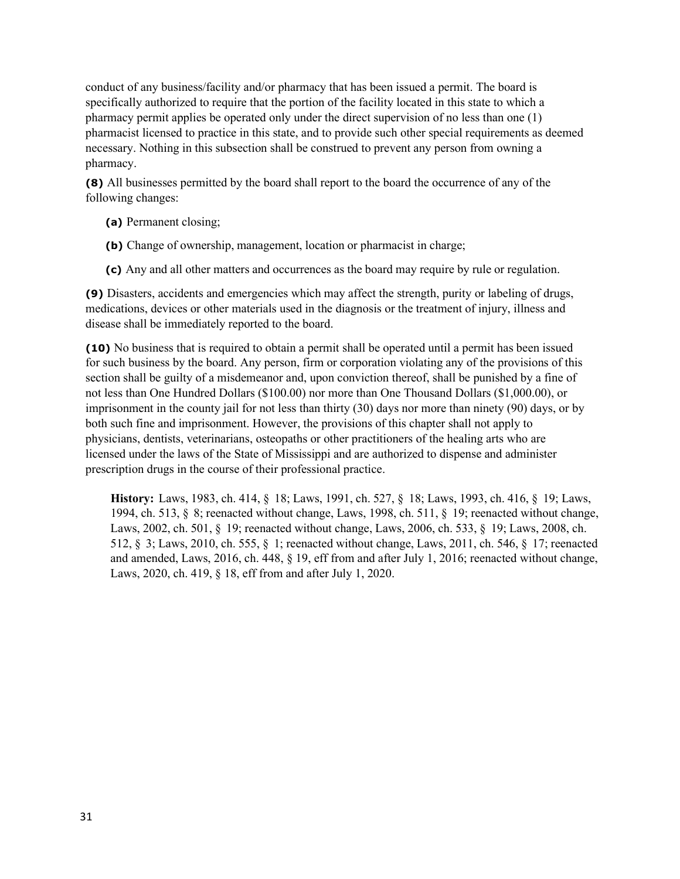conduct of any business/facility and/or pharmacy that has been issued a permit. The board is specifically authorized to require that the portion of the facility located in this state to which a pharmacy permit applies be operated only under the direct supervision of no less than one (1) pharmacist licensed to practice in this state, and to provide such other special requirements as deemed necessary. Nothing in this subsection shall be construed to prevent any person from owning a pharmacy.

**(8)** All businesses permitted by the board shall report to the board the occurrence of any of the following changes:

- **(a)** Permanent closing;
- **(b)** Change of ownership, management, location or pharmacist in charge;
- **(c)** Any and all other matters and occurrences as the board may require by rule or regulation.

**(9)** Disasters, accidents and emergencies which may affect the strength, purity or labeling of drugs, medications, devices or other materials used in the diagnosis or the treatment of injury, illness and disease shall be immediately reported to the board.

**(10)** No business that is required to obtain a permit shall be operated until a permit has been issued for such business by the board. Any person, firm or corporation violating any of the provisions of this section shall be guilty of a misdemeanor and, upon conviction thereof, shall be punished by a fine of not less than One Hundred Dollars (\$100.00) nor more than One Thousand Dollars (\$1,000.00), or imprisonment in the county jail for not less than thirty (30) days nor more than ninety (90) days, or by both such fine and imprisonment. However, the provisions of this chapter shall not apply to physicians, dentists, veterinarians, osteopaths or other practitioners of the healing arts who are licensed under the laws of the State of Mississippi and are authorized to dispense and administer prescription drugs in the course of their professional practice.

**History:** Laws, 1983, ch. 414, § 18; Laws, 1991, ch. 527, § 18; Laws, 1993, ch. 416, § 19; Laws, 1994, ch. 513, § 8; reenacted without change, Laws, 1998, ch. 511, § 19; reenacted without change, Laws, 2002, ch. 501, § 19; reenacted without change, Laws, 2006, ch. 533, § 19; Laws, 2008, ch. 512, § 3; Laws, 2010, ch. 555, § 1; reenacted without change, Laws, 2011, ch. 546, § 17; reenacted and amended, Laws, 2016, ch. 448, § 19, eff from and after July 1, 2016; reenacted without change, Laws, 2020, ch. 419, § 18, eff from and after July 1, 2020.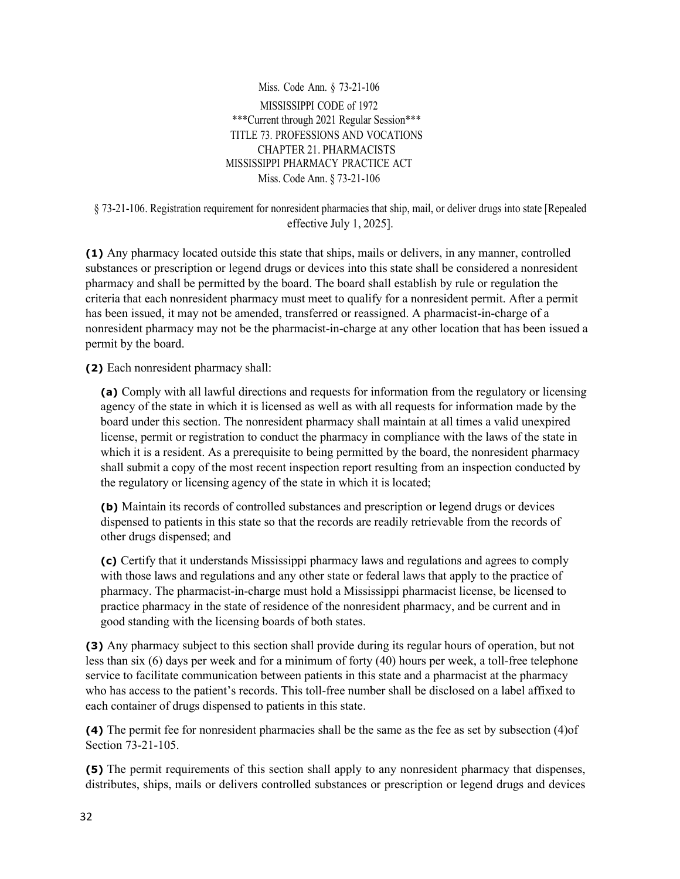Miss. Code Ann. § 73-21-106 MISSISSIPPI CODE of 1972 \*\*\*Current through 2021 Regular Session\*\*\* TITLE 73. PROFESSIONS AND VOCATIONS CHAPTER 21. PHARMACISTS MISSISSIPPI PHARMACY PRACTICE ACT Miss. Code Ann. § 73-21-106

§ 73-21-106. Registration requirement for nonresident pharmacies that ship, mail, or deliver drugs into state [Repealed effective July 1, 2025].

**(1)** Any pharmacy located outside this state that ships, mails or delivers, in any manner, controlled substances or prescription or legend drugs or devices into this state shall be considered a nonresident pharmacy and shall be permitted by the board. The board shall establish by rule or regulation the criteria that each nonresident pharmacy must meet to qualify for a nonresident permit. After a permit has been issued, it may not be amended, transferred or reassigned. A pharmacist-in-charge of a nonresident pharmacy may not be the pharmacist-in-charge at any other location that has been issued a permit by the board.

**(2)** Each nonresident pharmacy shall:

**(a)** Comply with all lawful directions and requests for information from the regulatory or licensing agency of the state in which it is licensed as well as with all requests for information made by the board under this section. The nonresident pharmacy shall maintain at all times a valid unexpired license, permit or registration to conduct the pharmacy in compliance with the laws of the state in which it is a resident. As a prerequisite to being permitted by the board, the nonresident pharmacy shall submit a copy of the most recent inspection report resulting from an inspection conducted by the regulatory or licensing agency of the state in which it is located;

**(b)** Maintain its records of controlled substances and prescription or legend drugs or devices dispensed to patients in this state so that the records are readily retrievable from the records of other drugs dispensed; and

**(c)** Certify that it understands Mississippi pharmacy laws and regulations and agrees to comply with those laws and regulations and any other state or federal laws that apply to the practice of pharmacy. The pharmacist-in-charge must hold a Mississippi pharmacist license, be licensed to practice pharmacy in the state of residence of the nonresident pharmacy, and be current and in good standing with the licensing boards of both states.

**(3)** Any pharmacy subject to this section shall provide during its regular hours of operation, but not less than six (6) days per week and for a minimum of forty (40) hours per week, a toll-free telephone service to facilitate communication between patients in this state and a pharmacist at the pharmacy who has access to the patient's records. This toll-free number shall be disclosed on a label affixed to each container of drugs dispensed to patients in this state.

**(4)** The permit fee for nonresident pharmacies shall be the same as the fee as set by subsection (4)of Section 73-21-105.

**(5)** The permit requirements of this section shall apply to any nonresident pharmacy that dispenses, distributes, ships, mails or delivers controlled substances or prescription or legend drugs and devices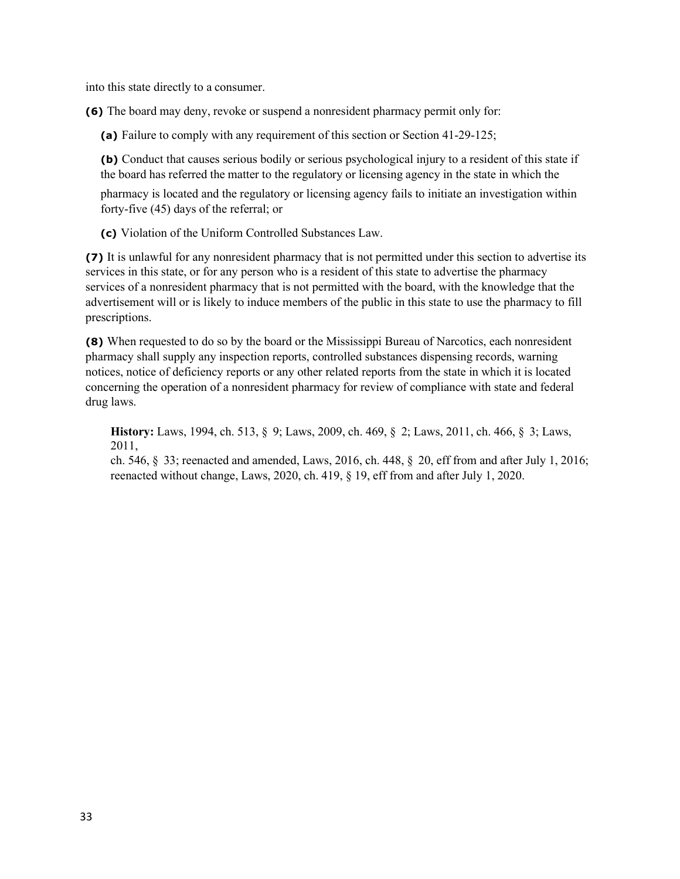into this state directly to a consumer.

**(6)** The board may deny, revoke or suspend a nonresident pharmacy permit only for:

**(a)** Failure to comply with any requirement of this section or Section 41-29-125;

**(b)** Conduct that causes serious bodily or serious psychological injury to a resident of this state if the board has referred the matter to the regulatory or licensing agency in the state in which the

pharmacy is located and the regulatory or licensing agency fails to initiate an investigation within forty-five (45) days of the referral; or

**(c)** Violation of the Uniform Controlled Substances Law.

**(7)** It is unlawful for any nonresident pharmacy that is not permitted under this section to advertise its services in this state, or for any person who is a resident of this state to advertise the pharmacy services of a nonresident pharmacy that is not permitted with the board, with the knowledge that the advertisement will or is likely to induce members of the public in this state to use the pharmacy to fill prescriptions.

**(8)** When requested to do so by the board or the Mississippi Bureau of Narcotics, each nonresident pharmacy shall supply any inspection reports, controlled substances dispensing records, warning notices, notice of deficiency reports or any other related reports from the state in which it is located concerning the operation of a nonresident pharmacy for review of compliance with state and federal drug laws.

**History:** Laws, 1994, ch. 513, § 9; Laws, 2009, ch. 469, § 2; Laws, 2011, ch. 466, § 3; Laws, 2011,

ch. 546, § 33; reenacted and amended, Laws, 2016, ch. 448, § 20, eff from and after July 1, 2016; reenacted without change, Laws, 2020, ch. 419, § 19, eff from and after July 1, 2020.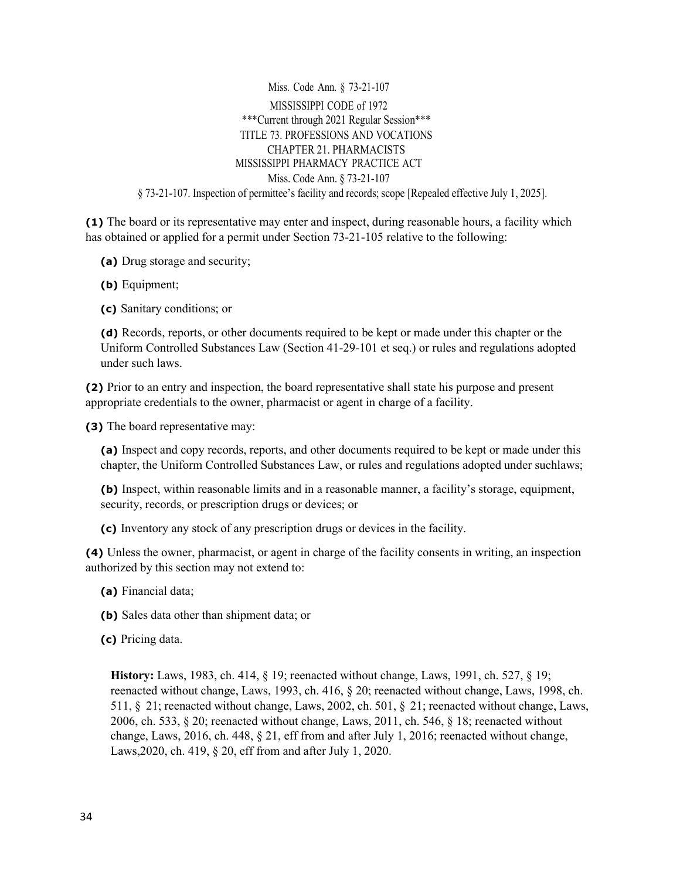Miss. Code Ann. § 73-21-107 MISSISSIPPI CODE of 1972 \*\*\*Current through 2021 Regular Session\*\*\* TITLE 73. PROFESSIONS AND VOCATIONS CHAPTER 21. PHARMACISTS MISSISSIPPI PHARMACY PRACTICE ACT Miss. Code Ann. § 73-21-107 § 73-21-107. Inspection of permittee's facility and records; scope [Repealed effective July 1, 2025].

**(1)** The board or its representative may enter and inspect, during reasonable hours, a facility which has obtained or applied for a permit under Section 73-21-105 relative to the following:

- **(a)** Drug storage and security;
- **(b)** Equipment;
- **(c)** Sanitary conditions; or

**(d)** Records, reports, or other documents required to be kept or made under this chapter or the Uniform Controlled Substances Law (Section 41-29-101 et seq.) or rules and regulations adopted under such laws.

**(2)** Prior to an entry and inspection, the board representative shall state his purpose and present appropriate credentials to the owner, pharmacist or agent in charge of a facility.

**(3)** The board representative may:

**(a)** Inspect and copy records, reports, and other documents required to be kept or made under this chapter, the Uniform Controlled Substances Law, or rules and regulations adopted under suchlaws;

**(b)** Inspect, within reasonable limits and in a reasonable manner, a facility's storage, equipment, security, records, or prescription drugs or devices; or

**(c)** Inventory any stock of any prescription drugs or devices in the facility.

**(4)** Unless the owner, pharmacist, or agent in charge of the facility consents in writing, an inspection authorized by this section may not extend to:

- **(a)** Financial data;
- **(b)** Sales data other than shipment data; or
- **(c)** Pricing data.

**History:** Laws, 1983, ch. 414, § 19; reenacted without change, Laws, 1991, ch. 527, § 19; reenacted without change, Laws, 1993, ch. 416, § 20; reenacted without change, Laws, 1998, ch. 511, § 21; reenacted without change, Laws, 2002, ch. 501, § 21; reenacted without change, Laws, 2006, ch. 533, § 20; reenacted without change, Laws, 2011, ch. 546, § 18; reenacted without change, Laws, 2016, ch. 448, § 21, eff from and after July 1, 2016; reenacted without change, Laws,2020, ch. 419, § 20, eff from and after July 1, 2020.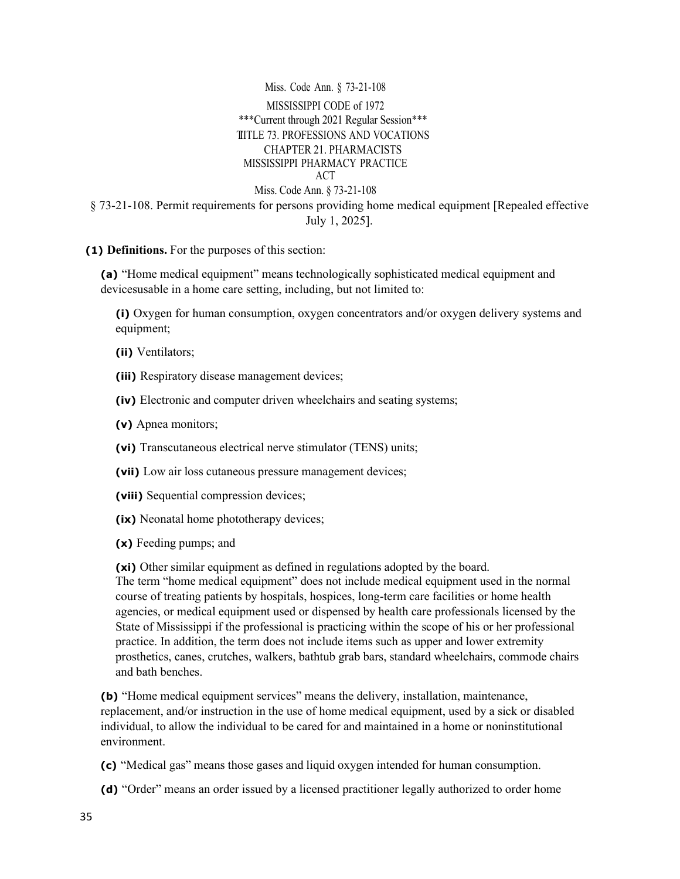Miss. Code Ann. § 73-21-108 MISSISSIPPI CODE of 1972 \*\*\*Current through 2021 Regular Session\*\*\* TIITLE 73. PROFESSIONS AND VOCATIONS CHAPTER 21. PHARMACISTS MISSISSIPPI PHARMACY PRACTICE ACT Miss. Code Ann. § 73-21-108 § 73-21-108. Permit requirements for persons providing home medical equipment [Repealed effective July 1, 2025].

**(1) Definitions.** For the purposes of this section:

**(a)** "Home medical equipment" means technologically sophisticated medical equipment and devicesusable in a home care setting, including, but not limited to:

**(i)** Oxygen for human consumption, oxygen concentrators and/or oxygen delivery systems and equipment;

- **(ii)** Ventilators;
- **(iii)** Respiratory disease management devices;
- **(iv)** Electronic and computer driven wheelchairs and seating systems;
- **(v)** Apnea monitors;
- **(vi)** Transcutaneous electrical nerve stimulator (TENS) units;
- **(vii)** Low air loss cutaneous pressure management devices;
- **(viii)** Sequential compression devices;
- **(ix)** Neonatal home phototherapy devices;
- **(x)** Feeding pumps; and

**(xi)** Other similar equipment as defined in regulations adopted by the board.

The term "home medical equipment" does not include medical equipment used in the normal course of treating patients by hospitals, hospices, long-term care facilities or home health agencies, or medical equipment used or dispensed by health care professionals licensed by the State of Mississippi if the professional is practicing within the scope of his or her professional practice. In addition, the term does not include items such as upper and lower extremity prosthetics, canes, crutches, walkers, bathtub grab bars, standard wheelchairs, commode chairs and bath benches.

**(b)** "Home medical equipment services" means the delivery, installation, maintenance, replacement, and/or instruction in the use of home medical equipment, used by a sick or disabled individual, to allow the individual to be cared for and maintained in a home or noninstitutional environment.

**(c)** "Medical gas" means those gases and liquid oxygen intended for human consumption.

**(d)** "Order" means an order issued by a licensed practitioner legally authorized to order home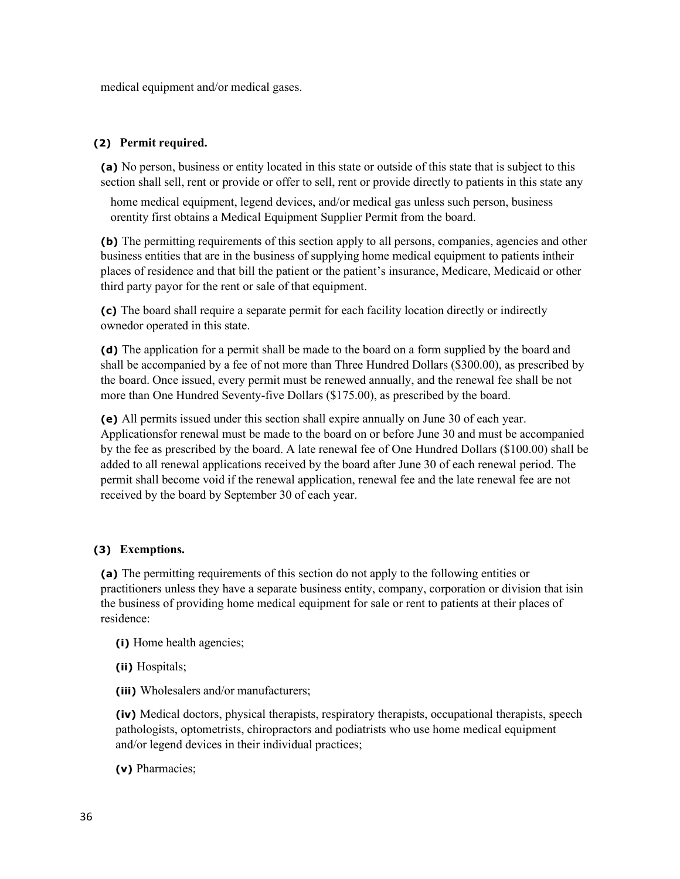medical equipment and/or medical gases.

### **(2) Permit required.**

**(a)** No person, business or entity located in this state or outside of this state that is subject to this section shall sell, rent or provide or offer to sell, rent or provide directly to patients in this state any

home medical equipment, legend devices, and/or medical gas unless such person, business orentity first obtains a Medical Equipment Supplier Permit from the board.

**(b)** The permitting requirements of this section apply to all persons, companies, agencies and other business entities that are in the business of supplying home medical equipment to patients intheir places of residence and that bill the patient or the patient's insurance, Medicare, Medicaid or other third party payor for the rent or sale of that equipment.

**(c)** The board shall require a separate permit for each facility location directly or indirectly ownedor operated in this state.

**(d)** The application for a permit shall be made to the board on a form supplied by the board and shall be accompanied by a fee of not more than Three Hundred Dollars (\$300.00), as prescribed by the board. Once issued, every permit must be renewed annually, and the renewal fee shall be not more than One Hundred Seventy-five Dollars (\$175.00), as prescribed by the board.

**(e)** All permits issued under this section shall expire annually on June 30 of each year. Applicationsfor renewal must be made to the board on or before June 30 and must be accompanied by the fee as prescribed by the board. A late renewal fee of One Hundred Dollars (\$100.00) shall be added to all renewal applications received by the board after June 30 of each renewal period. The permit shall become void if the renewal application, renewal fee and the late renewal fee are not received by the board by September 30 of each year.

### **(3) Exemptions.**

**(a)** The permitting requirements of this section do not apply to the following entities or practitioners unless they have a separate business entity, company, corporation or division that isin the business of providing home medical equipment for sale or rent to patients at their places of residence:

- **(i)** Home health agencies;
- **(ii)** Hospitals;
- **(iii)** Wholesalers and/or manufacturers;

**(iv)** Medical doctors, physical therapists, respiratory therapists, occupational therapists, speech pathologists, optometrists, chiropractors and podiatrists who use home medical equipment and/or legend devices in their individual practices;

**(v)** Pharmacies;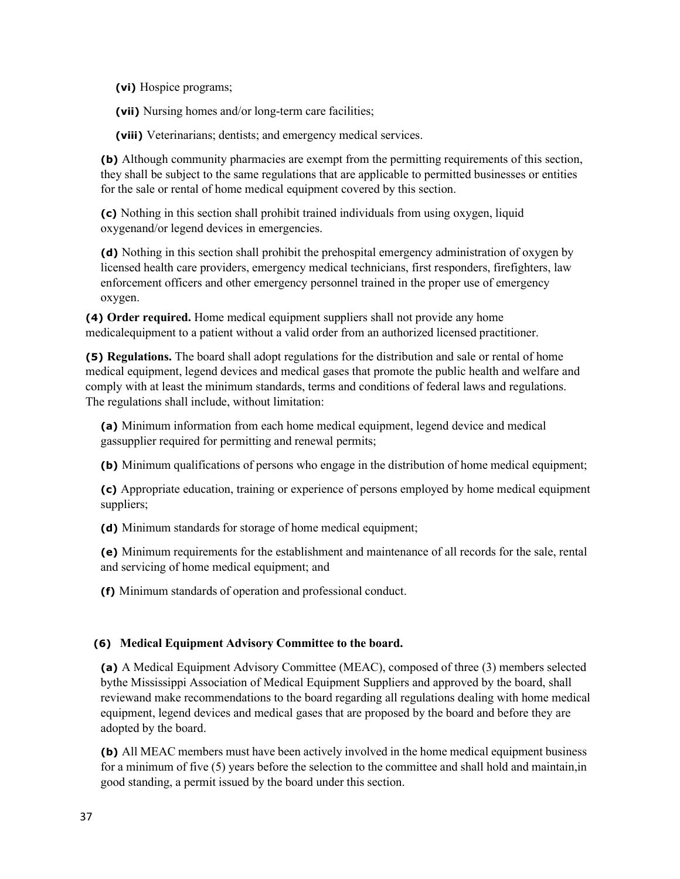**(vi)** Hospice programs;

**(vii)** Nursing homes and/or long-term care facilities;

**(viii)** Veterinarians; dentists; and emergency medical services.

**(b)** Although community pharmacies are exempt from the permitting requirements of this section, they shall be subject to the same regulations that are applicable to permitted businesses or entities for the sale or rental of home medical equipment covered by this section.

**(c)** Nothing in this section shall prohibit trained individuals from using oxygen, liquid oxygenand/or legend devices in emergencies.

**(d)** Nothing in this section shall prohibit the prehospital emergency administration of oxygen by licensed health care providers, emergency medical technicians, first responders, firefighters, law enforcement officers and other emergency personnel trained in the proper use of emergency oxygen.

**(4) Order required.** Home medical equipment suppliers shall not provide any home medicalequipment to a patient without a valid order from an authorized licensed practitioner.

**(5) Regulations.** The board shall adopt regulations for the distribution and sale or rental of home medical equipment, legend devices and medical gases that promote the public health and welfare and comply with at least the minimum standards, terms and conditions of federal laws and regulations. The regulations shall include, without limitation:

**(a)** Minimum information from each home medical equipment, legend device and medical gassupplier required for permitting and renewal permits;

**(b)** Minimum qualifications of persons who engage in the distribution of home medical equipment;

**(c)** Appropriate education, training or experience of persons employed by home medical equipment suppliers;

**(d)** Minimum standards for storage of home medical equipment;

**(e)** Minimum requirements for the establishment and maintenance of all records for the sale, rental and servicing of home medical equipment; and

**(f)** Minimum standards of operation and professional conduct.

### **(6) Medical Equipment Advisory Committee to the board.**

**(a)** A Medical Equipment Advisory Committee (MEAC), composed of three (3) members selected bythe Mississippi Association of Medical Equipment Suppliers and approved by the board, shall reviewand make recommendations to the board regarding all regulations dealing with home medical equipment, legend devices and medical gases that are proposed by the board and before they are adopted by the board.

**(b)** All MEAC members must have been actively involved in the home medical equipment business for a minimum of five (5) years before the selection to the committee and shall hold and maintain,in good standing, a permit issued by the board under this section.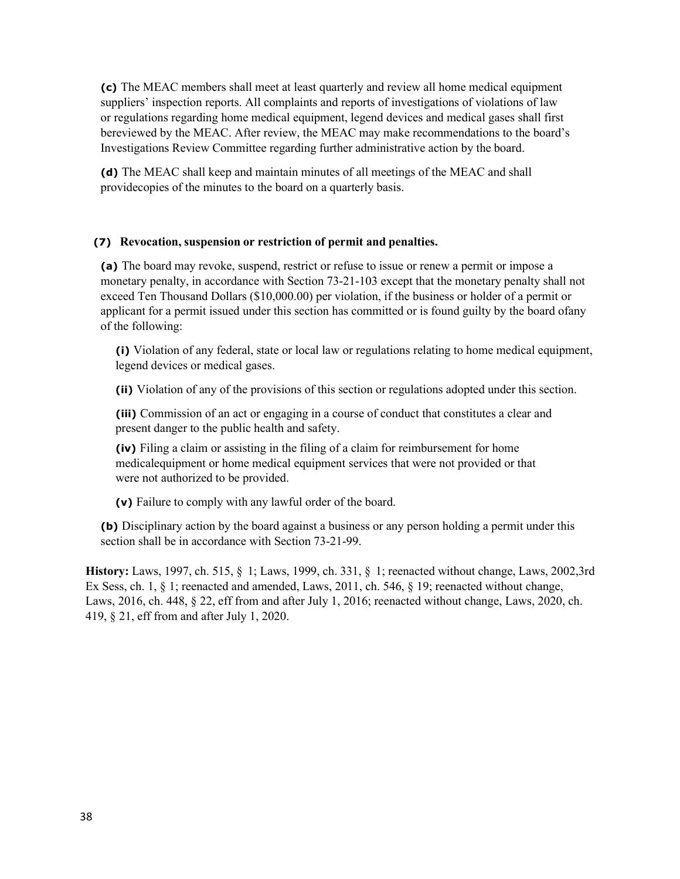**(c)** The MEAC members shall meet at least quarterly and review all home medical equipment suppliers' inspection reports. All complaints and reports of investigations of violations of law or regulations regarding home medical equipment, legend devices and medical gases shall first bereviewed by the MEAC. After review, the MEAC may make recommendations to the board's Investigations Review Committee regarding further administrative action by the board.

**(d)** The MEAC shall keep and maintain minutes of all meetings of the MEAC and shall providecopies of the minutes to the board on a quarterly basis.

#### **(7) Revocation, suspension or restriction of permit and penalties.**

**(a)** The board may revoke, suspend, restrict or refuse to issue or renew a permit or impose a monetary penalty, in accordance with Section 73-21-103 except that the monetary penalty shall not exceed Ten Thousand Dollars (\$10,000.00) per violation, if the business or holder of a permit or applicant for a permit issued under this section has committed or is found guilty by the board ofany of the following:

**(i)** Violation of any federal, state or local law or regulations relating to home medical equipment, legend devices or medical gases.

**(ii)** Violation of any of the provisions of this section or regulations adopted under this section.

**(iii)** Commission of an act or engaging in a course of conduct that constitutes a clear and present danger to the public health and safety.

**(iv)** Filing a claim or assisting in the filing of a claim for reimbursement for home medicalequipment or home medical equipment services that were not provided or that were not authorized to be provided.

**(v)** Failure to comply with any lawful order of the board.

**(b)** Disciplinary action by the board against a business or any person holding a permit under this section shall be in accordance with Section 73-21-99.

**History:** Laws, 1997, ch. 515, § 1; Laws, 1999, ch. 331, § 1; reenacted without change, Laws, 2002,3rd Ex Sess, ch. 1, § 1; reenacted and amended, Laws, 2011, ch. 546, § 19; reenacted without change, Laws, 2016, ch. 448, § 22, eff from and after July 1, 2016; reenacted without change, Laws, 2020, ch. 419, § 21, eff from and after July 1, 2020.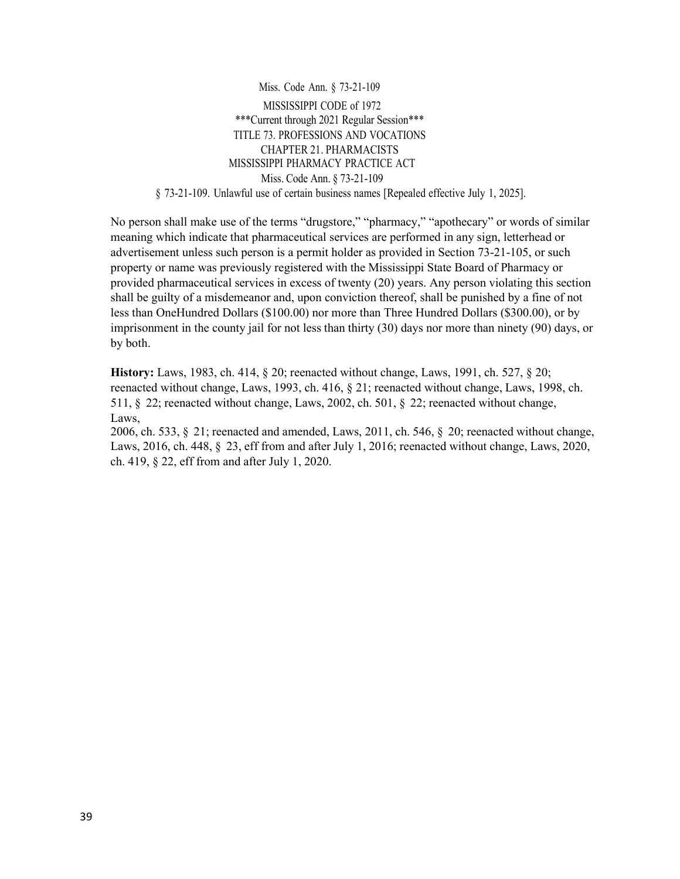Miss. Code Ann. § 73-21-109 MISSISSIPPI CODE of 1972 \*\*\*Current through 2021 Regular Session\*\*\* TITLE 73. PROFESSIONS AND VOCATIONS CHAPTER 21. PHARMACISTS MISSISSIPPI PHARMACY PRACTICE ACT Miss. Code Ann. § 73-21-109 § 73-21-109. Unlawful use of certain business names [Repealed effective July 1, 2025].

No person shall make use of the terms "drugstore," "pharmacy," "apothecary" or words of similar meaning which indicate that pharmaceutical services are performed in any sign, letterhead or advertisement unless such person is a permit holder as provided in Section 73-21-105, or such property or name was previously registered with the Mississippi State Board of Pharmacy or provided pharmaceutical services in excess of twenty (20) years. Any person violating this section shall be guilty of a misdemeanor and, upon conviction thereof, shall be punished by a fine of not less than OneHundred Dollars (\$100.00) nor more than Three Hundred Dollars (\$300.00), or by imprisonment in the county jail for not less than thirty (30) days nor more than ninety (90) days, or by both.

**History:** Laws, 1983, ch. 414, § 20; reenacted without change, Laws, 1991, ch. 527, § 20; reenacted without change, Laws, 1993, ch. 416, § 21; reenacted without change, Laws, 1998, ch. 511, § 22; reenacted without change, Laws, 2002, ch. 501, § 22; reenacted without change, Laws,

2006, ch. 533, § 21; reenacted and amended, Laws, 2011, ch. 546, § 20; reenacted without change, Laws, 2016, ch. 448, § 23, eff from and after July 1, 2016; reenacted without change, Laws, 2020, ch. 419, § 22, eff from and after July 1, 2020.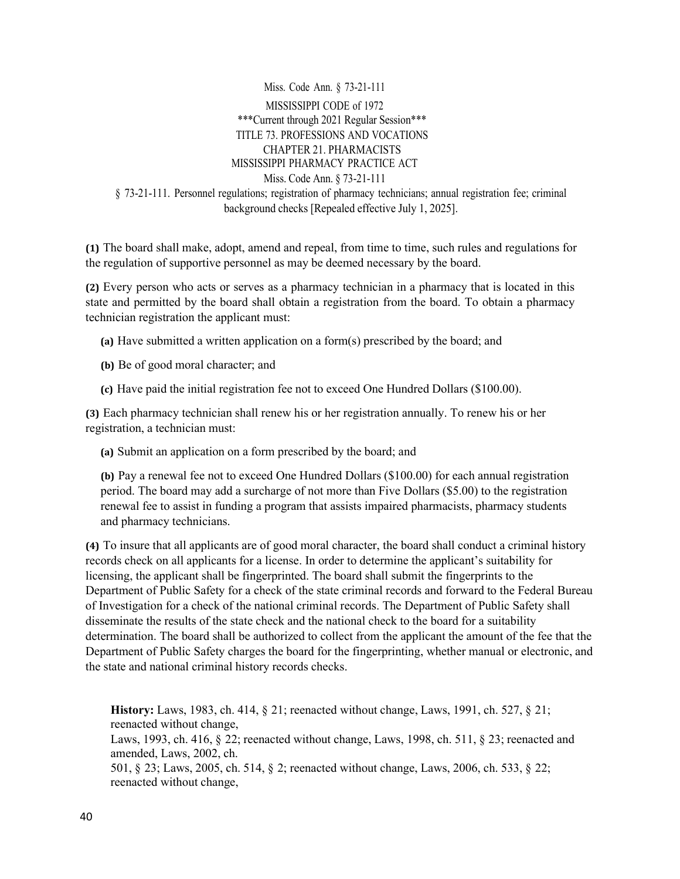Miss. Code Ann. § 73-21-111 MISSISSIPPI CODE of 1972 \*\*\*Current through 2021 Regular Session\*\*\* TITLE 73. PROFESSIONS AND VOCATIONS CHAPTER 21. PHARMACISTS MISSISSIPPI PHARMACY PRACTICE ACT Miss. Code Ann. § 73-21-111 § 73-21-111. Personnel regulations; registration of pharmacy technicians; annual registration fee; criminal background checks [Repealed effective July 1, 2025].

**(1)** The board shall make, adopt, amend and repeal, from time to time, such rules and regulations for the regulation of supportive personnel as may be deemed necessary by the board.

**(2)** Every person who acts or serves as a pharmacy technician in a pharmacy that is located in this state and permitted by the board shall obtain a registration from the board. To obtain a pharmacy technician registration the applicant must:

- **(a)** Have submitted a written application on a form(s) prescribed by the board; and
- **(b)** Be of good moral character; and
- **(c)** Have paid the initial registration fee not to exceed One Hundred Dollars (\$100.00).

**(3)** Each pharmacy technician shall renew his or her registration annually. To renew his or her registration, a technician must:

**(a)** Submit an application on a form prescribed by the board; and

**(b)** Pay a renewal fee not to exceed One Hundred Dollars (\$100.00) for each annual registration period. The board may add a surcharge of not more than Five Dollars (\$5.00) to the registration renewal fee to assist in funding a program that assists impaired pharmacists, pharmacy students and pharmacy technicians.

**(4)** To insure that all applicants are of good moral character, the board shall conduct a criminal history records check on all applicants for a license. In order to determine the applicant's suitability for licensing, the applicant shall be fingerprinted. The board shall submit the fingerprints to the Department of Public Safety for a check of the state criminal records and forward to the Federal Bureau of Investigation for a check of the national criminal records. The Department of Public Safety shall disseminate the results of the state check and the national check to the board for a suitability determination. The board shall be authorized to collect from the applicant the amount of the fee that the Department of Public Safety charges the board for the fingerprinting, whether manual or electronic, and the state and national criminal history records checks.

**History:** Laws, 1983, ch. 414, § 21; reenacted without change, Laws, 1991, ch. 527, § 21; reenacted without change, Laws, 1993, ch. 416,  $\S$  22; reenacted without change, Laws, 1998, ch. 511,  $\S$  23; reenacted and amended, Laws, 2002, ch. 501, § 23; Laws, 2005, ch. 514, § 2; reenacted without change, Laws, 2006, ch. 533, § 22; reenacted without change,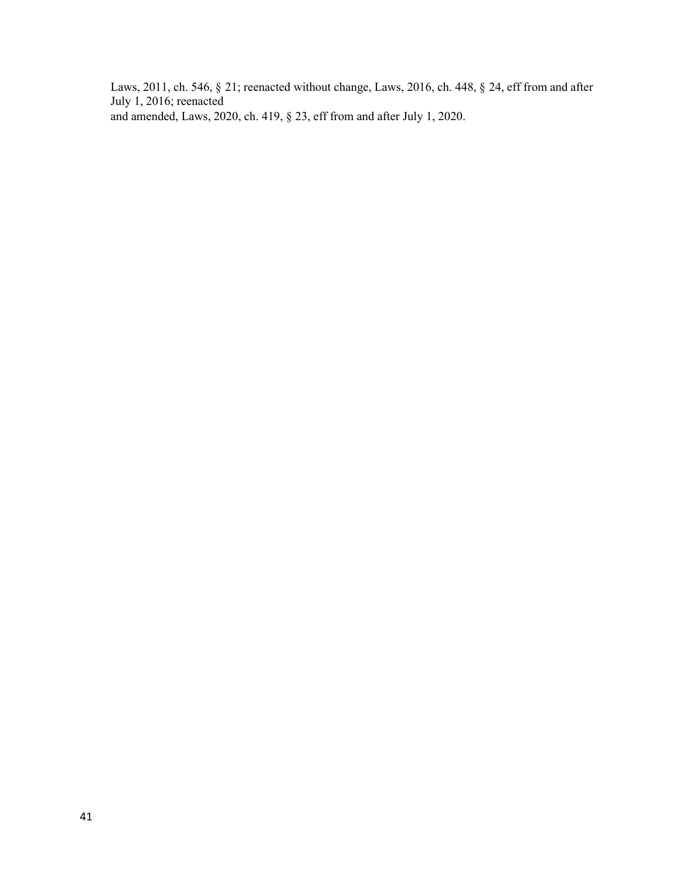Laws, 2011, ch. 546, § 21; reenacted without change, Laws, 2016, ch. 448, § 24, eff from and after July 1, 2016; reenacted and amended, Laws, 2020, ch. 419, § 23, eff from and after July 1, 2020.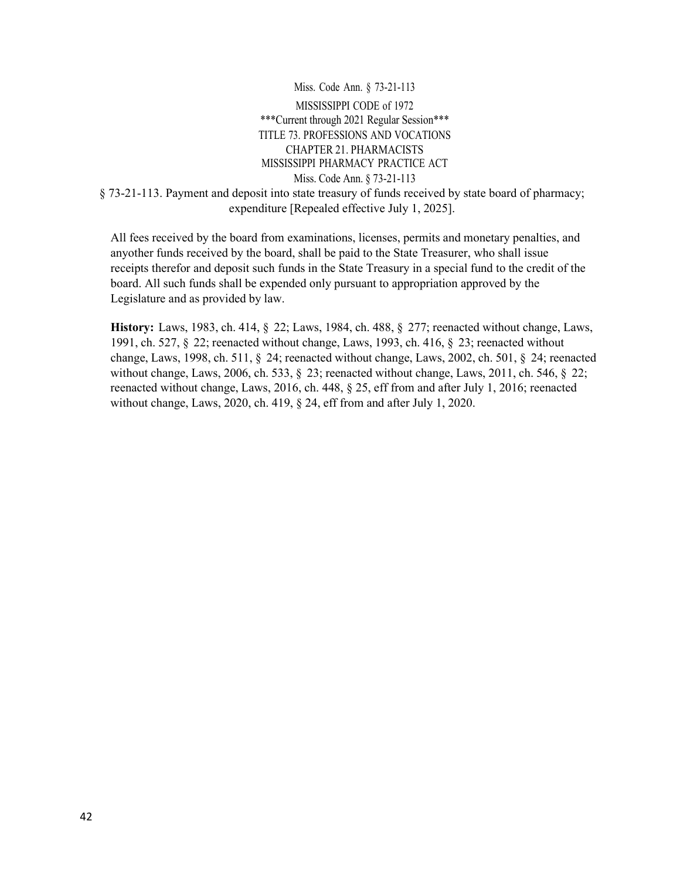Miss. Code Ann. § 73-21-113 MISSISSIPPI CODE of 1972 \*\*\*Current through 2021 Regular Session\*\*\* TITLE 73. PROFESSIONS AND VOCATIONS CHAPTER 21. PHARMACISTS MISSISSIPPI PHARMACY PRACTICE ACT Miss. Code Ann. § 73-21-113 § 73-21-113. Payment and deposit into state treasury of funds received by state board of pharmacy; expenditure [Repealed effective July 1, 2025].

All fees received by the board from examinations, licenses, permits and monetary penalties, and anyother funds received by the board, shall be paid to the State Treasurer, who shall issue receipts therefor and deposit such funds in the State Treasury in a special fund to the credit of the board. All such funds shall be expended only pursuant to appropriation approved by the Legislature and as provided by law.

**History:** Laws, 1983, ch. 414, § 22; Laws, 1984, ch. 488, § 277; reenacted without change, Laws, 1991, ch. 527, § 22; reenacted without change, Laws, 1993, ch. 416, § 23; reenacted without change, Laws, 1998, ch. 511, § 24; reenacted without change, Laws, 2002, ch. 501, § 24; reenacted without change, Laws, 2006, ch. 533, § 23; reenacted without change, Laws, 2011, ch. 546, § 22; reenacted without change, Laws, 2016, ch. 448, § 25, eff from and after July 1, 2016; reenacted without change, Laws, 2020, ch. 419, § 24, eff from and after July 1, 2020.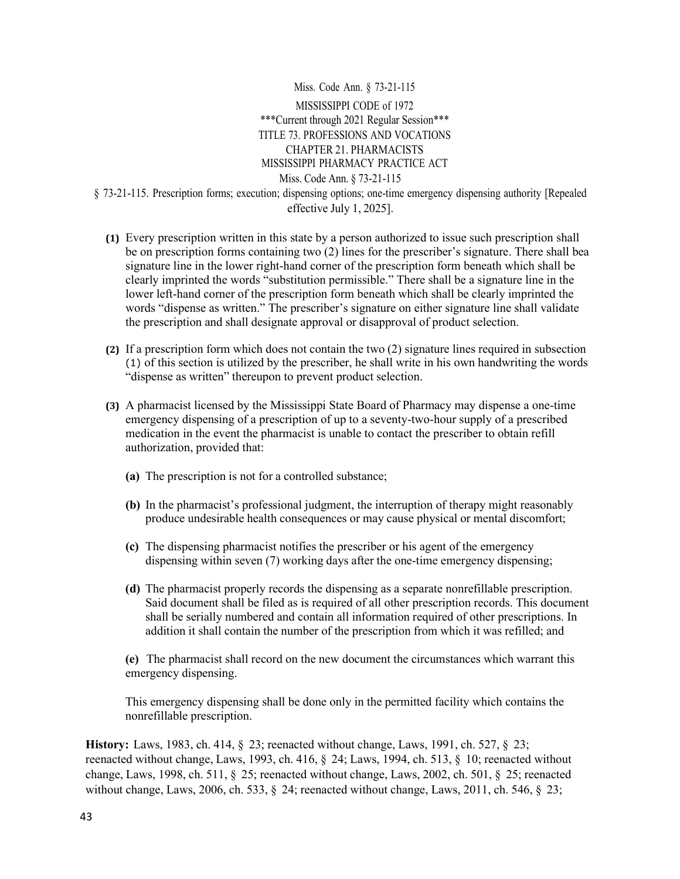Miss. Code Ann. § 73-21-115 MISSISSIPPI CODE of 1972 \*\*\*Current through 2021 Regular Session\*\*\* TITLE 73. PROFESSIONS AND VOCATIONS CHAPTER 21. PHARMACISTS MISSISSIPPI PHARMACY PRACTICE ACT Miss. Code Ann. § 73-21-115 § 73-21-115. Prescription forms; execution; dispensing options; one-time emergency dispensing authority [Repealed effective July 1, 2025].

- **(1)** Every prescription written in this state by a person authorized to issue such prescription shall be on prescription forms containing two (2) lines for the prescriber's signature. There shall bea signature line in the lower right-hand corner of the prescription form beneath which shall be clearly imprinted the words "substitution permissible." There shall be a signature line in the lower left-hand corner of the prescription form beneath which shall be clearly imprinted the words "dispense as written." The prescriber's signature on either signature line shall validate the prescription and shall designate approval or disapproval of product selection.
- **(2)** If a prescription form which does not contain the two (2) signature lines required in subsection (1) of this section is utilized by the prescriber, he shall write in his own handwriting the words "dispense as written" thereupon to prevent product selection.
- **(3)** A pharmacist licensed by the Mississippi State Board of Pharmacy may dispense a one-time emergency dispensing of a prescription of up to a seventy-two-hour supply of a prescribed medication in the event the pharmacist is unable to contact the prescriber to obtain refill authorization, provided that:
	- **(a)** The prescription is not for a controlled substance;
	- **(b)** In the pharmacist's professional judgment, the interruption of therapy might reasonably produce undesirable health consequences or may cause physical or mental discomfort;
	- **(c)** The dispensing pharmacist notifies the prescriber or his agent of the emergency dispensing within seven (7) working days after the one-time emergency dispensing;
	- **(d)** The pharmacist properly records the dispensing as a separate nonrefillable prescription. Said document shall be filed as is required of all other prescription records. This document shall be serially numbered and contain all information required of other prescriptions. In addition it shall contain the number of the prescription from which it was refilled; and

**(e)** The pharmacist shall record on the new document the circumstances which warrant this emergency dispensing.

This emergency dispensing shall be done only in the permitted facility which contains the nonrefillable prescription.

**History:** Laws, 1983, ch. 414, § 23; reenacted without change, Laws, 1991, ch. 527, § 23; reenacted without change, Laws, 1993, ch. 416, § 24; Laws, 1994, ch. 513, § 10; reenacted without change, Laws, 1998, ch. 511, § 25; reenacted without change, Laws, 2002, ch. 501, § 25; reenacted without change, Laws, 2006, ch. 533, § 24; reenacted without change, Laws, 2011, ch. 546, § 23;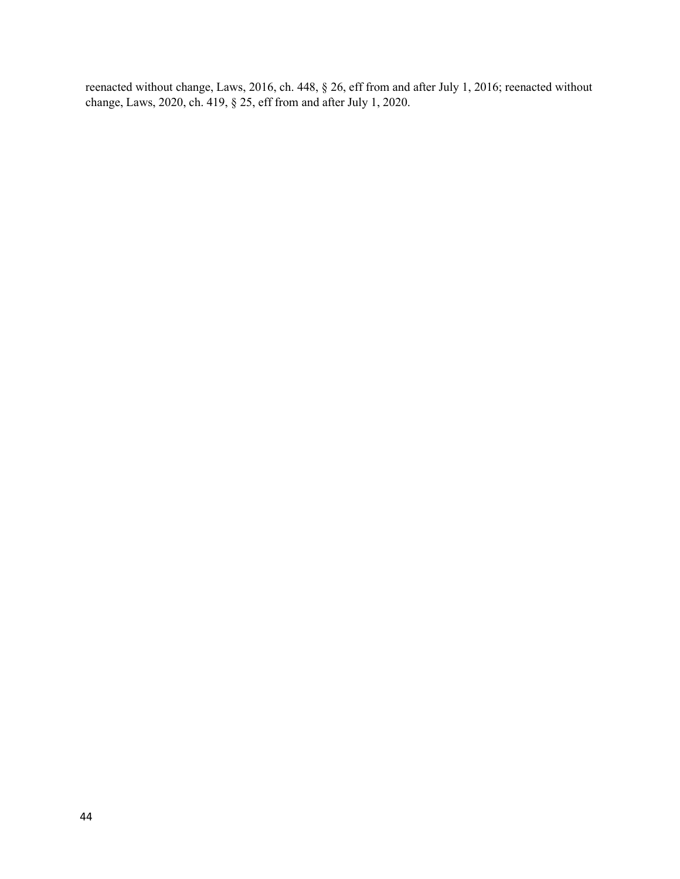reenacted without change, Laws, 2016, ch. 448, § 26, eff from and after July 1, 2016; reenacted without change, Laws, 2020, ch. 419, § 25, eff from and after July 1, 2020.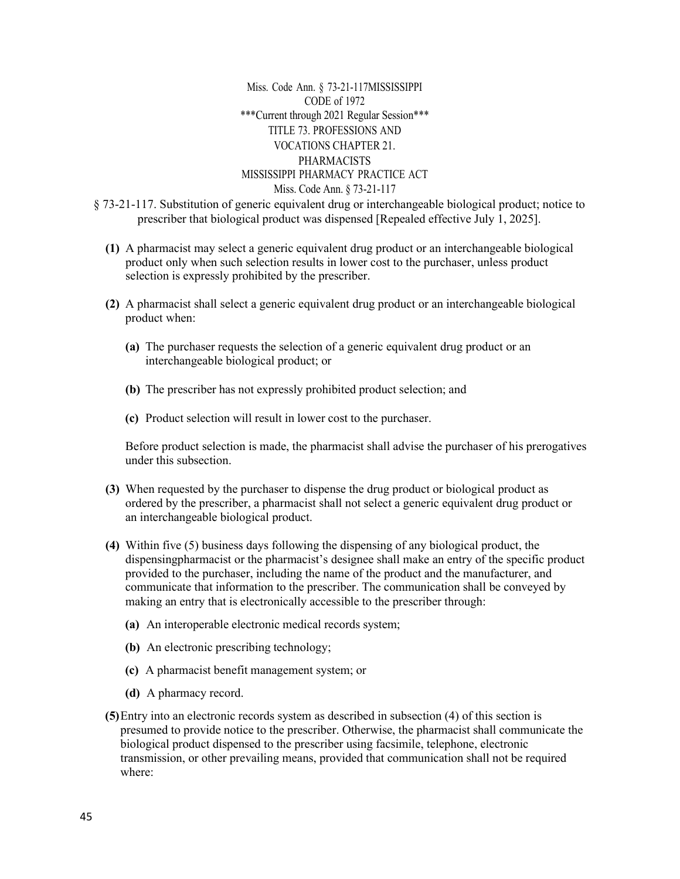Miss. Code Ann. § 73-21-117MISSISSIPPI CODE of 1972 \*\*\*Current through 2021 Regular Session\*\*\* TITLE 73. PROFESSIONS AND VOCATIONS CHAPTER 21. PHARMACISTS MISSISSIPPI PHARMACY PRACTICE ACT Miss. Code Ann. § 73-21-117

- § 73-21-117. Substitution of generic equivalent drug or interchangeable biological product; notice to prescriber that biological product was dispensed [Repealed effective July 1, 2025].
	- **(1)** A pharmacist may select a generic equivalent drug product or an interchangeable biological product only when such selection results in lower cost to the purchaser, unless product selection is expressly prohibited by the prescriber.
	- **(2)** A pharmacist shall select a generic equivalent drug product or an interchangeable biological product when:
		- **(a)** The purchaser requests the selection of a generic equivalent drug product or an interchangeable biological product; or
		- **(b)** The prescriber has not expressly prohibited product selection; and
		- **(c)** Product selection will result in lower cost to the purchaser.

Before product selection is made, the pharmacist shall advise the purchaser of his prerogatives under this subsection.

- **(3)** When requested by the purchaser to dispense the drug product or biological product as ordered by the prescriber, a pharmacist shall not select a generic equivalent drug product or an interchangeable biological product.
- **(4)** Within five (5) business days following the dispensing of any biological product, the dispensingpharmacist or the pharmacist's designee shall make an entry of the specific product provided to the purchaser, including the name of the product and the manufacturer, and communicate that information to the prescriber. The communication shall be conveyed by making an entry that is electronically accessible to the prescriber through:
	- **(a)** An interoperable electronic medical records system;
	- **(b)** An electronic prescribing technology;
	- **(c)** A pharmacist benefit management system; or
	- **(d)** A pharmacy record.
- **(5)**Entry into an electronic records system as described in subsection (4) of this section is presumed to provide notice to the prescriber. Otherwise, the pharmacist shall communicate the biological product dispensed to the prescriber using facsimile, telephone, electronic transmission, or other prevailing means, provided that communication shall not be required where: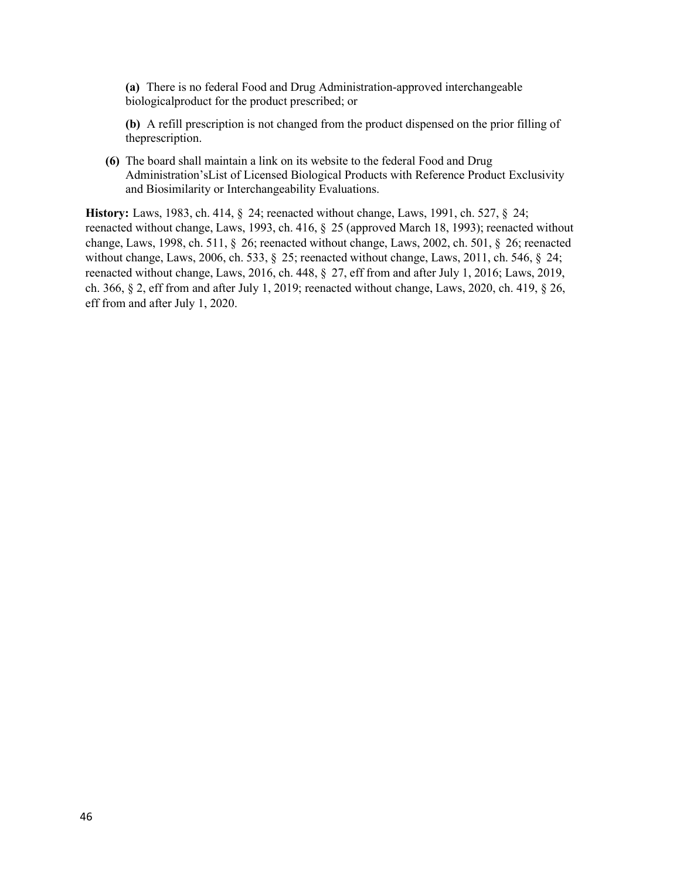**(a)** There is no federal Food and Drug Administration-approved interchangeable biologicalproduct for the product prescribed; or

**(b)** A refill prescription is not changed from the product dispensed on the prior filling of theprescription.

**(6)** The board shall maintain a link on its website to the federal Food and Drug Administration'sList of Licensed Biological Products with Reference Product Exclusivity and Biosimilarity or Interchangeability Evaluations.

**History:** Laws, 1983, ch. 414, § 24; reenacted without change, Laws, 1991, ch. 527, § 24; reenacted without change, Laws, 1993, ch. 416, § 25 (approved March 18, 1993); reenacted without change, Laws, 1998, ch. 511, § 26; reenacted without change, Laws, 2002, ch. 501, § 26; reenacted without change, Laws, 2006, ch. 533, § 25; reenacted without change, Laws, 2011, ch. 546, § 24; reenacted without change, Laws, 2016, ch. 448, § 27, eff from and after July 1, 2016; Laws, 2019, ch. 366, § 2, eff from and after July 1, 2019; reenacted without change, Laws, 2020, ch. 419, § 26, eff from and after July 1, 2020.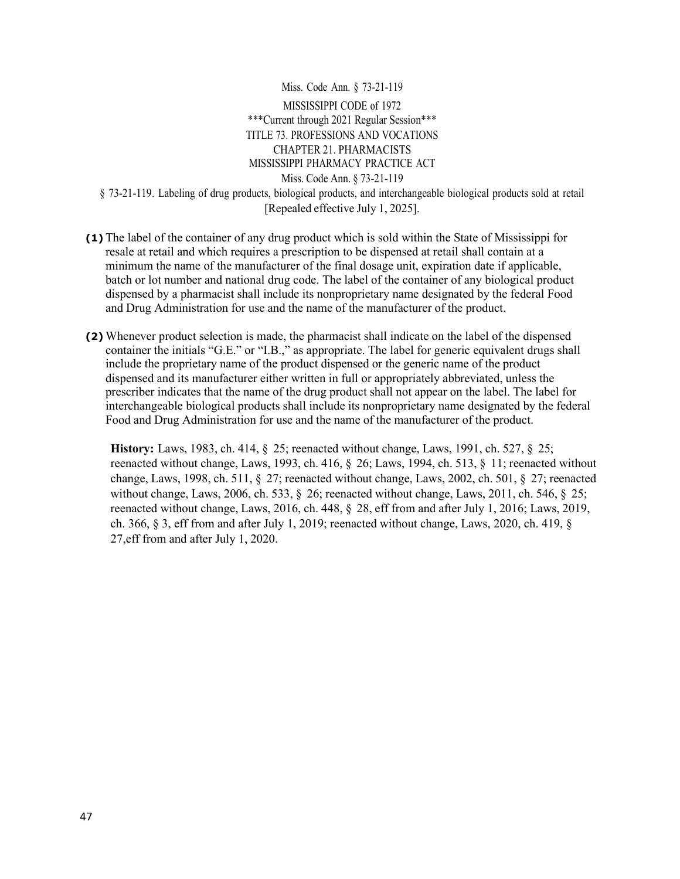Miss. Code Ann. § 73-21-119 MISSISSIPPI CODE of 1972 \*\*\*Current through 2021 Regular Session\*\*\* TITLE 73. PROFESSIONS AND VOCATIONS CHAPTER 21. PHARMACISTS MISSISSIPPI PHARMACY PRACTICE ACT Miss. Code Ann. § 73-21-119 § 73-21-119. Labeling of drug products, biological products, and interchangeable biological products sold at retail [Repealed effective July 1, 2025].

- **(1)** The label of the container of any drug product which is sold within the State of Mississippi for resale at retail and which requires a prescription to be dispensed at retail shall contain at a minimum the name of the manufacturer of the final dosage unit, expiration date if applicable, batch or lot number and national drug code. The label of the container of any biological product dispensed by a pharmacist shall include its nonproprietary name designated by the federal Food and Drug Administration for use and the name of the manufacturer of the product.
- **(2)** Whenever product selection is made, the pharmacist shall indicate on the label of the dispensed container the initials "G.E." or "I.B.," as appropriate. The label for generic equivalent drugs shall include the proprietary name of the product dispensed or the generic name of the product dispensed and its manufacturer either written in full or appropriately abbreviated, unless the prescriber indicates that the name of the drug product shall not appear on the label. The label for interchangeable biological products shall include its nonproprietary name designated by the federal Food and Drug Administration for use and the name of the manufacturer of the product.

**History:** Laws, 1983, ch. 414, § 25; reenacted without change, Laws, 1991, ch. 527, § 25; reenacted without change, Laws, 1993, ch. 416, § 26; Laws, 1994, ch. 513, § 11; reenacted without change, Laws, 1998, ch. 511, § 27; reenacted without change, Laws, 2002, ch. 501, § 27; reenacted without change, Laws, 2006, ch. 533, § 26; reenacted without change, Laws, 2011, ch. 546, § 25; reenacted without change, Laws, 2016, ch. 448, § 28, eff from and after July 1, 2016; Laws, 2019, ch. 366, § 3, eff from and after July 1, 2019; reenacted without change, Laws, 2020, ch. 419, § 27,eff from and after July 1, 2020.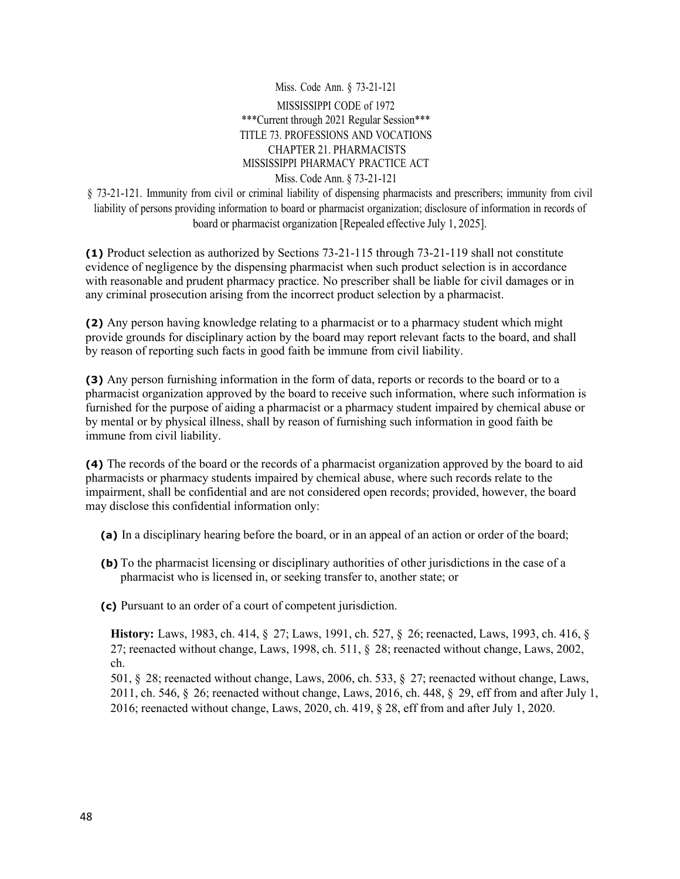Miss. Code Ann. § 73-21-121 MISSISSIPPI CODE of 1972 \*\*\*Current through 2021 Regular Session\*\*\* TITLE 73. PROFESSIONS AND VOCATIONS CHAPTER 21. PHARMACISTS MISSISSIPPI PHARMACY PRACTICE ACT Miss. Code Ann. § 73-21-121

§ 73-21-121. Immunity from civil or criminal liability of dispensing pharmacists and prescribers; immunity from civil liability of persons providing information to board or pharmacist organization; disclosure of information in records of board or pharmacist organization [Repealed effective July 1, 2025].

**(1)** Product selection as authorized by Sections 73-21-115 through 73-21-119 shall not constitute evidence of negligence by the dispensing pharmacist when such product selection is in accordance with reasonable and prudent pharmacy practice. No prescriber shall be liable for civil damages or in any criminal prosecution arising from the incorrect product selection by a pharmacist.

**(2)** Any person having knowledge relating to a pharmacist or to a pharmacy student which might provide grounds for disciplinary action by the board may report relevant facts to the board, and shall by reason of reporting such facts in good faith be immune from civil liability.

**(3)** Any person furnishing information in the form of data, reports or records to the board or to a pharmacist organization approved by the board to receive such information, where such information is furnished for the purpose of aiding a pharmacist or a pharmacy student impaired by chemical abuse or by mental or by physical illness, shall by reason of furnishing such information in good faith be immune from civil liability.

**(4)** The records of the board or the records of a pharmacist organization approved by the board to aid pharmacists or pharmacy students impaired by chemical abuse, where such records relate to the impairment, shall be confidential and are not considered open records; provided, however, the board may disclose this confidential information only:

- **(a)** In a disciplinary hearing before the board, or in an appeal of an action or order of the board;
- **(b)** To the pharmacist licensing or disciplinary authorities of other jurisdictions in the case of a pharmacist who is licensed in, or seeking transfer to, another state; or

**(c)** Pursuant to an order of a court of competent jurisdiction.

**History:** Laws, 1983, ch. 414, § 27; Laws, 1991, ch. 527, § 26; reenacted, Laws, 1993, ch. 416, § 27; reenacted without change, Laws, 1998, ch. 511, § 28; reenacted without change, Laws, 2002, ch.

501, § 28; reenacted without change, Laws, 2006, ch. 533, § 27; reenacted without change, Laws, 2011, ch. 546, § 26; reenacted without change, Laws, 2016, ch. 448, § 29, eff from and after July 1, 2016; reenacted without change, Laws, 2020, ch. 419, § 28, eff from and after July 1, 2020.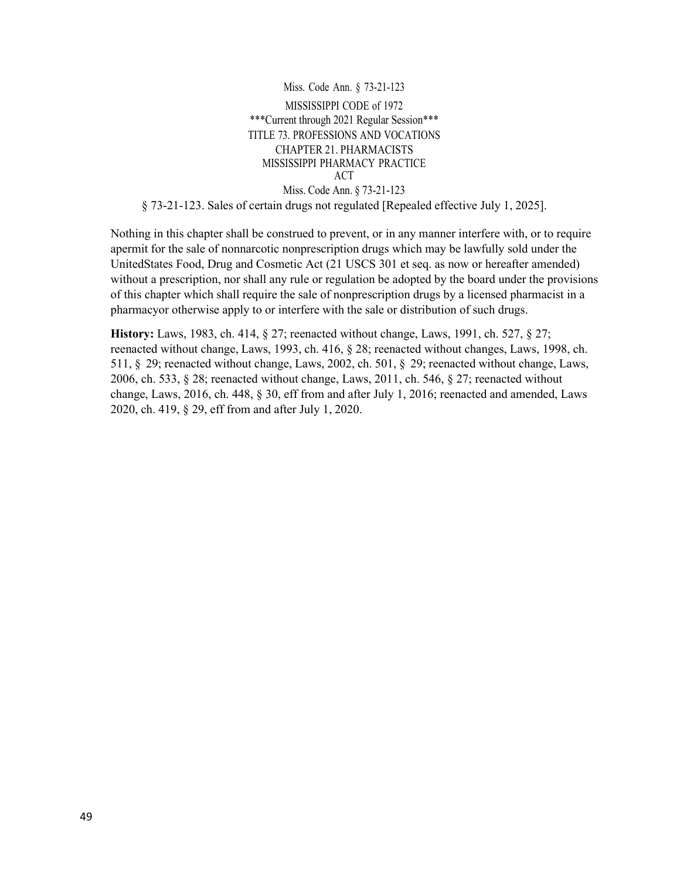Miss. Code Ann. § 73-21-123 MISSISSIPPI CODE of 1972 \*\*\*Current through 2021 Regular Session\*\*\* TITLE 73. PROFESSIONS AND VOCATIONS CHAPTER 21. PHARMACISTS MISSISSIPPI PHARMACY PRACTICE ACT Miss. Code Ann. § 73-21-123 § 73-21-123. Sales of certain drugs not regulated [Repealed effective July 1, 2025].

Nothing in this chapter shall be construed to prevent, or in any manner interfere with, or to require apermit for the sale of nonnarcotic nonprescription drugs which may be lawfully sold under the UnitedStates Food, Drug and Cosmetic Act (21 USCS 301 et seq. as now or hereafter amended) without a prescription, nor shall any rule or regulation be adopted by the board under the provisions of this chapter which shall require the sale of nonprescription drugs by a licensed pharmacist in a pharmacyor otherwise apply to or interfere with the sale or distribution of such drugs.

**History:** Laws, 1983, ch. 414, § 27; reenacted without change, Laws, 1991, ch. 527, § 27; reenacted without change, Laws, 1993, ch. 416, § 28; reenacted without changes, Laws, 1998, ch. 511, § 29; reenacted without change, Laws, 2002, ch. 501, § 29; reenacted without change, Laws, 2006, ch. 533, § 28; reenacted without change, Laws, 2011, ch. 546, § 27; reenacted without change, Laws, 2016, ch. 448, § 30, eff from and after July 1, 2016; reenacted and amended, Laws 2020, ch. 419, § 29, eff from and after July 1, 2020.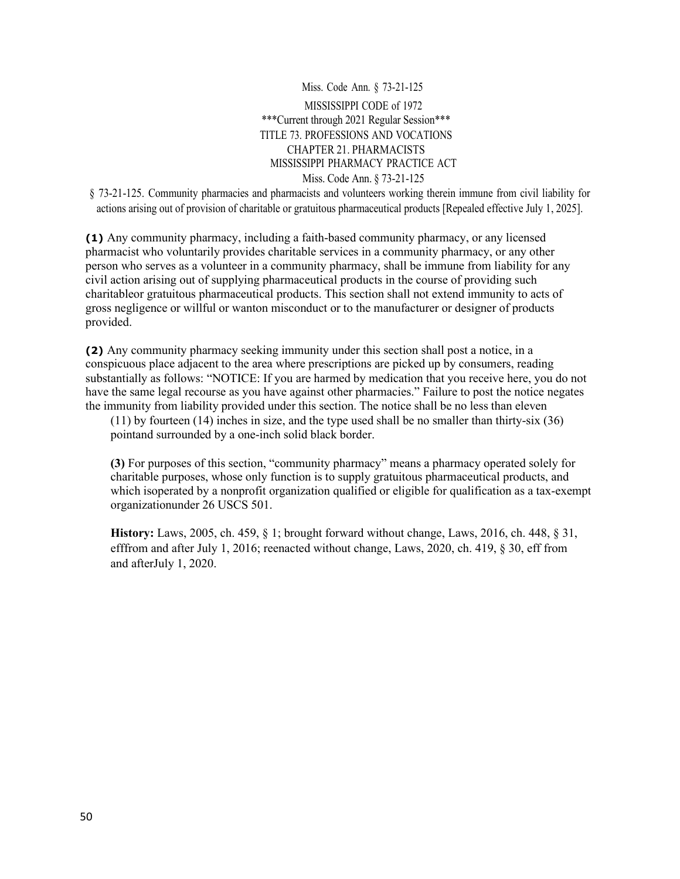# Miss. Code Ann. § 73-21-125 MISSISSIPPI CODE of 1972 \*\*\*Current through 2021 Regular Session\*\*\* TITLE 73. PROFESSIONS AND VOCATIONS CHAPTER 21. PHARMACISTS MISSISSIPPI PHARMACY PRACTICE ACT Miss. Code Ann. § 73-21-125

§ 73-21-125. Community pharmacies and pharmacists and volunteers working therein immune from civil liability for actions arising out of provision of charitable or gratuitous pharmaceutical products [Repealed effective July 1, 2025].

**(1)** Any community pharmacy, including a faith-based community pharmacy, or any licensed pharmacist who voluntarily provides charitable services in a community pharmacy, or any other person who serves as a volunteer in a community pharmacy, shall be immune from liability for any civil action arising out of supplying pharmaceutical products in the course of providing such charitableor gratuitous pharmaceutical products. This section shall not extend immunity to acts of gross negligence or willful or wanton misconduct or to the manufacturer or designer of products provided.

**(2)** Any community pharmacy seeking immunity under this section shall post a notice, in a conspicuous place adjacent to the area where prescriptions are picked up by consumers, reading substantially as follows: "NOTICE: If you are harmed by medication that you receive here, you do not have the same legal recourse as you have against other pharmacies." Failure to post the notice negates the immunity from liability provided under this section. The notice shall be no less than eleven

(11) by fourteen (14) inches in size, and the type used shall be no smaller than thirty-six (36) pointand surrounded by a one-inch solid black border.

**(3)** For purposes of this section, "community pharmacy" means a pharmacy operated solely for charitable purposes, whose only function is to supply gratuitous pharmaceutical products, and which isoperated by a nonprofit organization qualified or eligible for qualification as a tax-exempt organizationunder 26 USCS 501.

**History:** Laws, 2005, ch. 459, § 1; brought forward without change, Laws, 2016, ch. 448, § 31, efffrom and after July 1, 2016; reenacted without change, Laws, 2020, ch. 419, § 30, eff from and afterJuly 1, 2020.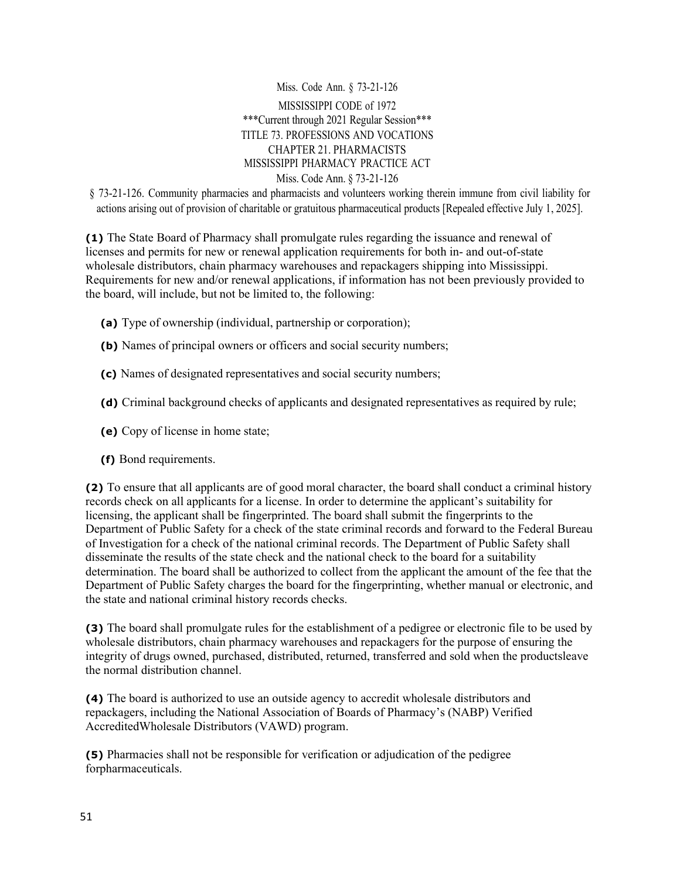Miss. Code Ann. § 73-21-126 MISSISSIPPI CODE of 1972 \*\*\*Current through 2021 Regular Session\*\*\* TITLE 73. PROFESSIONS AND VOCATIONS CHAPTER 21. PHARMACISTS MISSISSIPPI PHARMACY PRACTICE ACT Miss. Code Ann. § 73-21-126

§ 73-21-126. Community pharmacies and pharmacists and volunteers working therein immune from civil liability for actions arising out of provision of charitable or gratuitous pharmaceutical products [Repealed effective July 1, 2025].

**(1)** The State Board of Pharmacy shall promulgate rules regarding the issuance and renewal of licenses and permits for new or renewal application requirements for both in- and out-of-state wholesale distributors, chain pharmacy warehouses and repackagers shipping into Mississippi. Requirements for new and/or renewal applications, if information has not been previously provided to the board, will include, but not be limited to, the following:

- **(a)** Type of ownership (individual, partnership or corporation);
- **(b)** Names of principal owners or officers and social security numbers;
- **(c)** Names of designated representatives and social security numbers;
- **(d)** Criminal background checks of applicants and designated representatives as required by rule;
- **(e)** Copy of license in home state;
- **(f)** Bond requirements.

**(2)** To ensure that all applicants are of good moral character, the board shall conduct a criminal history records check on all applicants for a license. In order to determine the applicant's suitability for licensing, the applicant shall be fingerprinted. The board shall submit the fingerprints to the Department of Public Safety for a check of the state criminal records and forward to the Federal Bureau of Investigation for a check of the national criminal records. The Department of Public Safety shall disseminate the results of the state check and the national check to the board for a suitability determination. The board shall be authorized to collect from the applicant the amount of the fee that the Department of Public Safety charges the board for the fingerprinting, whether manual or electronic, and the state and national criminal history records checks.

**(3)** The board shall promulgate rules for the establishment of a pedigree or electronic file to be used by wholesale distributors, chain pharmacy warehouses and repackagers for the purpose of ensuring the integrity of drugs owned, purchased, distributed, returned, transferred and sold when the productsleave the normal distribution channel.

**(4)** The board is authorized to use an outside agency to accredit wholesale distributors and repackagers, including the National Association of Boards of Pharmacy's (NABP) Verified AccreditedWholesale Distributors (VAWD) program.

**(5)** Pharmacies shall not be responsible for verification or adjudication of the pedigree forpharmaceuticals.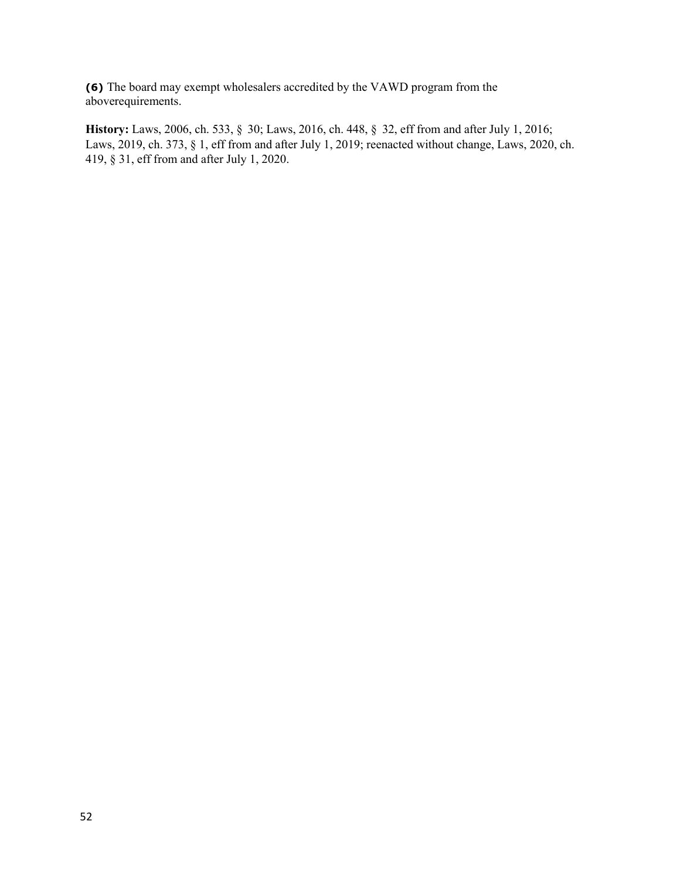**(6)** The board may exempt wholesalers accredited by the VAWD program from the aboverequirements.

**History:** Laws, 2006, ch. 533, § 30; Laws, 2016, ch. 448, § 32, eff from and after July 1, 2016; Laws, 2019, ch. 373, § 1, eff from and after July 1, 2019; reenacted without change, Laws, 2020, ch. 419, § 31, eff from and after July 1, 2020.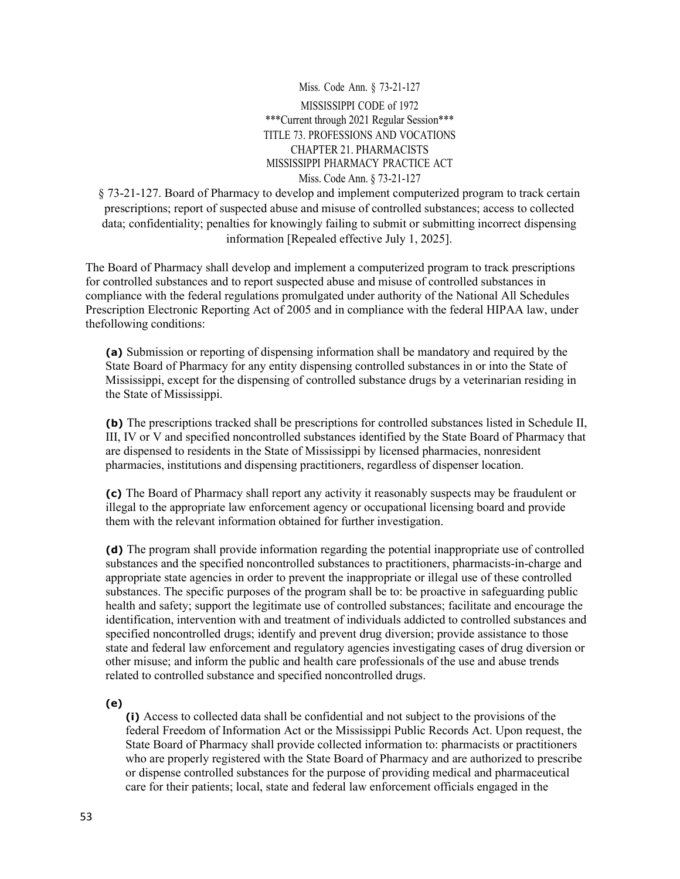#### Miss. Code Ann. § 73-21-127

MISSISSIPPI CODE of 1972 \*\*\*Current through 2021 Regular Session\*\*\* TITLE 73. PROFESSIONS AND VOCATIONS CHAPTER 21. PHARMACISTS MISSISSIPPI PHARMACY PRACTICE ACT Miss. Code Ann. § 73-21-127

§ 73-21-127. Board of Pharmacy to develop and implement computerized program to track certain prescriptions; report of suspected abuse and misuse of controlled substances; access to collected data; confidentiality; penalties for knowingly failing to submit or submitting incorrect dispensing information [Repealed effective July 1, 2025].

The Board of Pharmacy shall develop and implement a computerized program to track prescriptions for controlled substances and to report suspected abuse and misuse of controlled substances in compliance with the federal regulations promulgated under authority of the National All Schedules Prescription Electronic Reporting Act of 2005 and in compliance with the federal HIPAA law, under thefollowing conditions:

**(a)** Submission or reporting of dispensing information shall be mandatory and required by the State Board of Pharmacy for any entity dispensing controlled substances in or into the State of Mississippi, except for the dispensing of controlled substance drugs by a veterinarian residing in the State of Mississippi.

**(b)** The prescriptions tracked shall be prescriptions for controlled substances listed in Schedule II, III, IV or V and specified noncontrolled substances identified by the State Board of Pharmacy that are dispensed to residents in the State of Mississippi by licensed pharmacies, nonresident pharmacies, institutions and dispensing practitioners, regardless of dispenser location.

**(c)** The Board of Pharmacy shall report any activity it reasonably suspects may be fraudulent or illegal to the appropriate law enforcement agency or occupational licensing board and provide them with the relevant information obtained for further investigation.

**(d)** The program shall provide information regarding the potential inappropriate use of controlled substances and the specified noncontrolled substances to practitioners, pharmacists-in-charge and appropriate state agencies in order to prevent the inappropriate or illegal use of these controlled substances. The specific purposes of the program shall be to: be proactive in safeguarding public health and safety; support the legitimate use of controlled substances; facilitate and encourage the identification, intervention with and treatment of individuals addicted to controlled substances and specified noncontrolled drugs; identify and prevent drug diversion; provide assistance to those state and federal law enforcement and regulatory agencies investigating cases of drug diversion or other misuse; and inform the public and health care professionals of the use and abuse trends related to controlled substance and specified noncontrolled drugs.

**(e)**

**(i)** Access to collected data shall be confidential and not subject to the provisions of the federal Freedom of Information Act or the Mississippi Public Records Act. Upon request, the State Board of Pharmacy shall provide collected information to: pharmacists or practitioners who are properly registered with the State Board of Pharmacy and are authorized to prescribe or dispense controlled substances for the purpose of providing medical and pharmaceutical care for their patients; local, state and federal law enforcement officials engaged in the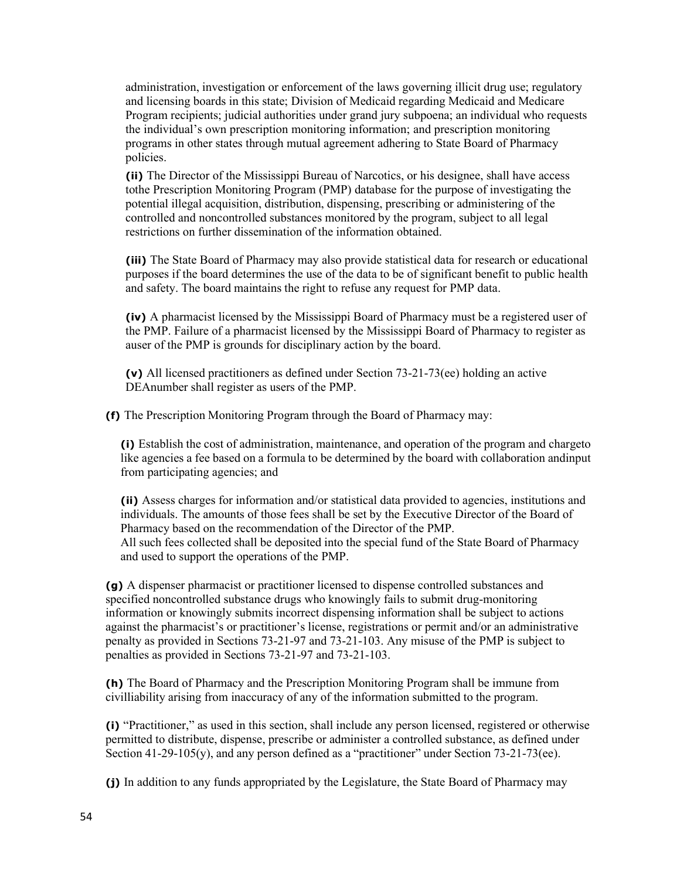administration, investigation or enforcement of the laws governing illicit drug use; regulatory and licensing boards in this state; Division of Medicaid regarding Medicaid and Medicare Program recipients; judicial authorities under grand jury subpoena; an individual who requests the individual's own prescription monitoring information; and prescription monitoring programs in other states through mutual agreement adhering to State Board of Pharmacy policies.

**(ii)** The Director of the Mississippi Bureau of Narcotics, or his designee, shall have access tothe Prescription Monitoring Program (PMP) database for the purpose of investigating the potential illegal acquisition, distribution, dispensing, prescribing or administering of the controlled and noncontrolled substances monitored by the program, subject to all legal restrictions on further dissemination of the information obtained.

**(iii)** The State Board of Pharmacy may also provide statistical data for research or educational purposes if the board determines the use of the data to be of significant benefit to public health and safety. The board maintains the right to refuse any request for PMP data.

**(iv)** A pharmacist licensed by the Mississippi Board of Pharmacy must be a registered user of the PMP. Failure of a pharmacist licensed by the Mississippi Board of Pharmacy to register as auser of the PMP is grounds for disciplinary action by the board.

**(v)** All licensed practitioners as defined under Section 73-21-73(ee) holding an active DEAnumber shall register as users of the PMP.

**(f)** The Prescription Monitoring Program through the Board of Pharmacy may:

**(i)** Establish the cost of administration, maintenance, and operation of the program and chargeto like agencies a fee based on a formula to be determined by the board with collaboration andinput from participating agencies; and

**(ii)** Assess charges for information and/or statistical data provided to agencies, institutions and individuals. The amounts of those fees shall be set by the Executive Director of the Board of Pharmacy based on the recommendation of the Director of the PMP. All such fees collected shall be deposited into the special fund of the State Board of Pharmacy and used to support the operations of the PMP.

**(g)** A dispenser pharmacist or practitioner licensed to dispense controlled substances and specified noncontrolled substance drugs who knowingly fails to submit drug-monitoring information or knowingly submits incorrect dispensing information shall be subject to actions against the pharmacist's or practitioner's license, registrations or permit and/or an administrative penalty as provided in Sections 73-21-97 and 73-21-103. Any misuse of the PMP is subject to penalties as provided in Sections 73-21-97 and 73-21-103.

**(h)** The Board of Pharmacy and the Prescription Monitoring Program shall be immune from civilliability arising from inaccuracy of any of the information submitted to the program.

**(i)** "Practitioner," as used in this section, shall include any person licensed, registered or otherwise permitted to distribute, dispense, prescribe or administer a controlled substance, as defined under Section  $41-29-105(y)$ , and any person defined as a "practitioner" under Section  $73-21-73$ (ee).

**(j)** In addition to any funds appropriated by the Legislature, the State Board of Pharmacy may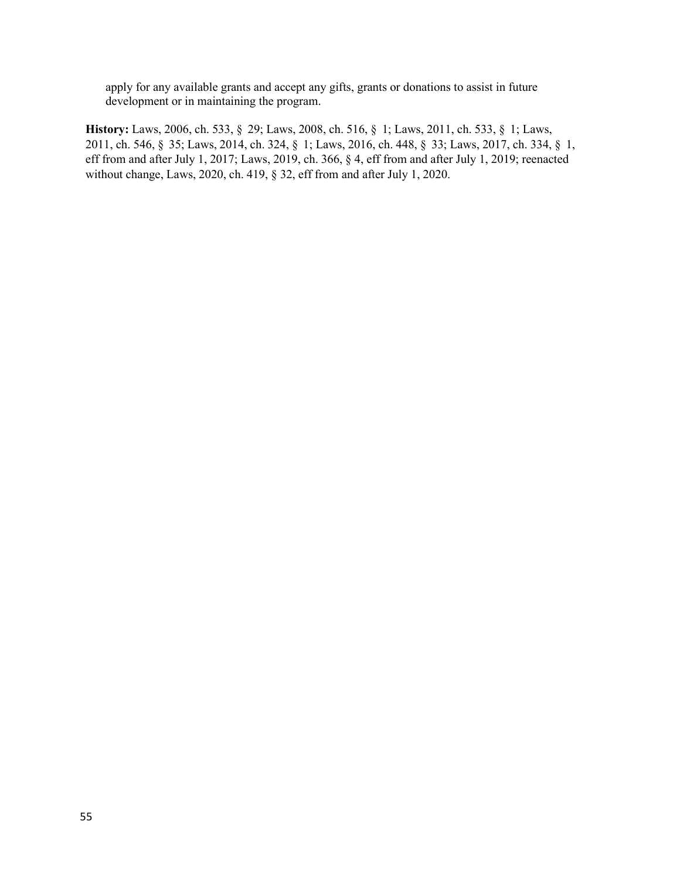apply for any available grants and accept any gifts, grants or donations to assist in future development or in maintaining the program.

**History:** Laws, 2006, ch. 533, § 29; Laws, 2008, ch. 516, § 1; Laws, 2011, ch. 533, § 1; Laws, 2011, ch. 546, § 35; Laws, 2014, ch. 324, § 1; Laws, 2016, ch. 448, § 33; Laws, 2017, ch. 334, § 1, eff from and after July 1, 2017; Laws, 2019, ch. 366, § 4, eff from and after July 1, 2019; reenacted without change, Laws, 2020, ch. 419, § 32, eff from and after July 1, 2020.